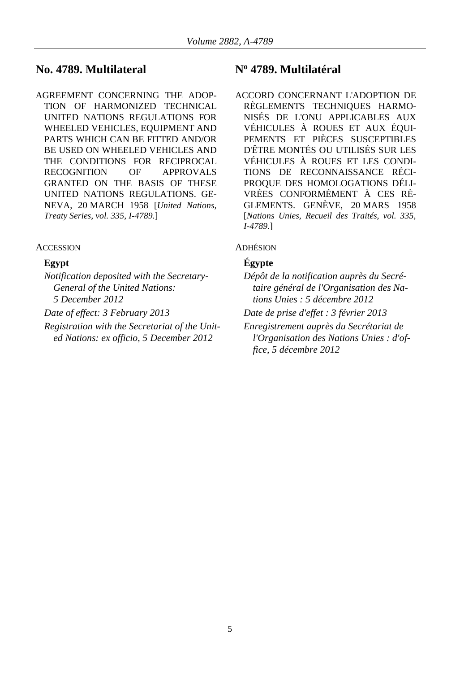# **No. 4789. Multilateral N<sup>o</sup> 4789. Multilatéral**

AGREEMENT CONCERNING THE ADOP-TION OF HARMONIZED TECHNICAL UNITED NATIONS REGULATIONS FOR WHEELED VEHICLES, EQUIPMENT AND PARTS WHICH CAN BE FITTED AND/OR BE USED ON WHEELED VEHICLES AND THE CONDITIONS FOR RECIPROCAL RECOGNITION OF APPROVALS GRANTED ON THE BASIS OF THESE UNITED NATIONS REGULATIONS. GE-NEVA, 20 MARCH 1958 [*United Nations, Treaty Series, vol. 335, I-4789.*]

## ACCESSION ADHÉSION

*Notification deposited with the Secretary-General of the United Nations: 5 December 2012*

*Registration with the Secretariat of the United Nations: ex officio, 5 December 2012*

ACCORD CONCERNANT L'ADOPTION DE RÈGLEMENTS TECHNIQUES HARMO-NISÉS DE L'ONU APPLICABLES AUX VÉHICULES À ROUES ET AUX ÉQUI-PEMENTS ET PIÈCES SUSCEPTIBLES D'ÊTRE MONTÉS OU UTILISÉS SUR LES VÉHICULES À ROUES ET LES CONDI-TIONS DE RECONNAISSANCE RÉCI-PROQUE DES HOMOLOGATIONS DÉLI-VRÉES CONFORMÉMENT À CES RÈ-GLEMENTS. GENÈVE, 20 MARS 1958 [*Nations Unies, Recueil des Traités, vol. 335, I-4789.*]

# **Egypt Égypte**

- *Dépôt de la notification auprès du Secrétaire général de l'Organisation des Nations Unies : 5 décembre 2012*
- *Date of effect: 3 February 2013 Date de prise d'effet : 3 février 2013*
	- *Enregistrement auprès du Secrétariat de l'Organisation des Nations Unies : d'office, 5 décembre 2012*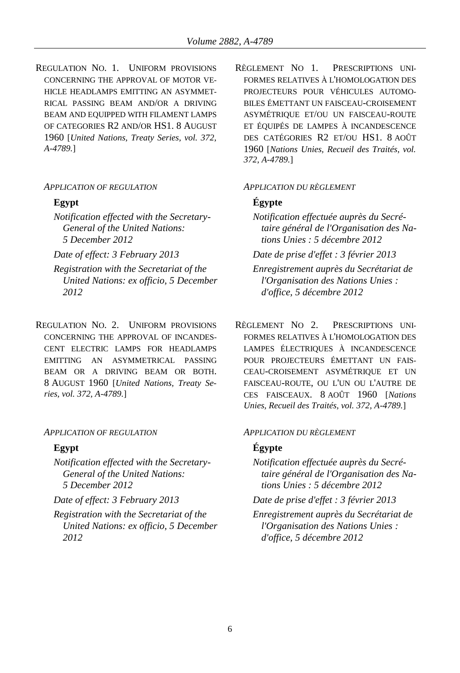REGULATION NO. 1. UNIFORM PROVISIONS CONCERNING THE APPROVAL OF MOTOR VE-HICLE HEADLAMPS EMITTING AN ASYMMET-RICAL PASSING BEAM AND/OR A DRIVING BEAM AND EQUIPPED WITH FILAMENT LAMPS OF CATEGORIES R2 AND/OR HS1. 8 AUGUST 1960 [*United Nations, Treaty Series, vol. 372, A-4789.*]

### *APPLICATION OF REGULATION APPLICATION DU RÈGLEMENT*

*Notification effected with the Secretary-General of the United Nations: 5 December 2012*

*Registration with the Secretariat of the United Nations: ex officio, 5 December 2012*

REGULATION NO. 2. UNIFORM PROVISIONS CONCERNING THE APPROVAL OF INCANDES-CENT ELECTRIC LAMPS FOR HEADLAMPS EMITTING AN ASYMMETRICAL PASSING BEAM OR A DRIVING BEAM OR BOTH. 8 AUGUST 1960 [*United Nations, Treaty Series, vol. 372, A-4789.*]

### *APPLICATION OF REGULATION APPLICATION DU RÈGLEMENT*

*Notification effected with the Secretary-General of the United Nations: 5 December 2012*

*Registration with the Secretariat of the United Nations: ex officio, 5 December 2012*

RÈGLEMENT NO 1. PRESCRIPTIONS UNI-FORMES RELATIVES À L'HOMOLOGATION DES PROJECTEURS POUR VÉHICULES AUTOMO-BILES ÉMETTANT UN FAISCEAU-CROISEMENT ASYMÉTRIQUE ET/OU UN FAISCEAU-ROUTE ET ÉQUIPÉS DE LAMPES À INCANDESCENCE DES CATÉGORIES R2 ET/OU HS1. 8 AOÛT 1960 [*Nations Unies, Recueil des Traités, vol. 372, A-4789.*]

### **Egypt Égypte**

*Notification effectuée auprès du Secrétaire général de l'Organisation des Nations Unies : 5 décembre 2012*

*Date of effect: 3 February 2013 Date de prise d'effet : 3 février 2013*

*Enregistrement auprès du Secrétariat de l'Organisation des Nations Unies : d'office, 5 décembre 2012*

RÈGLEMENT NO 2. PRESCRIPTIONS UNI-FORMES RELATIVES À L'HOMOLOGATION DES LAMPES ÉLECTRIQUES À INCANDESCENCE POUR PROJECTEURS ÉMETTANT UN FAIS-CEAU-CROISEMENT ASYMÉTRIQUE ET UN FAISCEAU-ROUTE, OU L'UN OU L'AUTRE DE CES FAISCEAUX. 8 AOÛT 1960 [*Nations Unies, Recueil des Traités, vol. 372, A-4789.*]

### **Egypt Égypte**

- *Notification effectuée auprès du Secrétaire général de l'Organisation des Nations Unies : 5 décembre 2012*
- *Date of effect: 3 February 2013 Date de prise d'effet : 3 février 2013*
	- *Enregistrement auprès du Secrétariat de l'Organisation des Nations Unies : d'office, 5 décembre 2012*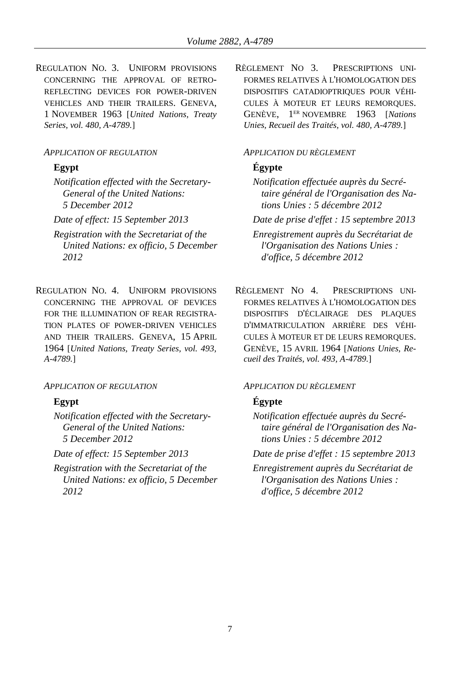REGULATION NO. 3. UNIFORM PROVISIONS CONCERNING THE APPROVAL OF RETRO-REFLECTING DEVICES FOR POWER-DRIVEN VEHICLES AND THEIR TRAILERS. GENEVA, 1 NOVEMBER 1963 [*United Nations, Treaty Series, vol. 480, A-4789.*]

### *APPLICATION OF REGULATION APPLICATION DU RÈGLEMENT*

*Notification effected with the Secretary-General of the United Nations: 5 December 2012*

- *Registration with the Secretariat of the United Nations: ex officio, 5 December 2012*
- REGULATION NO. 4. UNIFORM PROVISIONS CONCERNING THE APPROVAL OF DEVICES FOR THE ILLUMINATION OF REAR REGISTRA-TION PLATES OF POWER-DRIVEN VEHICLES AND THEIR TRAILERS. GENEVA, 15 APRIL 1964 [*United Nations, Treaty Series, vol. 493, A-4789.*]

### *APPLICATION OF REGULATION APPLICATION DU RÈGLEMENT*

*Notification effected with the Secretary-General of the United Nations: 5 December 2012*

*Registration with the Secretariat of the United Nations: ex officio, 5 December 2012*

RÈGLEMENT NO 3. PRESCRIPTIONS UNI-FORMES RELATIVES À L'HOMOLOGATION DES DISPOSITIFS CATADIOPTRIQUES POUR VÉHI-CULES À MOTEUR ET LEURS REMORQUES. GENÈVE, 1 ER NOVEMBRE 1963 [*Nations Unies, Recueil des Traités, vol. 480, A-4789.*]

# **Egypt Égypte**

- *Notification effectuée auprès du Secrétaire général de l'Organisation des Nations Unies : 5 décembre 2012*
- *Date of effect: 15 September 2013 Date de prise d'effet : 15 septembre 2013*

*Enregistrement auprès du Secrétariat de l'Organisation des Nations Unies : d'office, 5 décembre 2012*

RÈGLEMENT NO 4. PRESCRIPTIONS UNI-FORMES RELATIVES À L'HOMOLOGATION DES DISPOSITIFS D'ÉCLAIRAGE DES PLAQUES D'IMMATRICULATION ARRIÈRE DES VÉHI-CULES À MOTEUR ET DE LEURS REMORQUES. GENÈVE, 15 AVRIL 1964 [*Nations Unies, Recueil des Traités, vol. 493, A-4789.*]

# **Egypt Égypte**

*Notification effectuée auprès du Secrétaire général de l'Organisation des Nations Unies : 5 décembre 2012*

*Date of effect: 15 September 2013 Date de prise d'effet : 15 septembre 2013*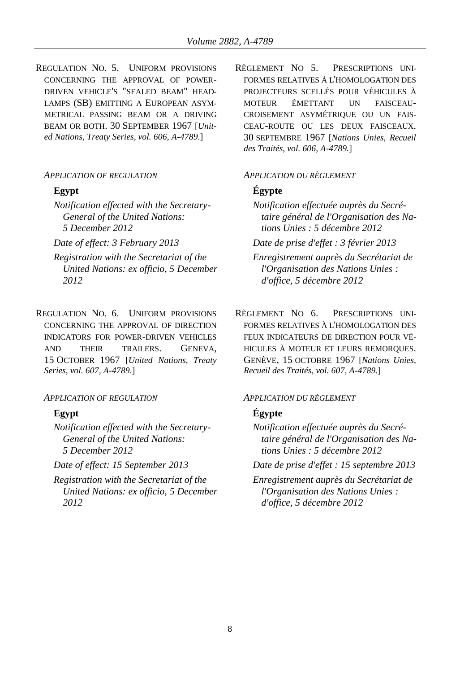REGULATION NO. 5. UNIFORM PROVISIONS CONCERNING THE APPROVAL OF POWER-DRIVEN VEHICLE'S "SEALED BEAM" HEAD-LAMPS (SB) EMITTING A EUROPEAN ASYM-METRICAL PASSING BEAM OR A DRIVING BEAM OR BOTH. 30 SEPTEMBER 1967 [*United Nations, Treaty Series, vol. 606, A-4789.*]

### *APPLICATION OF REGULATION APPLICATION DU RÈGLEMENT*

*Notification effected with the Secretary-General of the United Nations: 5 December 2012*

*Registration with the Secretariat of the United Nations: ex officio, 5 December 2012*

REGULATION NO. 6. UNIFORM PROVISIONS CONCERNING THE APPROVAL OF DIRECTION INDICATORS FOR POWER-DRIVEN VEHICLES AND THEIR TRAILERS. GENEVA, 15 OCTOBER 1967 [*United Nations, Treaty Series, vol. 607, A-4789.*]

## *APPLICATION OF REGULATION APPLICATION DU RÈGLEMENT*

*Notification effected with the Secretary-General of the United Nations: 5 December 2012*

*Registration with the Secretariat of the United Nations: ex officio, 5 December 2012*

RÈGLEMENT NO 5. PRESCRIPTIONS UNI-FORMES RELATIVES À L'HOMOLOGATION DES PROJECTEURS SCELLÉS POUR VÉHICULES À MOTEUR ÉMETTANT UN FAISCEAU-CROISEMENT ASYMÉTRIQUE OU UN FAIS-CEAU-ROUTE OU LES DEUX FAISCEAUX. 30 SEPTEMBRE 1967 [*Nations Unies, Recueil des Traités, vol. 606, A-4789.*]

## **Egypt Égypte**

*Notification effectuée auprès du Secrétaire général de l'Organisation des Nations Unies : 5 décembre 2012*

*Date of effect: 3 February 2013 Date de prise d'effet : 3 février 2013*

*Enregistrement auprès du Secrétariat de l'Organisation des Nations Unies : d'office, 5 décembre 2012*

RÈGLEMENT NO 6. PRESCRIPTIONS UNI-FORMES RELATIVES À L'HOMOLOGATION DES FEUX INDICATEURS DE DIRECTION POUR VÉ-HICULES À MOTEUR ET LEURS REMORQUES. GENÈVE, 15 OCTOBRE 1967 [*Nations Unies, Recueil des Traités, vol. 607, A-4789.*]

## **Egypt Égypte**

*Notification effectuée auprès du Secrétaire général de l'Organisation des Nations Unies : 5 décembre 2012*

*Date of effect: 15 September 2013 Date de prise d'effet : 15 septembre 2013*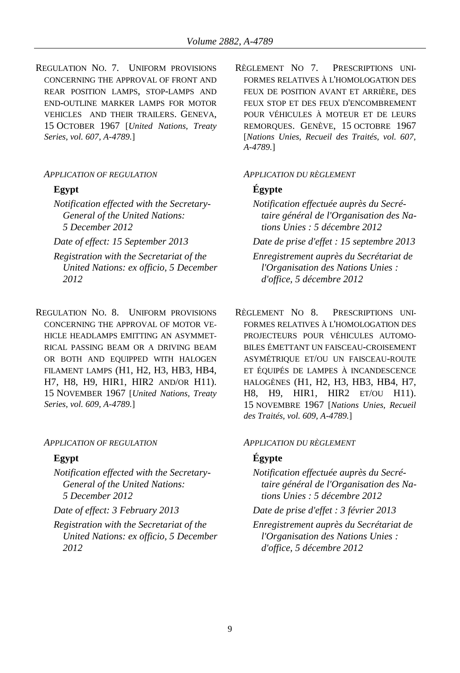REGULATION NO. 7. UNIFORM PROVISIONS CONCERNING THE APPROVAL OF FRONT AND REAR POSITION LAMPS, STOP-LAMPS AND END-OUTLINE MARKER LAMPS FOR MOTOR VEHICLES AND THEIR TRAILERS. GENEVA, 15 OCTOBER 1967 [*United Nations, Treaty Series, vol. 607, A-4789.*]

### *APPLICATION OF REGULATION APPLICATION DU RÈGLEMENT*

- *Notification effected with the Secretary-General of the United Nations: 5 December 2012*
- 
- *Registration with the Secretariat of the United Nations: ex officio, 5 December 2012*
- REGULATION NO. 8. UNIFORM PROVISIONS CONCERNING THE APPROVAL OF MOTOR VE-HICLE HEADLAMPS EMITTING AN ASYMMET-RICAL PASSING BEAM OR A DRIVING BEAM OR BOTH AND EQUIPPED WITH HALOGEN FILAMENT LAMPS (H1, H2, H3, HB3, HB4, H7, H8, H9, HIR1, HIR2 AND/OR H11). 15 NOVEMBER 1967 [*United Nations, Treaty Series, vol. 609, A-4789.*]

### *APPLICATION OF REGULATION APPLICATION DU RÈGLEMENT*

- *Notification effected with the Secretary-General of the United Nations: 5 December 2012*
- 
- *Registration with the Secretariat of the United Nations: ex officio, 5 December 2012*

RÈGLEMENT NO 7. PRESCRIPTIONS UNI-FORMES RELATIVES À L'HOMOLOGATION DES FEUX DE POSITION AVANT ET ARRIÈRE, DES FEUX STOP ET DES FEUX D'ENCOMBREMENT POUR VÉHICULES À MOTEUR ET DE LEURS REMORQUES. GENÈVE, 15 OCTOBRE 1967 [*Nations Unies, Recueil des Traités, vol. 607, A-4789.*]

## **Egypt Égypte**

- *Notification effectuée auprès du Secrétaire général de l'Organisation des Nations Unies : 5 décembre 2012*
- *Date of effect: 15 September 2013 Date de prise d'effet : 15 septembre 2013 Enregistrement auprès du Secrétariat de l'Organisation des Nations Unies : d'office, 5 décembre 2012*
	- RÈGLEMENT NO 8. PRESCRIPTIONS UNI-FORMES RELATIVES À L'HOMOLOGATION DES PROJECTEURS POUR VÉHICULES AUTOMO-BILES ÉMETTANT UN FAISCEAU-CROISEMENT ASYMÉTRIQUE ET/OU UN FAISCEAU-ROUTE ET ÉQUIPÉS DE LAMPES À INCANDESCENCE HALOGÈNES (H1, H2, H3, HB3, HB4, H7, H8, H9, HIR1, HIR2 ET/OU H11). 15 NOVEMBRE 1967 [*Nations Unies, Recueil des Traités, vol. 609, A-4789.*]

## **Egypt Égypte**

- *Notification effectuée auprès du Secrétaire général de l'Organisation des Nations Unies : 5 décembre 2012*
- *Date of effect: 3 February 2013 Date de prise d'effet : 3 février 2013*
	- *Enregistrement auprès du Secrétariat de l'Organisation des Nations Unies : d'office, 5 décembre 2012*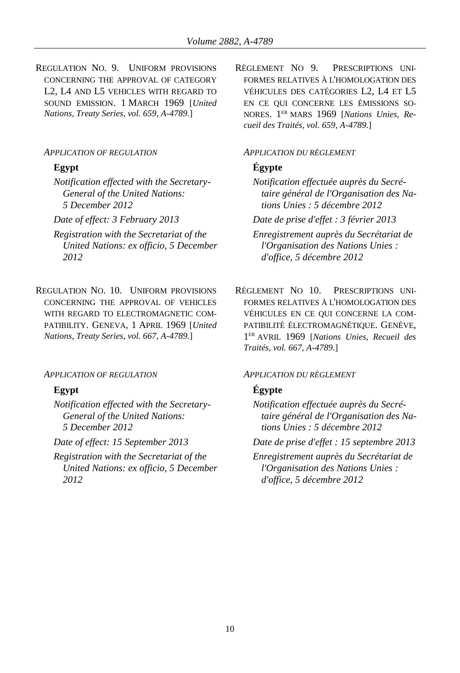REGULATION NO. 9. UNIFORM PROVISIONS CONCERNING THE APPROVAL OF CATEGORY L2, L4 AND L5 VEHICLES WITH REGARD TO SOUND EMISSION. 1 MARCH 1969 [*United Nations, Treaty Series, vol. 659, A-4789.*]

### *APPLICATION OF REGULATION APPLICATION DU RÈGLEMENT*

*Notification effected with the Secretary-General of the United Nations: 5 December 2012*

- *Registration with the Secretariat of the United Nations: ex officio, 5 December 2012*
- REGULATION NO. 10. UNIFORM PROVISIONS CONCERNING THE APPROVAL OF VEHICLES WITH REGARD TO ELECTROMAGNETIC COM-PATIBILITY. GENEVA, 1 APRIL 1969 [*United Nations, Treaty Series, vol. 667, A-4789.*]

### *APPLICATION OF REGULATION APPLICATION DU RÈGLEMENT*

*Notification effected with the Secretary-General of the United Nations: 5 December 2012*

*Registration with the Secretariat of the United Nations: ex officio, 5 December 2012*

RÈGLEMENT NO 9. PRESCRIPTIONS UNI-FORMES RELATIVES À L'HOMOLOGATION DES VÉHICULES DES CATÉGORIES L2, L4 ET L5 EN CE QUI CONCERNE LES ÉMISSIONS SO-NORES. 1 ER MARS 1969 [*Nations Unies, Recueil des Traités, vol. 659, A-4789.*]

## **Egypt Égypte**

*Notification effectuée auprès du Secrétaire général de l'Organisation des Nations Unies : 5 décembre 2012*

*Date of effect: 3 February 2013 Date de prise d'effet : 3 février 2013*

*Enregistrement auprès du Secrétariat de l'Organisation des Nations Unies : d'office, 5 décembre 2012*

RÈGLEMENT NO 10. PRESCRIPTIONS UNI-FORMES RELATIVES À L'HOMOLOGATION DES VÉHICULES EN CE QUI CONCERNE LA COM-PATIBILITÉ ÉLECTROMAGNÉTIQUE. GENÈVE, 1 ER AVRIL 1969 [*Nations Unies, Recueil des Traités, vol. 667, A-4789.*]

### **Egypt Égypte**

*Notification effectuée auprès du Secrétaire général de l'Organisation des Nations Unies : 5 décembre 2012*

*Date of effect: 15 September 2013 Date de prise d'effet : 15 septembre 2013*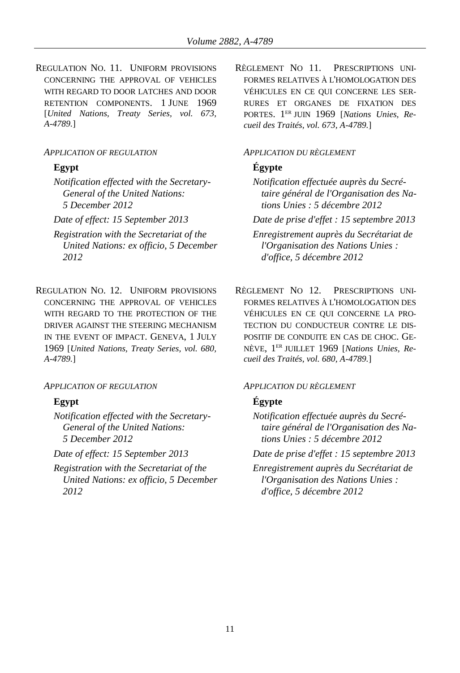REGULATION NO. 11. UNIFORM PROVISIONS CONCERNING THE APPROVAL OF VEHICLES WITH REGARD TO DOOR LATCHES AND DOOR RETENTION COMPONENTS. 1 JUNE 1969 [*United Nations, Treaty Series, vol. 673, A-4789.*]

### *APPLICATION OF REGULATION APPLICATION DU RÈGLEMENT*

*Notification effected with the Secretary-General of the United Nations: 5 December 2012*

- *Registration with the Secretariat of the United Nations: ex officio, 5 December 2012*
- REGULATION NO. 12. UNIFORM PROVISIONS CONCERNING THE APPROVAL OF VEHICLES WITH REGARD TO THE PROTECTION OF THE DRIVER AGAINST THE STEERING MECHANISM IN THE EVENT OF IMPACT. GENEVA, 1 JULY 1969 [*United Nations, Treaty Series, vol. 680, A-4789.*]

### *APPLICATION OF REGULATION APPLICATION DU RÈGLEMENT*

*Notification effected with the Secretary-General of the United Nations: 5 December 2012*

*Registration with the Secretariat of the United Nations: ex officio, 5 December 2012*

RÈGLEMENT NO 11. PRESCRIPTIONS UNI-FORMES RELATIVES À L'HOMOLOGATION DES VÉHICULES EN CE QUI CONCERNE LES SER-RURES ET ORGANES DE FIXATION DES PORTES. 1 ER JUIN 1969 [*Nations Unies, Recueil des Traités, vol. 673, A-4789.*]

## **Egypt Égypte**

- *Notification effectuée auprès du Secrétaire général de l'Organisation des Nations Unies : 5 décembre 2012*
- *Date of effect: 15 September 2013 Date de prise d'effet : 15 septembre 2013*

*Enregistrement auprès du Secrétariat de l'Organisation des Nations Unies : d'office, 5 décembre 2012*

RÈGLEMENT NO 12. PRESCRIPTIONS UNI-FORMES RELATIVES À L'HOMOLOGATION DES VÉHICULES EN CE QUI CONCERNE LA PRO-TECTION DU CONDUCTEUR CONTRE LE DIS-POSITIF DE CONDUITE EN CAS DE CHOC. GE-NÈVE, 1 ER JUILLET 1969 [*Nations Unies, Recueil des Traités, vol. 680, A-4789.*]

## **Egypt Égypte**

*Notification effectuée auprès du Secrétaire général de l'Organisation des Nations Unies : 5 décembre 2012*

*Date of effect: 15 September 2013 Date de prise d'effet : 15 septembre 2013*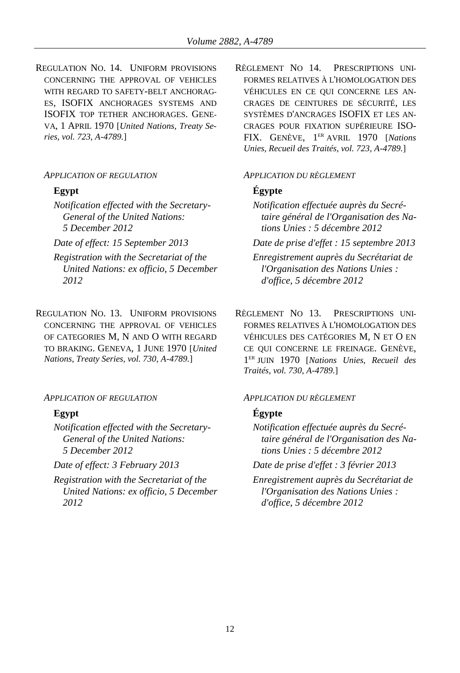REGULATION NO. 14. UNIFORM PROVISIONS CONCERNING THE APPROVAL OF VEHICLES WITH REGARD TO SAFETY-BELT ANCHORAG-ES, ISOFIX ANCHORAGES SYSTEMS AND ISOFIX TOP TETHER ANCHORAGES. GENE-VA, 1 APRIL 1970 [*United Nations, Treaty Series, vol. 723, A-4789.*]

### *APPLICATION OF REGULATION APPLICATION DU RÈGLEMENT*

- *Notification effected with the Secretary-General of the United Nations: 5 December 2012*
- 
- *Registration with the Secretariat of the United Nations: ex officio, 5 December 2012*
- REGULATION NO. 13. UNIFORM PROVISIONS CONCERNING THE APPROVAL OF VEHICLES OF CATEGORIES M, N AND O WITH REGARD TO BRAKING. GENEVA, 1 JUNE 1970 [*United Nations, Treaty Series, vol. 730, A-4789.*]

### *APPLICATION OF REGULATION APPLICATION DU RÈGLEMENT*

*Notification effected with the Secretary-General of the United Nations: 5 December 2012*

*Registration with the Secretariat of the United Nations: ex officio, 5 December 2012*

RÈGLEMENT NO 14. PRESCRIPTIONS UNI-FORMES RELATIVES À L'HOMOLOGATION DES VÉHICULES EN CE QUI CONCERNE LES AN-CRAGES DE CEINTURES DE SÉCURITÉ, LES SYSTÈMES D'ANCRAGES ISOFIX ET LES AN-CRAGES POUR FIXATION SUPÉRIEURE ISO-FIX. GENÈVE, 1 ER AVRIL 1970 [*Nations Unies, Recueil des Traités, vol. 723, A-4789.*]

## **Egypt Égypte**

*Notification effectuée auprès du Secrétaire général de l'Organisation des Nations Unies : 5 décembre 2012*

*Date of effect: 15 September 2013 Date de prise d'effet : 15 septembre 2013*

*Enregistrement auprès du Secrétariat de l'Organisation des Nations Unies : d'office, 5 décembre 2012*

RÈGLEMENT NO 13. PRESCRIPTIONS UNI-FORMES RELATIVES À L'HOMOLOGATION DES VÉHICULES DES CATÉGORIES M, N ET O EN CE QUI CONCERNE LE FREINAGE. GENÈVE, 1 ER JUIN 1970 [*Nations Unies, Recueil des Traités, vol. 730, A-4789.*]

## **Egypt Égypte**

*Notification effectuée auprès du Secrétaire général de l'Organisation des Nations Unies : 5 décembre 2012*

*Date of effect: 3 February 2013 Date de prise d'effet : 3 février 2013*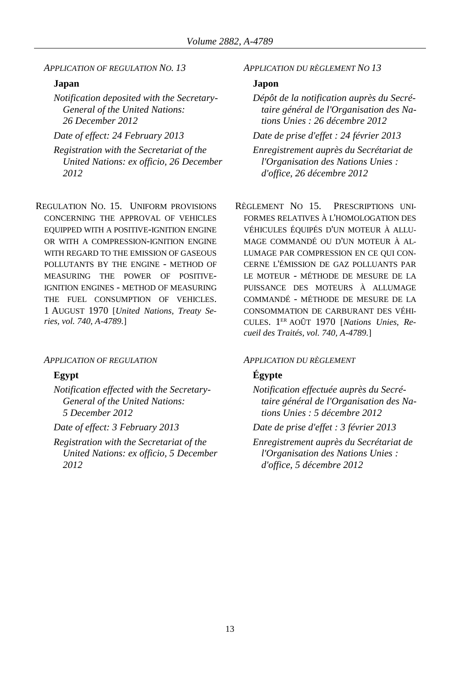*APPLICATION OF REGULATION NO. 13 APPLICATION DU RÈGLEMENT NO 13*

## **Japan Japon**

*Notification deposited with the Secretary-General of the United Nations: 26 December 2012*

*Registration with the Secretariat of the United Nations: ex officio, 26 December 2012*

REGULATION NO. 15. UNIFORM PROVISIONS CONCERNING THE APPROVAL OF VEHICLES EQUIPPED WITH A POSITIVE-IGNITION ENGINE OR WITH A COMPRESSION-IGNITION ENGINE WITH REGARD TO THE EMISSION OF GASEOUS POLLUTANTS BY THE ENGINE - METHOD OF MEASURING THE POWER OF POSITIVE-IGNITION ENGINES - METHOD OF MEASURING THE FUEL CONSUMPTION OF VEHICLES. 1 AUGUST 1970 [*United Nations, Treaty Series, vol. 740, A-4789.*]

### *APPLICATION OF REGULATION APPLICATION DU RÈGLEMENT*

*Notification effected with the Secretary-General of the United Nations: 5 December 2012*

*Registration with the Secretariat of the United Nations: ex officio, 5 December 2012*

*Dépôt de la notification auprès du Secrétaire général de l'Organisation des Nations Unies : 26 décembre 2012*

*Date of effect: 24 February 2013 Date de prise d'effet : 24 février 2013*

*Enregistrement auprès du Secrétariat de l'Organisation des Nations Unies : d'office, 26 décembre 2012*

RÈGLEMENT NO 15. PRESCRIPTIONS UNI-FORMES RELATIVES À L'HOMOLOGATION DES VÉHICULES ÉQUIPÉS D'UN MOTEUR À ALLU-MAGE COMMANDÉ OU D'UN MOTEUR À AL-LUMAGE PAR COMPRESSION EN CE QUI CON-CERNE L'ÉMISSION DE GAZ POLLUANTS PAR LE MOTEUR - MÉTHODE DE MESURE DE LA PUISSANCE DES MOTEURS À ALLUMAGE COMMANDÉ - MÉTHODE DE MESURE DE LA CONSOMMATION DE CARBURANT DES VÉHI-CULES. 1 ER AOÛT 1970 [*Nations Unies, Recueil des Traités, vol. 740, A-4789.*]

### **Egypt Égypte**

*Notification effectuée auprès du Secrétaire général de l'Organisation des Nations Unies : 5 décembre 2012*

*Date of effect: 3 February 2013 Date de prise d'effet : 3 février 2013*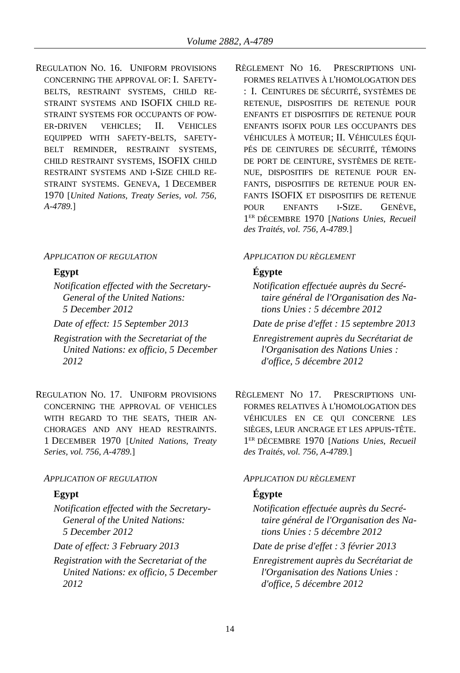REGULATION NO. 16. UNIFORM PROVISIONS CONCERNING THE APPROVAL OF: I. SAFETY-BELTS, RESTRAINT SYSTEMS, CHILD RE-STRAINT SYSTEMS AND ISOFIX CHILD RE-STRAINT SYSTEMS FOR OCCUPANTS OF POW-ER-DRIVEN VEHICLES; II. VEHICLES EQUIPPED WITH SAFETY-BELTS, SAFETY-BELT REMINDER, RESTRAINT SYSTEMS, CHILD RESTRAINT SYSTEMS, ISOFIX CHILD RESTRAINT SYSTEMS AND I-SIZE CHILD RE-STRAINT SYSTEMS. GENEVA, 1 DECEMBER 1970 [*United Nations, Treaty Series, vol. 756, A-4789.*]

### *APPLICATION OF REGULATION APPLICATION DU RÈGLEMENT*

*Notification effected with the Secretary-General of the United Nations: 5 December 2012*

- *Registration with the Secretariat of the United Nations: ex officio, 5 December 2012*
- REGULATION NO. 17. UNIFORM PROVISIONS CONCERNING THE APPROVAL OF VEHICLES WITH REGARD TO THE SEATS, THEIR AN-CHORAGES AND ANY HEAD RESTRAINTS. 1 DECEMBER 1970 [*United Nations, Treaty Series, vol. 756, A-4789.*]

### *APPLICATION OF REGULATION APPLICATION DU RÈGLEMENT*

*Notification effected with the Secretary-General of the United Nations: 5 December 2012*

*Registration with the Secretariat of the United Nations: ex officio, 5 December 2012*

RÈGLEMENT NO 16. PRESCRIPTIONS UNI-FORMES RELATIVES À L'HOMOLOGATION DES : I. CEINTURES DE SÉCURITÉ, SYSTÈMES DE RETENUE, DISPOSITIFS DE RETENUE POUR ENFANTS ET DISPOSITIFS DE RETENUE POUR ENFANTS ISOFIX POUR LES OCCUPANTS DES VÉHICULES À MOTEUR; II. VÉHICULES ÉQUI-PÉS DE CEINTURES DE SÉCURITÉ, TÉMOINS DE PORT DE CEINTURE, SYSTÈMES DE RETE-NUE, DISPOSITIFS DE RETENUE POUR EN-FANTS, DISPOSITIFS DE RETENUE POUR EN-FANTS ISOFIX ET DISPOSITIFS DE RETENUE POUR ENFANTS I-SIZE. GENÈVE, 1 ER DÉCEMBRE 1970 [*Nations Unies, Recueil des Traités, vol. 756, A-4789.*]

### **Egypt Égypte**

- *Notification effectuée auprès du Secrétaire général de l'Organisation des Nations Unies : 5 décembre 2012*
- *Date of effect: 15 September 2013 Date de prise d'effet : 15 septembre 2013*

*Enregistrement auprès du Secrétariat de l'Organisation des Nations Unies : d'office, 5 décembre 2012*

RÈGLEMENT NO 17. PRESCRIPTIONS UNI-FORMES RELATIVES À L'HOMOLOGATION DES VÉHICULES EN CE QUI CONCERNE LES SIÈGES, LEUR ANCRAGE ET LES APPUIS-TÊTE. 1 ER DÉCEMBRE 1970 [*Nations Unies, Recueil des Traités, vol. 756, A-4789.*]

## **Egypt Égypte**

*Notification effectuée auprès du Secrétaire général de l'Organisation des Nations Unies : 5 décembre 2012*

*Date of effect: 3 February 2013 Date de prise d'effet : 3 février 2013*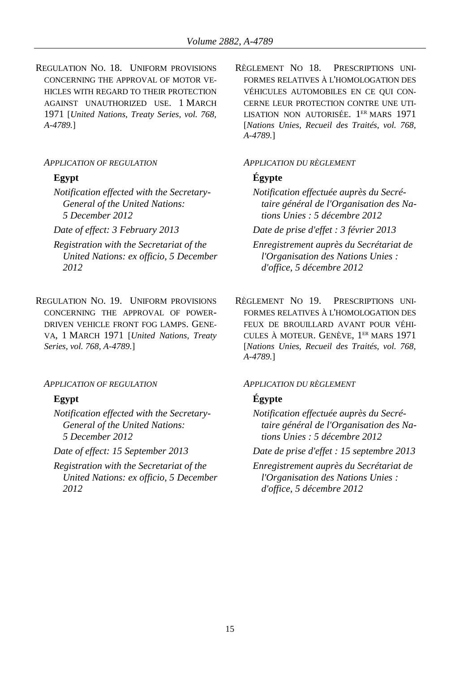REGULATION NO. 18. UNIFORM PROVISIONS CONCERNING THE APPROVAL OF MOTOR VE-HICLES WITH REGARD TO THEIR PROTECTION AGAINST UNAUTHORIZED USE. 1 MARCH 1971 [*United Nations, Treaty Series, vol. 768, A-4789.*]

*Notification effected with the Secretary-General of the United Nations: 5 December 2012*

- *Registration with the Secretariat of the United Nations: ex officio, 5 December 2012*
- REGULATION NO. 19. UNIFORM PROVISIONS CONCERNING THE APPROVAL OF POWER-DRIVEN VEHICLE FRONT FOG LAMPS. GENE-VA, 1 MARCH 1971 [*United Nations, Treaty Series, vol. 768, A-4789.*]

### *APPLICATION OF REGULATION APPLICATION DU RÈGLEMENT*

*Notification effected with the Secretary-General of the United Nations: 5 December 2012*

*Registration with the Secretariat of the United Nations: ex officio, 5 December 2012*

RÈGLEMENT NO 18. PRESCRIPTIONS UNI-FORMES RELATIVES À L'HOMOLOGATION DES VÉHICULES AUTOMOBILES EN CE QUI CON-CERNE LEUR PROTECTION CONTRE UNE UTI-LISATION NON AUTORISÉE. 1<sup>er</sup> mars 1971 [*Nations Unies, Recueil des Traités, vol. 768, A-4789.*]

### *APPLICATION OF REGULATION APPLICATION DU RÈGLEMENT*

# **Egypt Égypte**

*Notification effectuée auprès du Secrétaire général de l'Organisation des Nations Unies : 5 décembre 2012*

*Date of effect: 3 February 2013 Date de prise d'effet : 3 février 2013*

*Enregistrement auprès du Secrétariat de l'Organisation des Nations Unies : d'office, 5 décembre 2012*

RÈGLEMENT NO 19. PRESCRIPTIONS UNI-FORMES RELATIVES À L'HOMOLOGATION DES FEUX DE BROUILLARD AVANT POUR VÉHI-CULES À MOTEUR. GENÈVE, 1 ER MARS 1971 [*Nations Unies, Recueil des Traités, vol. 768, A-4789.*]

# **Egypt Égypte**

*Notification effectuée auprès du Secrétaire général de l'Organisation des Nations Unies : 5 décembre 2012*

*Date of effect: 15 September 2013 Date de prise d'effet : 15 septembre 2013*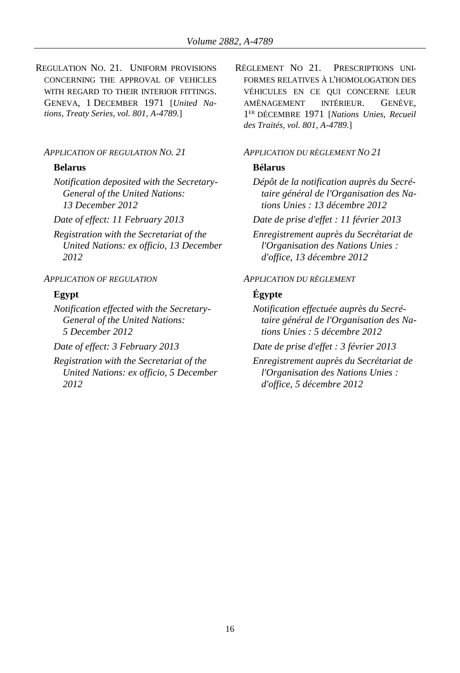REGULATION NO. 21. UNIFORM PROVISIONS CONCERNING THE APPROVAL OF VEHICLES WITH REGARD TO THEIR INTERIOR FITTINGS. GENEVA, 1 DECEMBER 1971 [*United Nations, Treaty Series, vol. 801, A-4789.*]

### *APPLICATION OF REGULATION NO. 21 APPLICATION DU RÈGLEMENT NO 21*

### **Belarus Bélarus**

*Notification deposited with the Secretary-General of the United Nations: 13 December 2012*

*Registration with the Secretariat of the United Nations: ex officio, 13 December 2012*

### *APPLICATION OF REGULATION APPLICATION DU RÈGLEMENT*

*Notification effected with the Secretary-General of the United Nations: 5 December 2012*

*Registration with the Secretariat of the United Nations: ex officio, 5 December 2012*

RÈGLEMENT NO 21. PRESCRIPTIONS UNI-FORMES RELATIVES À L'HOMOLOGATION DES VÉHICULES EN CE QUI CONCERNE LEUR AMÉNAGEMENT INTÉRIEUR. GENÈVE, 1 ER DÉCEMBRE 1971 [*Nations Unies, Recueil des Traités, vol. 801, A-4789.*]

*Dépôt de la notification auprès du Secrétaire général de l'Organisation des Nations Unies : 13 décembre 2012*

*Date of effect: 11 February 2013 Date de prise d'effet : 11 février 2013*

*Enregistrement auprès du Secrétariat de l'Organisation des Nations Unies : d'office, 13 décembre 2012*

## **Egypt Égypte**

*Notification effectuée auprès du Secrétaire général de l'Organisation des Nations Unies : 5 décembre 2012*

*Date of effect: 3 February 2013 Date de prise d'effet : 3 février 2013*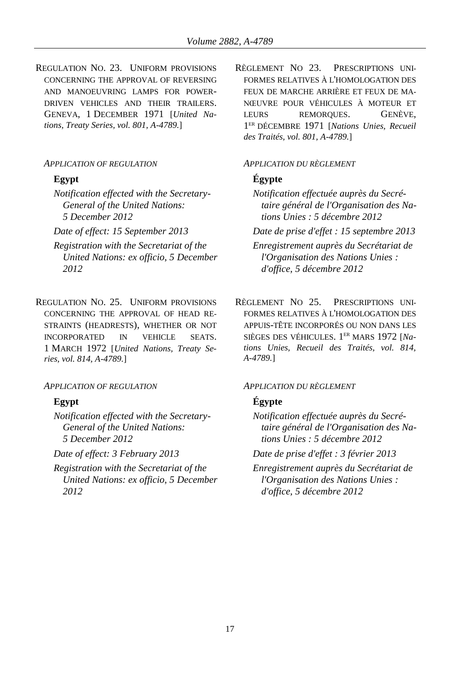REGULATION NO. 23. UNIFORM PROVISIONS CONCERNING THE APPROVAL OF REVERSING AND MANOEUVRING LAMPS FOR POWER-DRIVEN VEHICLES AND THEIR TRAILERS. GENEVA, 1 DECEMBER 1971 [*United Nations, Treaty Series, vol. 801, A-4789.*]

*Notification effected with the Secretary-General of the United Nations: 5 December 2012*

- *Registration with the Secretariat of the United Nations: ex officio, 5 December 2012*
- REGULATION NO. 25. UNIFORM PROVISIONS CONCERNING THE APPROVAL OF HEAD RE-STRAINTS (HEADRESTS), WHETHER OR NOT INCORPORATED IN VEHICLE SEATS. 1 MARCH 1972 [*United Nations, Treaty Series, vol. 814, A-4789.*]

### *APPLICATION OF REGULATION APPLICATION DU RÈGLEMENT*

*Notification effected with the Secretary-General of the United Nations: 5 December 2012*

*Registration with the Secretariat of the United Nations: ex officio, 5 December 2012*

RÈGLEMENT NO 23. PRESCRIPTIONS UNI-FORMES RELATIVES À L'HOMOLOGATION DES FEUX DE MARCHE ARRIÈRE ET FEUX DE MA-NŒUVRE POUR VÉHICULES À MOTEUR ET LEURS REMORQUES. GENÈVE, 1 ER DÉCEMBRE 1971 [*Nations Unies, Recueil des Traités, vol. 801, A-4789.*]

### *APPLICATION OF REGULATION APPLICATION DU RÈGLEMENT*

# **Egypt Égypte**

*Notification effectuée auprès du Secrétaire général de l'Organisation des Nations Unies : 5 décembre 2012*

*Date of effect: 15 September 2013 Date de prise d'effet : 15 septembre 2013 Enregistrement auprès du Secrétariat de l'Organisation des Nations Unies :* 

*d'office, 5 décembre 2012*

RÈGLEMENT NO 25. PRESCRIPTIONS UNI-FORMES RELATIVES À L'HOMOLOGATION DES APPUIS-TÊTE INCORPORÉS OU NON DANS LES SIÈGES DES VÉHICULES. 1 ER MARS 1972 [*Nations Unies, Recueil des Traités, vol. 814, A-4789.*]

# **Egypt Égypte**

*Notification effectuée auprès du Secrétaire général de l'Organisation des Nations Unies : 5 décembre 2012*

*Date of effect: 3 February 2013 Date de prise d'effet : 3 février 2013*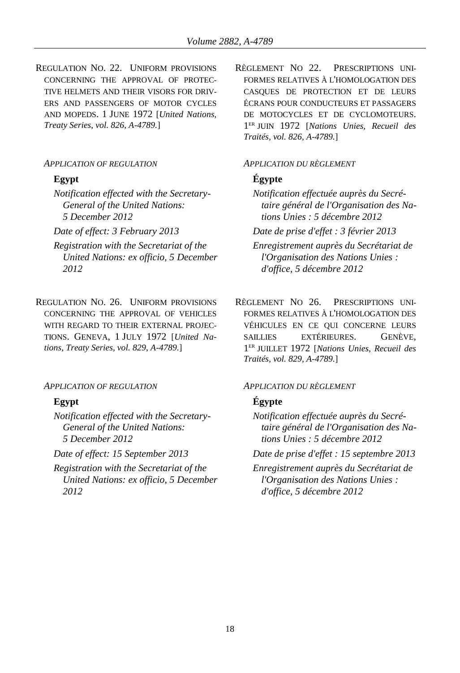REGULATION NO. 22. UNIFORM PROVISIONS CONCERNING THE APPROVAL OF PROTEC-TIVE HELMETS AND THEIR VISORS FOR DRIV-ERS AND PASSENGERS OF MOTOR CYCLES AND MOPEDS. 1 JUNE 1972 [*United Nations, Treaty Series, vol. 826, A-4789.*]

*Notification effected with the Secretary-General of the United Nations: 5 December 2012*

- *Registration with the Secretariat of the United Nations: ex officio, 5 December 2012*
- REGULATION NO. 26. UNIFORM PROVISIONS CONCERNING THE APPROVAL OF VEHICLES WITH REGARD TO THEIR EXTERNAL PROJEC-TIONS. GENEVA, 1 JULY 1972 [*United Nations, Treaty Series, vol. 829, A-4789.*]

### *APPLICATION OF REGULATION APPLICATION DU RÈGLEMENT*

*Notification effected with the Secretary-General of the United Nations: 5 December 2012*

*Registration with the Secretariat of the United Nations: ex officio, 5 December 2012*

RÈGLEMENT NO 22. PRESCRIPTIONS UNI-FORMES RELATIVES À L'HOMOLOGATION DES CASQUES DE PROTECTION ET DE LEURS ÉCRANS POUR CONDUCTEURS ET PASSAGERS DE MOTOCYCLES ET DE CYCLOMOTEURS. 1 ER JUIN 1972 [*Nations Unies, Recueil des Traités, vol. 826, A-4789.*]

### *APPLICATION OF REGULATION APPLICATION DU RÈGLEMENT*

### **Egypt Égypte**

*Notification effectuée auprès du Secrétaire général de l'Organisation des Nations Unies : 5 décembre 2012*

*Date of effect: 3 February 2013 Date de prise d'effet : 3 février 2013*

- *Enregistrement auprès du Secrétariat de l'Organisation des Nations Unies : d'office, 5 décembre 2012*
- RÈGLEMENT NO 26. PRESCRIPTIONS UNI-FORMES RELATIVES À L'HOMOLOGATION DES VÉHICULES EN CE QUI CONCERNE LEURS SAILLIES EXTÉRIEURES. GENÈVE, 1 ER JUILLET 1972 [*Nations Unies, Recueil des Traités, vol. 829, A-4789.*]

### **Egypt Égypte**

*Notification effectuée auprès du Secrétaire général de l'Organisation des Nations Unies : 5 décembre 2012*

*Date of effect: 15 September 2013 Date de prise d'effet : 15 septembre 2013*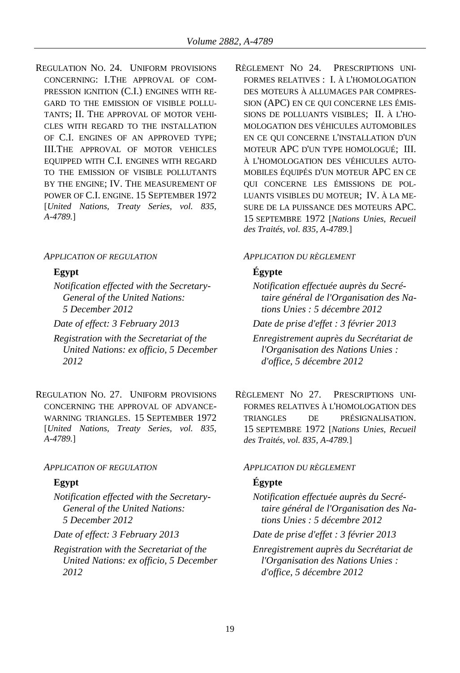REGULATION NO. 24. UNIFORM PROVISIONS CONCERNING: I.THE APPROVAL OF COM-PRESSION IGNITION (C.I.) ENGINES WITH RE-GARD TO THE EMISSION OF VISIBLE POLLU-TANTS; II. THE APPROVAL OF MOTOR VEHI-CLES WITH REGARD TO THE INSTALLATION OF C.I. ENGINES OF AN APPROVED TYPE; III.THE APPROVAL OF MOTOR VEHICLES EQUIPPED WITH C.I. ENGINES WITH REGARD TO THE EMISSION OF VISIBLE POLLUTANTS BY THE ENGINE; IV. THE MEASUREMENT OF POWER OF C.I. ENGINE. 15 SEPTEMBER 1972 [*United Nations, Treaty Series, vol. 835, A-4789.*]

### *APPLICATION OF REGULATION APPLICATION DU RÈGLEMENT*

*Notification effected with the Secretary-General of the United Nations: 5 December 2012*

- *Registration with the Secretariat of the United Nations: ex officio, 5 December 2012*
- REGULATION NO. 27. UNIFORM PROVISIONS CONCERNING THE APPROVAL OF ADVANCE-WARNING TRIANGLES. 15 SEPTEMBER 1972 [*United Nations, Treaty Series, vol. 835, A-4789.*]

## *APPLICATION OF REGULATION APPLICATION DU RÈGLEMENT*

*Notification effected with the Secretary-General of the United Nations: 5 December 2012*

*Registration with the Secretariat of the United Nations: ex officio, 5 December 2012*

RÈGLEMENT NO 24. PRESCRIPTIONS UNI-FORMES RELATIVES : I. À L'HOMOLOGATION DES MOTEURS À ALLUMAGES PAR COMPRES-SION (APC) EN CE QUI CONCERNE LES ÉMIS-SIONS DE POLLUANTS VISIBLES; II. À L'HO-MOLOGATION DES VÉHICULES AUTOMOBILES EN CE QUI CONCERNE L'INSTALLATION D'UN MOTEUR APC D'UN TYPE HOMOLOGUÉ; III. À L'HOMOLOGATION DES VÉHICULES AUTO-MOBILES ÉQUIPÉS D'UN MOTEUR APC EN CE QUI CONCERNE LES ÉMISSIONS DE POL-LUANTS VISIBLES DU MOTEUR; IV. À LA ME-SURE DE LA PUISSANCE DES MOTEURS APC. 15 SEPTEMBRE 1972 [*Nations Unies, Recueil des Traités, vol. 835, A-4789.*]

# **Egypt Égypte**

*Notification effectuée auprès du Secrétaire général de l'Organisation des Nations Unies : 5 décembre 2012*

*Date of effect: 3 February 2013 Date de prise d'effet : 3 février 2013*

*Enregistrement auprès du Secrétariat de l'Organisation des Nations Unies : d'office, 5 décembre 2012*

RÈGLEMENT NO 27. PRESCRIPTIONS UNI-FORMES RELATIVES À L'HOMOLOGATION DES TRIANGLES DE PRÉSIGNALISATION. 15 SEPTEMBRE 1972 [*Nations Unies, Recueil des Traités, vol. 835, A-4789.*]

# **Egypt Égypte**

*Notification effectuée auprès du Secrétaire général de l'Organisation des Nations Unies : 5 décembre 2012*

*Date of effect: 3 February 2013 Date de prise d'effet : 3 février 2013*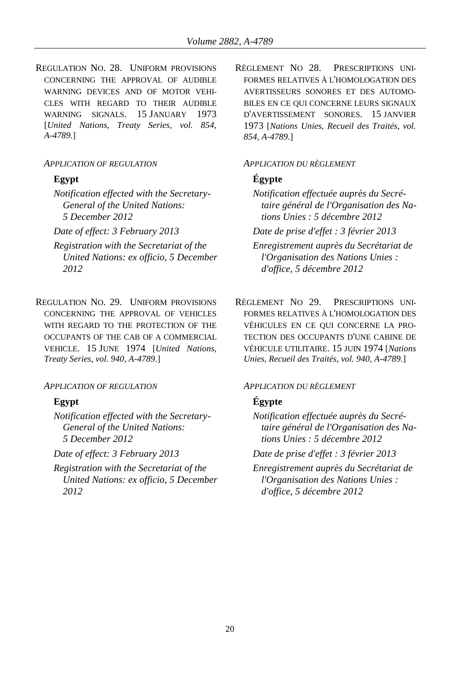REGULATION NO. 28. UNIFORM PROVISIONS CONCERNING THE APPROVAL OF AUDIBLE WARNING DEVICES AND OF MOTOR VEHI-CLES WITH REGARD TO THEIR AUDIBLE WARNING SIGNALS. 15 JANUARY 1973 [*United Nations, Treaty Series, vol. 854, A-4789.*]

*Notification effected with the Secretary-General of the United Nations: 5 December 2012*

- *Registration with the Secretariat of the United Nations: ex officio, 5 December 2012*
- REGULATION NO. 29. UNIFORM PROVISIONS CONCERNING THE APPROVAL OF VEHICLES WITH REGARD TO THE PROTECTION OF THE OCCUPANTS OF THE CAB OF A COMMERCIAL VEHICLE. 15 JUNE 1974 [*United Nations, Treaty Series, vol. 940, A-4789.*]

### *APPLICATION OF REGULATION APPLICATION DU RÈGLEMENT*

*Notification effected with the Secretary-General of the United Nations: 5 December 2012*

*Registration with the Secretariat of the United Nations: ex officio, 5 December 2012*

RÈGLEMENT NO 28. PRESCRIPTIONS UNI-FORMES RELATIVES À L'HOMOLOGATION DES AVERTISSEURS SONORES ET DES AUTOMO-BILES EN CE QUI CONCERNE LEURS SIGNAUX D'AVERTISSEMENT SONORES. 15 JANVIER 1973 [*Nations Unies, Recueil des Traités, vol. 854, A-4789.*]

### *APPLICATION OF REGULATION APPLICATION DU RÈGLEMENT*

# **Egypt Égypte**

*Notification effectuée auprès du Secrétaire général de l'Organisation des Nations Unies : 5 décembre 2012*

*Date of effect: 3 February 2013 Date de prise d'effet : 3 février 2013*

*Enregistrement auprès du Secrétariat de l'Organisation des Nations Unies : d'office, 5 décembre 2012*

RÈGLEMENT NO 29. PRESCRIPTIONS UNI-FORMES RELATIVES À L'HOMOLOGATION DES VÉHICULES EN CE QUI CONCERNE LA PRO-TECTION DES OCCUPANTS D'UNE CABINE DE VÉHICULE UTILITAIRE. 15 JUIN 1974 [*Nations Unies, Recueil des Traités, vol. 940, A-4789.*]

# **Egypt Égypte**

*Notification effectuée auprès du Secrétaire général de l'Organisation des Nations Unies : 5 décembre 2012*

*Date of effect: 3 February 2013 Date de prise d'effet : 3 février 2013*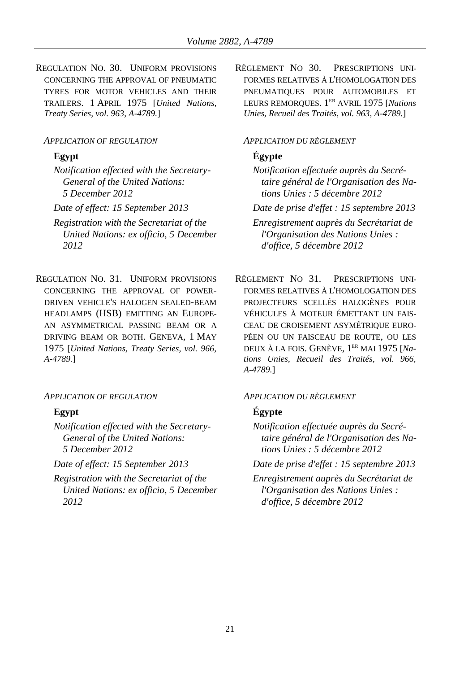REGULATION NO. 30. UNIFORM PROVISIONS CONCERNING THE APPROVAL OF PNEUMATIC TYRES FOR MOTOR VEHICLES AND THEIR TRAILERS. 1 APRIL 1975 [*United Nations, Treaty Series, vol. 963, A-4789.*]

### *APPLICATION OF REGULATION APPLICATION DU RÈGLEMENT*

*Notification effected with the Secretary-General of the United Nations: 5 December 2012*

*Registration with the Secretariat of the United Nations: ex officio, 5 December 2012*

REGULATION NO. 31. UNIFORM PROVISIONS CONCERNING THE APPROVAL OF POWER-DRIVEN VEHICLE'S HALOGEN SEALED-BEAM HEADLAMPS (HSB) EMITTING AN EUROPE-AN ASYMMETRICAL PASSING BEAM OR A DRIVING BEAM OR BOTH. GENEVA, 1 MAY 1975 [*United Nations, Treaty Series, vol. 966, A-4789.*]

*APPLICATION OF REGULATION APPLICATION DU RÈGLEMENT*

*Notification effected with the Secretary-General of the United Nations: 5 December 2012*

*Registration with the Secretariat of the United Nations: ex officio, 5 December 2012*

RÈGLEMENT NO 30. PRESCRIPTIONS UNI-FORMES RELATIVES À L'HOMOLOGATION DES PNEUMATIQUES POUR AUTOMOBILES ET LEURS REMORQUES. 1 ER AVRIL 1975 [*Nations Unies, Recueil des Traités, vol. 963, A-4789.*]

# **Egypt Égypte**

*Notification effectuée auprès du Secrétaire général de l'Organisation des Nations Unies : 5 décembre 2012*

*Date of effect: 15 September 2013 Date de prise d'effet : 15 septembre 2013*

*Enregistrement auprès du Secrétariat de l'Organisation des Nations Unies : d'office, 5 décembre 2012*

RÈGLEMENT NO 31. PRESCRIPTIONS UNI-FORMES RELATIVES À L'HOMOLOGATION DES PROJECTEURS SCELLÉS HALOGÈNES POUR VÉHICULES À MOTEUR ÉMETTANT UN FAIS-CEAU DE CROISEMENT ASYMÉTRIQUE EURO-PÉEN OU UN FAISCEAU DE ROUTE, OU LES DEUX À LA FOIS. GENÈVE, 1 ER MAI 1975 [*Nations Unies, Recueil des Traités, vol. 966, A-4789.*]

## **Egypt Égypte**

*Notification effectuée auprès du Secrétaire général de l'Organisation des Nations Unies : 5 décembre 2012*

*Date of effect: 15 September 2013 Date de prise d'effet : 15 septembre 2013*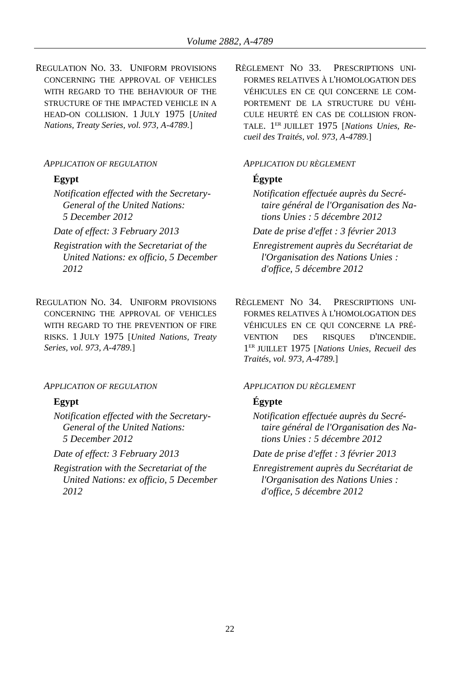REGULATION NO. 33. UNIFORM PROVISIONS CONCERNING THE APPROVAL OF VEHICLES WITH REGARD TO THE BEHAVIOUR OF THE STRUCTURE OF THE IMPACTED VEHICLE IN A HEAD-ON COLLISION. 1 JULY 1975 [*United Nations, Treaty Series, vol. 973, A-4789.*]

*Notification effected with the Secretary-General of the United Nations: 5 December 2012*

- *Registration with the Secretariat of the United Nations: ex officio, 5 December 2012*
- REGULATION NO. 34. UNIFORM PROVISIONS CONCERNING THE APPROVAL OF VEHICLES WITH REGARD TO THE PREVENTION OF FIRE RISKS. 1 JULY 1975 [*United Nations, Treaty Series, vol. 973, A-4789.*]

### *APPLICATION OF REGULATION APPLICATION DU RÈGLEMENT*

*Notification effected with the Secretary-General of the United Nations: 5 December 2012*

*Registration with the Secretariat of the United Nations: ex officio, 5 December 2012*

RÈGLEMENT NO 33. PRESCRIPTIONS UNI-FORMES RELATIVES À L'HOMOLOGATION DES VÉHICULES EN CE QUI CONCERNE LE COM-PORTEMENT DE LA STRUCTURE DU VÉHI-CULE HEURTÉ EN CAS DE COLLISION FRON-TALE. 1 ER JUILLET 1975 [*Nations Unies, Recueil des Traités, vol. 973, A-4789.*]

### *APPLICATION OF REGULATION APPLICATION DU RÈGLEMENT*

## **Egypt Égypte**

*Notification effectuée auprès du Secrétaire général de l'Organisation des Nations Unies : 5 décembre 2012*

*Date of effect: 3 February 2013 Date de prise d'effet : 3 février 2013*

*Enregistrement auprès du Secrétariat de l'Organisation des Nations Unies : d'office, 5 décembre 2012*

RÈGLEMENT NO 34. PRESCRIPTIONS UNI-FORMES RELATIVES À L'HOMOLOGATION DES VÉHICULES EN CE QUI CONCERNE LA PRÉ-VENTION DES RISQUES D'INCENDIE. 1 ER JUILLET 1975 [*Nations Unies, Recueil des Traités, vol. 973, A-4789.*]

## **Egypt Égypte**

*Notification effectuée auprès du Secrétaire général de l'Organisation des Nations Unies : 5 décembre 2012*

*Date of effect: 3 February 2013 Date de prise d'effet : 3 février 2013*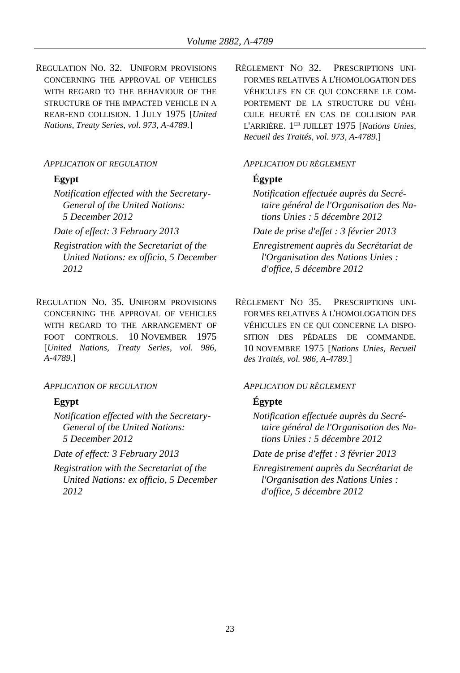REGULATION NO. 32. UNIFORM PROVISIONS CONCERNING THE APPROVAL OF VEHICLES WITH REGARD TO THE BEHAVIOUR OF THE STRUCTURE OF THE IMPACTED VEHICLE IN A REAR-END COLLISION. 1 JULY 1975 [*United Nations, Treaty Series, vol. 973, A-4789.*]

*Notification effected with the Secretary-General of the United Nations: 5 December 2012*

- *Registration with the Secretariat of the United Nations: ex officio, 5 December 2012*
- REGULATION NO. 35. UNIFORM PROVISIONS CONCERNING THE APPROVAL OF VEHICLES WITH REGARD TO THE ARRANGEMENT OF FOOT CONTROLS. 10 NOVEMBER 1975 [*United Nations, Treaty Series, vol. 986, A-4789.*]

### *APPLICATION OF REGULATION APPLICATION DU RÈGLEMENT*

*Notification effected with the Secretary-General of the United Nations: 5 December 2012*

*Registration with the Secretariat of the United Nations: ex officio, 5 December 2012*

RÈGLEMENT NO 32. PRESCRIPTIONS UNI-FORMES RELATIVES À L'HOMOLOGATION DES VÉHICULES EN CE QUI CONCERNE LE COM-PORTEMENT DE LA STRUCTURE DU VÉHI-CULE HEURTÉ EN CAS DE COLLISION PAR L'ARRIÈRE. 1 ER JUILLET 1975 [*Nations Unies, Recueil des Traités, vol. 973, A-4789.*]

### *APPLICATION OF REGULATION APPLICATION DU RÈGLEMENT*

# **Egypt Égypte**

*Notification effectuée auprès du Secrétaire général de l'Organisation des Nations Unies : 5 décembre 2012*

*Date of effect: 3 February 2013 Date de prise d'effet : 3 février 2013*

*Enregistrement auprès du Secrétariat de l'Organisation des Nations Unies : d'office, 5 décembre 2012*

RÈGLEMENT NO 35. PRESCRIPTIONS UNI-FORMES RELATIVES À L'HOMOLOGATION DES VÉHICULES EN CE QUI CONCERNE LA DISPO-SITION DES PÉDALES DE COMMANDE. 10 NOVEMBRE 1975 [*Nations Unies, Recueil des Traités, vol. 986, A-4789.*]

# **Egypt Égypte**

*Notification effectuée auprès du Secrétaire général de l'Organisation des Nations Unies : 5 décembre 2012*

*Date of effect: 3 February 2013 Date de prise d'effet : 3 février 2013*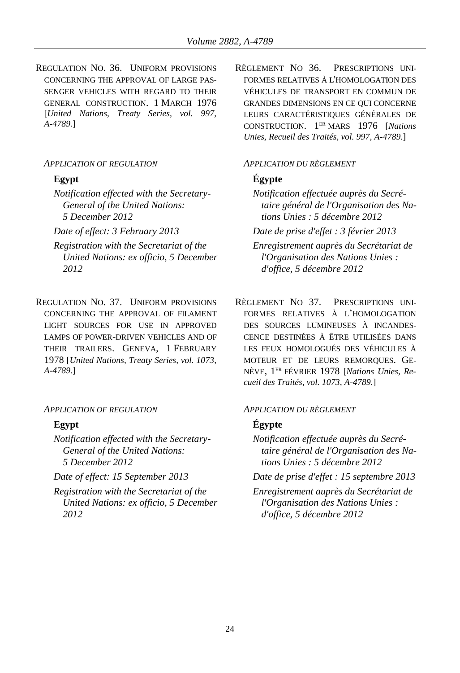REGULATION NO. 36. UNIFORM PROVISIONS CONCERNING THE APPROVAL OF LARGE PAS-SENGER VEHICLES WITH REGARD TO THEIR GENERAL CONSTRUCTION. 1 MARCH 1976 [*United Nations, Treaty Series, vol. 997, A-4789.*]

*Notification effected with the Secretary-General of the United Nations: 5 December 2012*

- *Registration with the Secretariat of the United Nations: ex officio, 5 December 2012*
- REGULATION NO. 37. UNIFORM PROVISIONS CONCERNING THE APPROVAL OF FILAMENT LIGHT SOURCES FOR USE IN APPROVED LAMPS OF POWER-DRIVEN VEHICLES AND OF THEIR TRAILERS. GENEVA, 1 FEBRUARY 1978 [*United Nations, Treaty Series, vol. 1073, A-4789.*]

### *APPLICATION OF REGULATION APPLICATION DU RÈGLEMENT*

*Notification effected with the Secretary-General of the United Nations: 5 December 2012*

*Registration with the Secretariat of the United Nations: ex officio, 5 December 2012*

RÈGLEMENT NO 36. PRESCRIPTIONS UNI-FORMES RELATIVES À L'HOMOLOGATION DES VÉHICULES DE TRANSPORT EN COMMUN DE GRANDES DIMENSIONS EN CE QUI CONCERNE LEURS CARACTÉRISTIQUES GÉNÉRALES DE CONSTRUCTION. 1 ER MARS 1976 [*Nations Unies, Recueil des Traités, vol. 997, A-4789.*]

### *APPLICATION OF REGULATION APPLICATION DU RÈGLEMENT*

# **Egypt Égypte**

*Notification effectuée auprès du Secrétaire général de l'Organisation des Nations Unies : 5 décembre 2012*

*Date of effect: 3 February 2013 Date de prise d'effet : 3 février 2013*

*Enregistrement auprès du Secrétariat de l'Organisation des Nations Unies : d'office, 5 décembre 2012*

RÈGLEMENT NO 37. PRESCRIPTIONS UNI-FORMES RELATIVES À L'HOMOLOGATION DES SOURCES LUMINEUSES À INCANDES-CENCE DESTINÉES À ÊTRE UTILISÉES DANS LES FEUX HOMOLOGUÉS DES VÉHICULES À MOTEUR ET DE LEURS REMORQUES. GE-NÈVE, 1 ER FÉVRIER 1978 [*Nations Unies, Recueil des Traités, vol. 1073, A-4789.*]

## **Egypt Égypte**

*Notification effectuée auprès du Secrétaire général de l'Organisation des Nations Unies : 5 décembre 2012*

*Date of effect: 15 September 2013 Date de prise d'effet : 15 septembre 2013*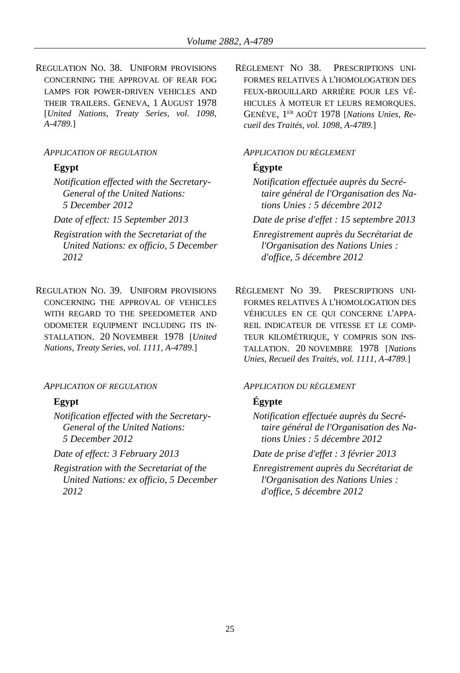REGULATION NO. 38. UNIFORM PROVISIONS CONCERNING THE APPROVAL OF REAR FOG LAMPS FOR POWER-DRIVEN VEHICLES AND THEIR TRAILERS. GENEVA, 1 AUGUST 1978 [*United Nations, Treaty Series, vol. 1098, A-4789.*]

### *APPLICATION OF REGULATION APPLICATION DU RÈGLEMENT*

*Notification effected with the Secretary-General of the United Nations: 5 December 2012*

- *Registration with the Secretariat of the United Nations: ex officio, 5 December 2012*
- REGULATION NO. 39. UNIFORM PROVISIONS CONCERNING THE APPROVAL OF VEHICLES WITH REGARD TO THE SPEEDOMETER AND ODOMETER EQUIPMENT INCLUDING ITS IN-STALLATION. 20 NOVEMBER 1978 [*United Nations, Treaty Series, vol. 1111, A-4789.*]

### *APPLICATION OF REGULATION APPLICATION DU RÈGLEMENT*

*Notification effected with the Secretary-General of the United Nations: 5 December 2012*

*Registration with the Secretariat of the United Nations: ex officio, 5 December 2012*

RÈGLEMENT NO 38. PRESCRIPTIONS UNI-FORMES RELATIVES À L'HOMOLOGATION DES FEUX-BROUILLARD ARRIÈRE POUR LES VÉ-HICULES À MOTEUR ET LEURS REMORQUES. GENÈVE, 1 ER AOÛT 1978 [*Nations Unies, Recueil des Traités, vol. 1098, A-4789.*]

## **Egypt Égypte**

*Notification effectuée auprès du Secrétaire général de l'Organisation des Nations Unies : 5 décembre 2012*

*Date of effect: 15 September 2013 Date de prise d'effet : 15 septembre 2013*

*Enregistrement auprès du Secrétariat de l'Organisation des Nations Unies : d'office, 5 décembre 2012*

RÈGLEMENT NO 39. PRESCRIPTIONS UNI-FORMES RELATIVES À L'HOMOLOGATION DES VÉHICULES EN CE QUI CONCERNE L'APPA-REIL INDICATEUR DE VITESSE ET LE COMP-TEUR KILOMÉTRIQUE, Y COMPRIS SON INS-TALLATION. 20 NOVEMBRE 1978 [*Nations Unies, Recueil des Traités, vol. 1111, A-4789.*]

## **Egypt Égypte**

*Notification effectuée auprès du Secrétaire général de l'Organisation des Nations Unies : 5 décembre 2012*

*Date of effect: 3 February 2013 Date de prise d'effet : 3 février 2013*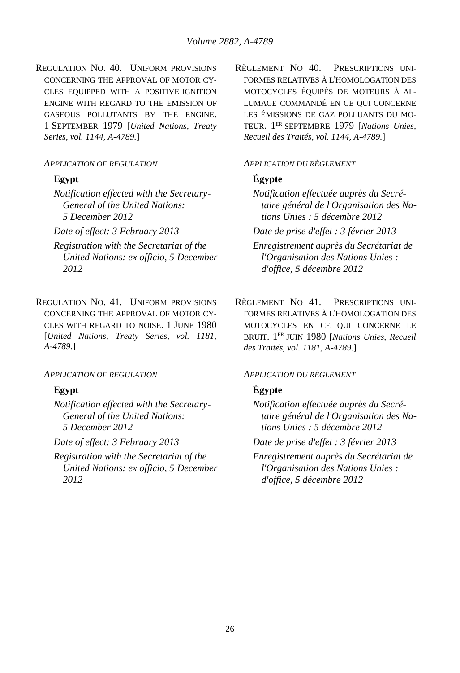REGULATION NO. 40. UNIFORM PROVISIONS CONCERNING THE APPROVAL OF MOTOR CY-CLES EQUIPPED WITH A POSITIVE-IGNITION ENGINE WITH REGARD TO THE EMISSION OF GASEOUS POLLUTANTS BY THE ENGINE. 1 SEPTEMBER 1979 [*United Nations, Treaty Series, vol. 1144, A-4789.*]

*Notification effected with the Secretary-General of the United Nations: 5 December 2012*

- *Registration with the Secretariat of the United Nations: ex officio, 5 December 2012*
- REGULATION NO. 41. UNIFORM PROVISIONS CONCERNING THE APPROVAL OF MOTOR CY-CLES WITH REGARD TO NOISE. 1 JUNE 1980 [*United Nations, Treaty Series, vol. 1181, A-4789.*]

### *APPLICATION OF REGULATION APPLICATION DU RÈGLEMENT*

*Notification effected with the Secretary-General of the United Nations: 5 December 2012*

*Registration with the Secretariat of the United Nations: ex officio, 5 December 2012*

RÈGLEMENT NO 40. PRESCRIPTIONS UNI-FORMES RELATIVES À L'HOMOLOGATION DES MOTOCYCLES ÉQUIPÉS DE MOTEURS À AL-LUMAGE COMMANDÉ EN CE QUI CONCERNE LES ÉMISSIONS DE GAZ POLLUANTS DU MO-TEUR. 1 ER SEPTEMBRE 1979 [*Nations Unies, Recueil des Traités, vol. 1144, A-4789.*]

### *APPLICATION OF REGULATION APPLICATION DU RÈGLEMENT*

# **Egypt Égypte**

*Notification effectuée auprès du Secrétaire général de l'Organisation des Nations Unies : 5 décembre 2012*

*Date of effect: 3 February 2013 Date de prise d'effet : 3 février 2013*

*Enregistrement auprès du Secrétariat de l'Organisation des Nations Unies : d'office, 5 décembre 2012*

RÈGLEMENT NO 41. PRESCRIPTIONS UNI-FORMES RELATIVES À L'HOMOLOGATION DES MOTOCYCLES EN CE QUI CONCERNE LE BRUIT. 1 ER JUIN 1980 [*Nations Unies, Recueil des Traités, vol. 1181, A-4789.*]

# **Egypt Égypte**

*Notification effectuée auprès du Secrétaire général de l'Organisation des Nations Unies : 5 décembre 2012*

*Date of effect: 3 February 2013 Date de prise d'effet : 3 février 2013*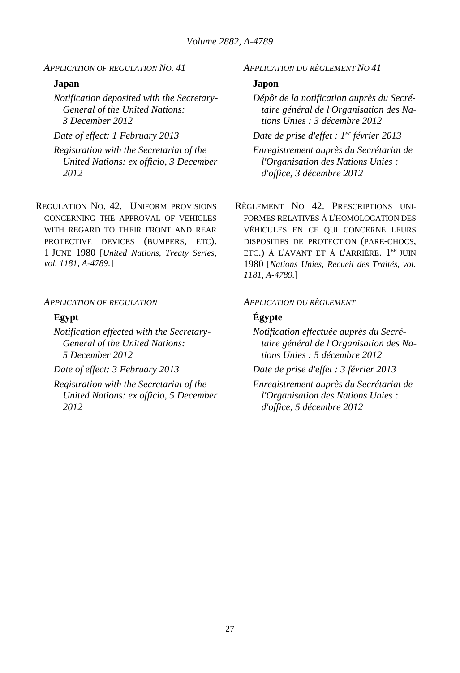*APPLICATION OF REGULATION NO. 41 APPLICATION DU RÈGLEMENT NO 41*

## **Japan Japon**

*Notification deposited with the Secretary-General of the United Nations: 3 December 2012*

*Date of effect: 1 February 2013 Date de prise d'effet : 1*

*Registration with the Secretariat of the United Nations: ex officio, 3 December 2012*

REGULATION NO. 42. UNIFORM PROVISIONS CONCERNING THE APPROVAL OF VEHICLES WITH REGARD TO THEIR FRONT AND REAR PROTECTIVE DEVICES (BUMPERS, ETC). 1 JUNE 1980 [*United Nations, Treaty Series, vol. 1181, A-4789.*]

### *APPLICATION OF REGULATION APPLICATION DU RÈGLEMENT*

*Notification effected with the Secretary-General of the United Nations: 5 December 2012*

*Registration with the Secretariat of the United Nations: ex officio, 5 December 2012*

*Dépôt de la notification auprès du Secrétaire général de l'Organisation des Nations Unies : 3 décembre 2012*

*Date de prise d'effet : l<sup>er</sup> février* 2013

*Enregistrement auprès du Secrétariat de l'Organisation des Nations Unies : d'office, 3 décembre 2012*

RÈGLEMENT NO 42. PRESCRIPTIONS UNI-FORMES RELATIVES À L'HOMOLOGATION DES VÉHICULES EN CE QUI CONCERNE LEURS DISPOSITIFS DE PROTECTION (PARE-CHOCS, ETC.) À L'AVANT ET À L'ARRIÈRE. 1<sup>ER</sup> JUIN 1980 [*Nations Unies, Recueil des Traités, vol. 1181, A-4789.*]

### **Egypt Égypte**

*Notification effectuée auprès du Secrétaire général de l'Organisation des Nations Unies : 5 décembre 2012*

*Date of effect: 3 February 2013 Date de prise d'effet : 3 février 2013*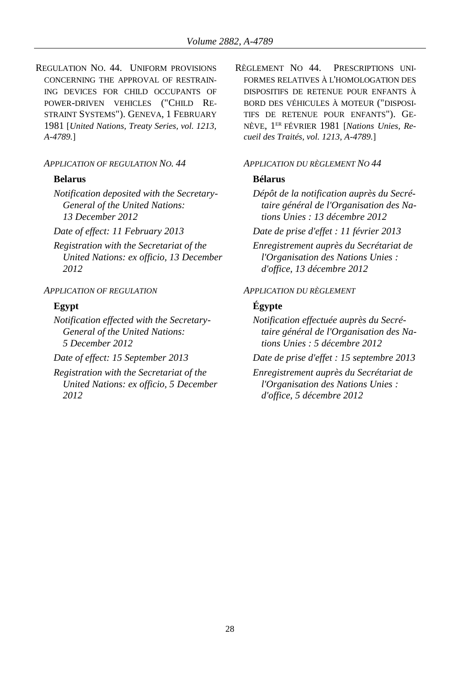REGULATION NO. 44. UNIFORM PROVISIONS CONCERNING THE APPROVAL OF RESTRAIN-ING DEVICES FOR CHILD OCCUPANTS OF POWER-DRIVEN VEHICLES ("CHILD RE-STRAINT SYSTEMS"). GENEVA, 1 FEBRUARY 1981 [*United Nations, Treaty Series, vol. 1213, A-4789.*]

### *APPLICATION OF REGULATION NO. 44 APPLICATION DU RÈGLEMENT NO 44*

### **Belarus Bélarus**

*Notification deposited with the Secretary-General of the United Nations: 13 December 2012*

*Registration with the Secretariat of the United Nations: ex officio, 13 December 2012*

*Notification effected with the Secretary-General of the United Nations: 5 December 2012*

*Registration with the Secretariat of the United Nations: ex officio, 5 December 2012*

RÈGLEMENT NO 44. PRESCRIPTIONS UNI-FORMES RELATIVES À L'HOMOLOGATION DES DISPOSITIFS DE RETENUE POUR ENFANTS À BORD DES VÉHICULES À MOTEUR ("DISPOSI-TIFS DE RETENUE POUR ENFANTS"). GE-NÈVE, 1 ER FÉVRIER 1981 [*Nations Unies, Recueil des Traités, vol. 1213, A-4789.*]

*Dépôt de la notification auprès du Secrétaire général de l'Organisation des Nations Unies : 13 décembre 2012*

*Date of effect: 11 February 2013 Date de prise d'effet : 11 février 2013*

*Enregistrement auprès du Secrétariat de l'Organisation des Nations Unies : d'office, 13 décembre 2012*

### *APPLICATION OF REGULATION APPLICATION DU RÈGLEMENT*

## **Egypt Égypte**

*Notification effectuée auprès du Secrétaire général de l'Organisation des Nations Unies : 5 décembre 2012*

*Date of effect: 15 September 2013 Date de prise d'effet : 15 septembre 2013*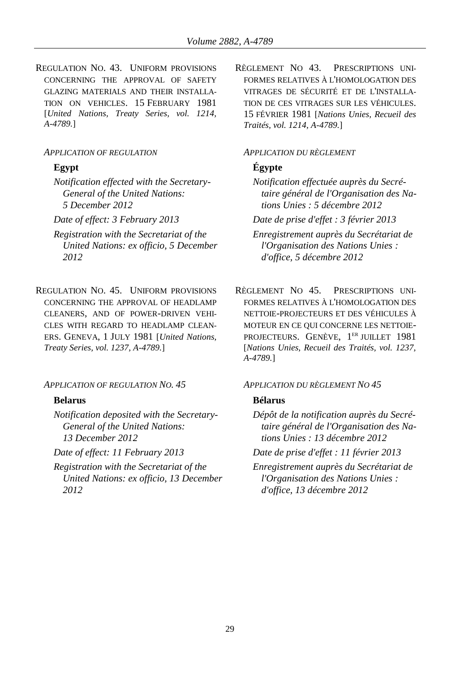REGULATION NO. 43. UNIFORM PROVISIONS CONCERNING THE APPROVAL OF SAFETY GLAZING MATERIALS AND THEIR INSTALLA-TION ON VEHICLES. 15 FEBRUARY 1981 [*United Nations, Treaty Series, vol. 1214, A-4789.*]

### *APPLICATION OF REGULATION APPLICATION DU RÈGLEMENT*

*Notification effected with the Secretary-General of the United Nations: 5 December 2012*

- *Registration with the Secretariat of the United Nations: ex officio, 5 December 2012*
- REGULATION NO. 45. UNIFORM PROVISIONS CONCERNING THE APPROVAL OF HEADLAMP CLEANERS, AND OF POWER-DRIVEN VEHI-CLES WITH REGARD TO HEADLAMP CLEAN-ERS. GENEVA, 1 JULY 1981 [*United Nations, Treaty Series, vol. 1237, A-4789.*]

### *APPLICATION OF REGULATION NO. 45 APPLICATION DU RÈGLEMENT NO 45*

### **Belarus Bélarus**

*Notification deposited with the Secretary-General of the United Nations: 13 December 2012*

*Registration with the Secretariat of the United Nations: ex officio, 13 December 2012*

RÈGLEMENT NO 43. PRESCRIPTIONS UNI-FORMES RELATIVES À L'HOMOLOGATION DES VITRAGES DE SÉCURITÉ ET DE L'INSTALLA-TION DE CES VITRAGES SUR LES VÉHICULES. 15 FÉVRIER 1981 [*Nations Unies, Recueil des Traités, vol. 1214, A-4789.*]

## **Egypt Égypte**

*Notification effectuée auprès du Secrétaire général de l'Organisation des Nations Unies : 5 décembre 2012*

*Date of effect: 3 February 2013 Date de prise d'effet : 3 février 2013*

*Enregistrement auprès du Secrétariat de l'Organisation des Nations Unies : d'office, 5 décembre 2012*

RÈGLEMENT NO 45. PRESCRIPTIONS UNI-FORMES RELATIVES À L'HOMOLOGATION DES NETTOIE-PROJECTEURS ET DES VÉHICULES À MOTEUR EN CE QUI CONCERNE LES NETTOIE-PROJECTEURS. GENÈVE, 1<sup>ER</sup> JUILLET 1981 [*Nations Unies, Recueil des Traités, vol. 1237, A-4789.*]

*Dépôt de la notification auprès du Secrétaire général de l'Organisation des Nations Unies : 13 décembre 2012*

*Date of effect: 11 February 2013 Date de prise d'effet : 11 février 2013*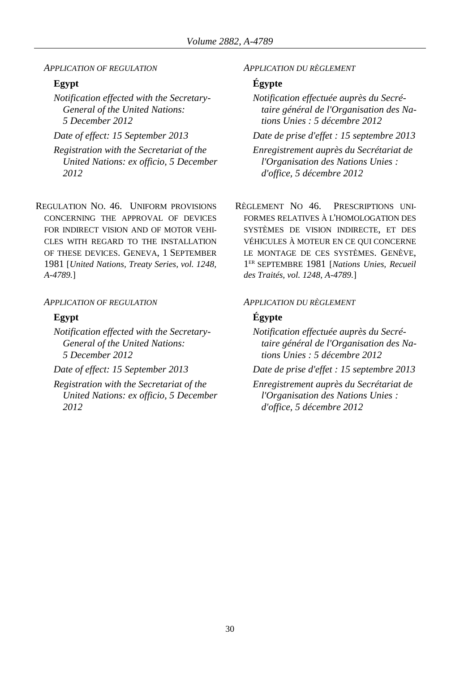*APPLICATION OF REGULATION APPLICATION DU RÈGLEMENT*

*Notification effected with the Secretary-General of the United Nations: 5 December 2012*

*Registration with the Secretariat of the United Nations: ex officio, 5 December 2012*

REGULATION NO. 46. UNIFORM PROVISIONS CONCERNING THE APPROVAL OF DEVICES FOR INDIRECT VISION AND OF MOTOR VEHI-CLES WITH REGARD TO THE INSTALLATION OF THESE DEVICES. GENEVA, 1 SEPTEMBER 1981 [*United Nations, Treaty Series, vol. 1248, A-4789.*]

### *APPLICATION OF REGULATION APPLICATION DU RÈGLEMENT*

*Notification effected with the Secretary-General of the United Nations: 5 December 2012*

*Registration with the Secretariat of the United Nations: ex officio, 5 December 2012*

## **Egypt Égypte**

*Notification effectuée auprès du Secrétaire général de l'Organisation des Nations Unies : 5 décembre 2012*

*Date of effect: 15 September 2013 Date de prise d'effet : 15 septembre 2013*

*Enregistrement auprès du Secrétariat de l'Organisation des Nations Unies : d'office, 5 décembre 2012*

RÈGLEMENT NO 46. PRESCRIPTIONS UNI-FORMES RELATIVES À L'HOMOLOGATION DES SYSTÈMES DE VISION INDIRECTE, ET DES VÉHICULES À MOTEUR EN CE QUI CONCERNE LE MONTAGE DE CES SYSTÈMES. GENÈVE, 1 ER SEPTEMBRE 1981 [*Nations Unies, Recueil des Traités, vol. 1248, A-4789.*]

### **Egypt Égypte**

*Notification effectuée auprès du Secrétaire général de l'Organisation des Nations Unies : 5 décembre 2012*

*Date of effect: 15 September 2013 Date de prise d'effet : 15 septembre 2013*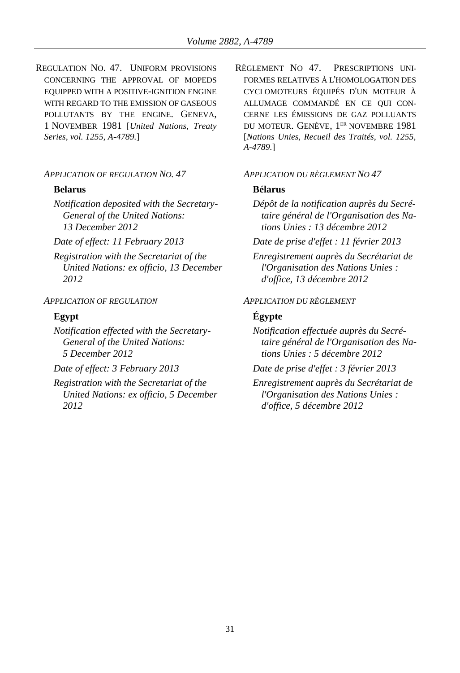REGULATION NO. 47. UNIFORM PROVISIONS CONCERNING THE APPROVAL OF MOPEDS EQUIPPED WITH A POSITIVE-IGNITION ENGINE WITH REGARD TO THE EMISSION OF GASEOUS POLLUTANTS BY THE ENGINE. GENEVA, 1 NOVEMBER 1981 [*United Nations, Treaty Series, vol. 1255, A-4789.*]

### *APPLICATION OF REGULATION NO. 47 APPLICATION DU RÈGLEMENT NO 47*

*Notification deposited with the Secretary-General of the United Nations: 13 December 2012*

*Registration with the Secretariat of the United Nations: ex officio, 13 December 2012*

*Notification effected with the Secretary-General of the United Nations: 5 December 2012*

*Registration with the Secretariat of the United Nations: ex officio, 5 December 2012*

RÈGLEMENT NO 47. PRESCRIPTIONS UNI-FORMES RELATIVES À L'HOMOLOGATION DES CYCLOMOTEURS ÉQUIPÉS D'UN MOTEUR À ALLUMAGE COMMANDÉ EN CE QUI CON-CERNE LES ÉMISSIONS DE GAZ POLLUANTS DU MOTEUR. GENÈVE, 1<sup>ER</sup> NOVEMBRE 1981 [*Nations Unies, Recueil des Traités, vol. 1255, A-4789.*]

### **Belarus Bélarus**

*Dépôt de la notification auprès du Secrétaire général de l'Organisation des Nations Unies : 13 décembre 2012*

*Date of effect: 11 February 2013 Date de prise d'effet : 11 février 2013*

*Enregistrement auprès du Secrétariat de l'Organisation des Nations Unies : d'office, 13 décembre 2012*

### *APPLICATION OF REGULATION APPLICATION DU RÈGLEMENT*

## **Egypt Égypte**

*Notification effectuée auprès du Secrétaire général de l'Organisation des Nations Unies : 5 décembre 2012*

*Date of effect: 3 February 2013 Date de prise d'effet : 3 février 2013*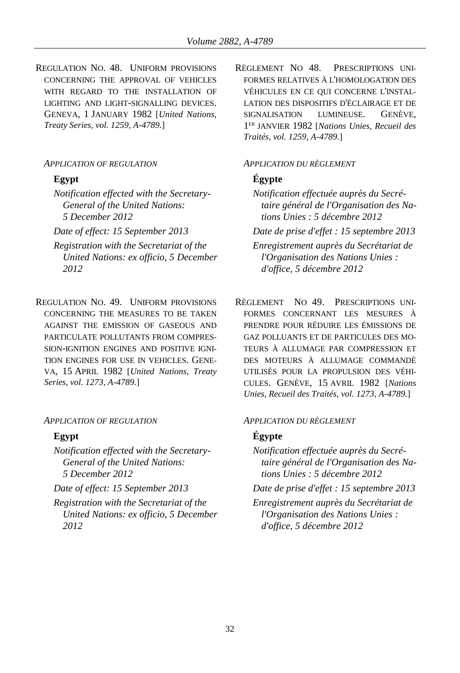REGULATION NO. 48. UNIFORM PROVISIONS CONCERNING THE APPROVAL OF VEHICLES WITH REGARD TO THE INSTALLATION OF LIGHTING AND LIGHT-SIGNALLING DEVICES. GENEVA, 1 JANUARY 1982 [*United Nations, Treaty Series, vol. 1259, A-4789.*]

*Notification effected with the Secretary-General of the United Nations: 5 December 2012*

- *Registration with the Secretariat of the United Nations: ex officio, 5 December 2012*
- REGULATION NO. 49. UNIFORM PROVISIONS CONCERNING THE MEASURES TO BE TAKEN AGAINST THE EMISSION OF GASEOUS AND PARTICULATE POLLUTANTS FROM COMPRES-SION-IGNITION ENGINES AND POSITIVE IGNI-TION ENGINES FOR USE IN VEHICLES. GENE-VA, 15 APRIL 1982 [*United Nations, Treaty Series, vol. 1273, A-4789.*]

### *APPLICATION OF REGULATION APPLICATION DU RÈGLEMENT*

*Notification effected with the Secretary-General of the United Nations: 5 December 2012*

*Registration with the Secretariat of the United Nations: ex officio, 5 December 2012*

RÈGLEMENT NO 48. PRESCRIPTIONS UNI-FORMES RELATIVES À L'HOMOLOGATION DES VÉHICULES EN CE QUI CONCERNE L'INSTAL-LATION DES DISPOSITIFS D'ÉCLAIRAGE ET DE SIGNALISATION LUMINEUSE. GENÈVE, 1 ER JANVIER 1982 [*Nations Unies, Recueil des Traités, vol. 1259, A-4789.*]

### *APPLICATION OF REGULATION APPLICATION DU RÈGLEMENT*

# **Egypt Égypte**

*Notification effectuée auprès du Secrétaire général de l'Organisation des Nations Unies : 5 décembre 2012*

*Date of effect: 15 September 2013 Date de prise d'effet : 15 septembre 2013 Enregistrement auprès du Secrétariat de* 

*l'Organisation des Nations Unies : d'office, 5 décembre 2012*

RÈGLEMENT NO 49. PRESCRIPTIONS UNI-FORMES CONCERNANT LES MESURES À PRENDRE POUR RÉDUIRE LES ÉMISSIONS DE GAZ POLLUANTS ET DE PARTICULES DES MO-TEURS À ALLUMAGE PAR COMPRESSION ET DES MOTEURS À ALLUMAGE COMMANDÉ UTILISÉS POUR LA PROPULSION DES VÉHI-CULES. GENÈVE, 15 AVRIL 1982 [*Nations Unies, Recueil des Traités, vol. 1273, A-4789.*]

## **Egypt Égypte**

*Notification effectuée auprès du Secrétaire général de l'Organisation des Nations Unies : 5 décembre 2012*

*Date of effect: 15 September 2013 Date de prise d'effet : 15 septembre 2013*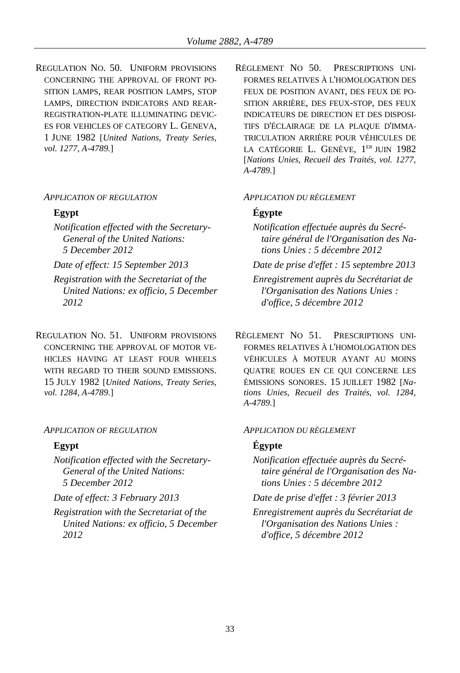REGULATION NO. 50. UNIFORM PROVISIONS CONCERNING THE APPROVAL OF FRONT PO-SITION LAMPS, REAR POSITION LAMPS, STOP LAMPS, DIRECTION INDICATORS AND REAR-REGISTRATION-PLATE ILLUMINATING DEVIC-ES FOR VEHICLES OF CATEGORY L. GENEVA, 1 JUNE 1982 [*United Nations, Treaty Series, vol. 1277, A-4789.*]

### *APPLICATION OF REGULATION APPLICATION DU RÈGLEMENT*

*Notification effected with the Secretary-General of the United Nations: 5 December 2012*

*Registration with the Secretariat of the United Nations: ex officio, 5 December 2012*

REGULATION NO. 51. UNIFORM PROVISIONS CONCERNING THE APPROVAL OF MOTOR VE-HICLES HAVING AT LEAST FOUR WHEELS WITH REGARD TO THEIR SOUND EMISSIONS. 15 JULY 1982 [*United Nations, Treaty Series, vol. 1284, A-4789.*]

### *APPLICATION OF REGULATION APPLICATION DU RÈGLEMENT*

*Notification effected with the Secretary-General of the United Nations: 5 December 2012*

*Registration with the Secretariat of the United Nations: ex officio, 5 December 2012*

RÈGLEMENT NO 50. PRESCRIPTIONS UNI-FORMES RELATIVES À L'HOMOLOGATION DES FEUX DE POSITION AVANT, DES FEUX DE PO-SITION ARRIÈRE, DES FEUX-STOP, DES FEUX INDICATEURS DE DIRECTION ET DES DISPOSI-TIFS D'ÉCLAIRAGE DE LA PLAQUE D'IMMA-TRICULATION ARRIÈRE POUR VÉHICULES DE LA CATÉGORIE L. GENÈVE, 1<sup>er</sup> juin 1982 [*Nations Unies, Recueil des Traités, vol. 1277, A-4789.*]

### **Egypt Égypte**

- *Notification effectuée auprès du Secrétaire général de l'Organisation des Nations Unies : 5 décembre 2012*
- *Date of effect: 15 September 2013 Date de prise d'effet : 15 septembre 2013*

*Enregistrement auprès du Secrétariat de l'Organisation des Nations Unies : d'office, 5 décembre 2012*

RÈGLEMENT NO 51. PRESCRIPTIONS UNI-FORMES RELATIVES À L'HOMOLOGATION DES VÉHICULES À MOTEUR AYANT AU MOINS QUATRE ROUES EN CE QUI CONCERNE LES ÉMISSIONS SONORES. 15 JUILLET 1982 [*Nations Unies, Recueil des Traités, vol. 1284, A-4789.*]

## **Egypt Égypte**

*Notification effectuée auprès du Secrétaire général de l'Organisation des Nations Unies : 5 décembre 2012*

*Date of effect: 3 February 2013 Date de prise d'effet : 3 février 2013*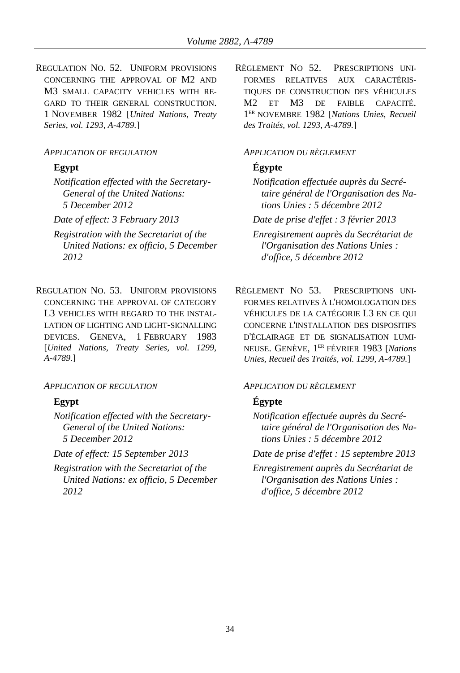REGULATION NO. 52. UNIFORM PROVISIONS CONCERNING THE APPROVAL OF M2 AND M3 SMALL CAPACITY VEHICLES WITH RE-GARD TO THEIR GENERAL CONSTRUCTION. 1 NOVEMBER 1982 [*United Nations, Treaty Series, vol. 1293, A-4789.*]

### *APPLICATION OF REGULATION APPLICATION DU RÈGLEMENT*

*Notification effected with the Secretary-General of the United Nations: 5 December 2012*

- *Registration with the Secretariat of the United Nations: ex officio, 5 December 2012*
- REGULATION NO. 53. UNIFORM PROVISIONS CONCERNING THE APPROVAL OF CATEGORY L3 VEHICLES WITH REGARD TO THE INSTAL-LATION OF LIGHTING AND LIGHT-SIGNALLING DEVICES. GENEVA, 1 FEBRUARY 1983 [*United Nations, Treaty Series, vol. 1299, A-4789.*]

## *APPLICATION OF REGULATION APPLICATION DU RÈGLEMENT*

*Notification effected with the Secretary-General of the United Nations: 5 December 2012*

*Registration with the Secretariat of the United Nations: ex officio, 5 December 2012*

RÈGLEMENT NO 52. PRESCRIPTIONS UNI-FORMES RELATIVES AUX CARACTÉRIS-TIQUES DE CONSTRUCTION DES VÉHICULES M2 ET M3 DE FAIBLE CAPACITÉ. 1 ER NOVEMBRE 1982 [*Nations Unies, Recueil des Traités, vol. 1293, A-4789.*]

## **Egypt Égypte**

*Notification effectuée auprès du Secrétaire général de l'Organisation des Nations Unies : 5 décembre 2012*

*Date of effect: 3 February 2013 Date de prise d'effet : 3 février 2013*

*Enregistrement auprès du Secrétariat de l'Organisation des Nations Unies : d'office, 5 décembre 2012*

RÈGLEMENT NO 53. PRESCRIPTIONS UNI-FORMES RELATIVES À L'HOMOLOGATION DES VÉHICULES DE LA CATÉGORIE L3 EN CE QUI CONCERNE L'INSTALLATION DES DISPOSITIFS D'ÉCLAIRAGE ET DE SIGNALISATION LUMI-NEUSE. GENÈVE, 1 ER FÉVRIER 1983 [*Nations Unies, Recueil des Traités, vol. 1299, A-4789.*]

# **Egypt Égypte**

*Notification effectuée auprès du Secrétaire général de l'Organisation des Nations Unies : 5 décembre 2012*

*Date of effect: 15 September 2013 Date de prise d'effet : 15 septembre 2013*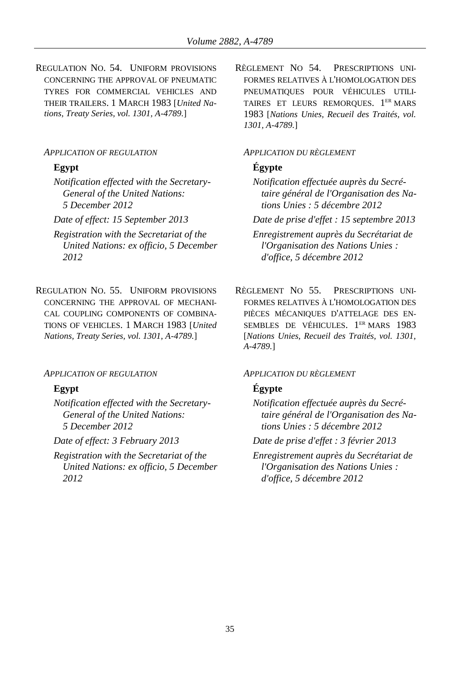REGULATION NO. 54. UNIFORM PROVISIONS CONCERNING THE APPROVAL OF PNEUMATIC TYRES FOR COMMERCIAL VEHICLES AND THEIR TRAILERS. 1 MARCH 1983 [*United Nations, Treaty Series, vol. 1301, A-4789.*]

### *APPLICATION OF REGULATION APPLICATION DU RÈGLEMENT*

*Notification effected with the Secretary-General of the United Nations: 5 December 2012*

- *Registration with the Secretariat of the United Nations: ex officio, 5 December 2012*
- REGULATION NO. 55. UNIFORM PROVISIONS CONCERNING THE APPROVAL OF MECHANI-CAL COUPLING COMPONENTS OF COMBINA-TIONS OF VEHICLES. 1 MARCH 1983 [*United Nations, Treaty Series, vol. 1301, A-4789.*]

### *APPLICATION OF REGULATION APPLICATION DU RÈGLEMENT*

*Notification effected with the Secretary-General of the United Nations: 5 December 2012*

*Registration with the Secretariat of the United Nations: ex officio, 5 December 2012*

RÈGLEMENT NO 54. PRESCRIPTIONS UNI-FORMES RELATIVES À L'HOMOLOGATION DES PNEUMATIQUES POUR VÉHICULES UTILI-TAIRES ET LEURS REMORQUES. 1<sup>ER</sup> MARS 1983 [*Nations Unies, Recueil des Traités, vol. 1301, A-4789.*]

## **Egypt Égypte**

*Notification effectuée auprès du Secrétaire général de l'Organisation des Nations Unies : 5 décembre 2012*

*Date of effect: 15 September 2013 Date de prise d'effet : 15 septembre 2013*

*Enregistrement auprès du Secrétariat de l'Organisation des Nations Unies : d'office, 5 décembre 2012*

RÈGLEMENT NO 55. PRESCRIPTIONS UNI-FORMES RELATIVES À L'HOMOLOGATION DES PIÈCES MÉCANIQUES D'ATTELAGE DES EN-SEMBLES DE VÉHICULES. 1<sup>ER</sup> MARS 1983 [*Nations Unies, Recueil des Traités, vol. 1301, A-4789.*]

### **Egypt Égypte**

*Notification effectuée auprès du Secrétaire général de l'Organisation des Nations Unies : 5 décembre 2012*

*Date of effect: 3 February 2013 Date de prise d'effet : 3 février 2013*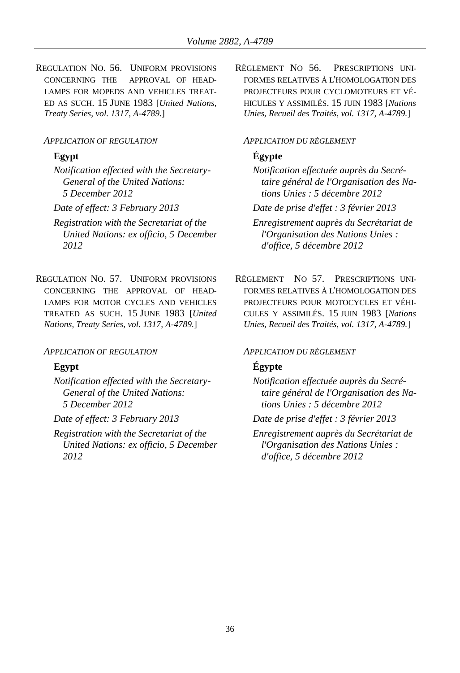REGULATION NO. 56. UNIFORM PROVISIONS CONCERNING THE APPROVAL OF HEAD-LAMPS FOR MOPEDS AND VEHICLES TREAT-ED AS SUCH. 15 JUNE 1983 [*United Nations, Treaty Series, vol. 1317, A-4789.*]

### *APPLICATION OF REGULATION APPLICATION DU RÈGLEMENT*

*Notification effected with the Secretary-General of the United Nations: 5 December 2012*

*Registration with the Secretariat of the United Nations: ex officio, 5 December 2012*

REGULATION NO. 57. UNIFORM PROVISIONS CONCERNING THE APPROVAL OF HEAD-LAMPS FOR MOTOR CYCLES AND VEHICLES TREATED AS SUCH. 15 JUNE 1983 [*United Nations, Treaty Series, vol. 1317, A-4789.*]

### *APPLICATION OF REGULATION APPLICATION DU RÈGLEMENT*

*Notification effected with the Secretary-General of the United Nations: 5 December 2012*

*Registration with the Secretariat of the United Nations: ex officio, 5 December 2012*

RÈGLEMENT NO 56. PRESCRIPTIONS UNI-FORMES RELATIVES À L'HOMOLOGATION DES PROJECTEURS POUR CYCLOMOTEURS ET VÉ-HICULES Y ASSIMILÉS. 15 JUIN 1983 [*Nations Unies, Recueil des Traités, vol. 1317, A-4789.*]

# **Egypt Égypte**

*Notification effectuée auprès du Secrétaire général de l'Organisation des Nations Unies : 5 décembre 2012*

*Date of effect: 3 February 2013 Date de prise d'effet : 3 février 2013*

*Enregistrement auprès du Secrétariat de l'Organisation des Nations Unies : d'office, 5 décembre 2012*

RÈGLEMENT NO 57. PRESCRIPTIONS UNI-FORMES RELATIVES À L'HOMOLOGATION DES PROJECTEURS POUR MOTOCYCLES ET VÉHI-CULES Y ASSIMILÉS. 15 JUIN 1983 [*Nations Unies, Recueil des Traités, vol. 1317, A-4789.*]

# **Egypt Égypte**

*Notification effectuée auprès du Secrétaire général de l'Organisation des Nations Unies : 5 décembre 2012*

*Date of effect: 3 February 2013 Date de prise d'effet : 3 février 2013*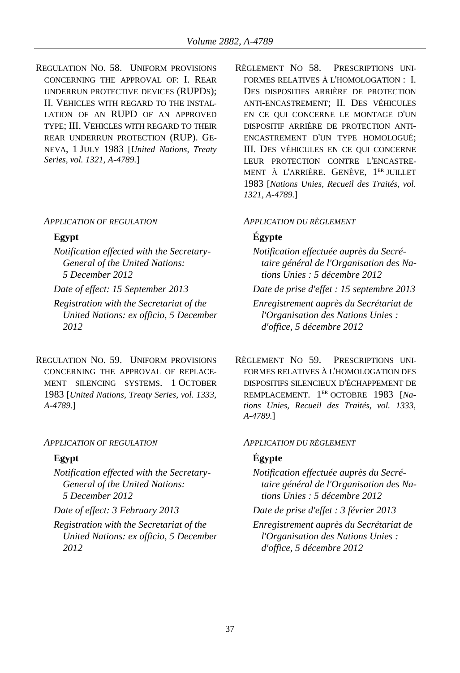REGULATION NO. 58. UNIFORM PROVISIONS CONCERNING THE APPROVAL OF: I. REAR UNDERRUN PROTECTIVE DEVICES (RUPDS); II. VEHICLES WITH REGARD TO THE INSTAL-LATION OF AN RUPD OF AN APPROVED TYPE; III. VEHICLES WITH REGARD TO THEIR REAR UNDERRUN PROTECTION (RUP). GE-NEVA, 1 JULY 1983 [*United Nations, Treaty Series, vol. 1321, A-4789.*]

### *APPLICATION OF REGULATION APPLICATION DU RÈGLEMENT*

*Notification effected with the Secretary-General of the United Nations: 5 December 2012*

*Registration with the Secretariat of the United Nations: ex officio, 5 December 2012*

REGULATION NO. 59. UNIFORM PROVISIONS CONCERNING THE APPROVAL OF REPLACE-MENT SILENCING SYSTEMS. 1 OCTOBER 1983 [*United Nations, Treaty Series, vol. 1333, A-4789.*]

### *APPLICATION OF REGULATION APPLICATION DU RÈGLEMENT*

*Notification effected with the Secretary-General of the United Nations: 5 December 2012*

*Registration with the Secretariat of the United Nations: ex officio, 5 December 2012*

RÈGLEMENT NO 58. PRESCRIPTIONS UNI-FORMES RELATIVES À L'HOMOLOGATION : I. DES DISPOSITIFS ARRIÈRE DE PROTECTION ANTI-ENCASTREMENT; II. DES VÉHICULES EN CE QUI CONCERNE LE MONTAGE D'UN DISPOSITIF ARRIÈRE DE PROTECTION ANTI-ENCASTREMENT D'UN TYPE HOMOLOGUÉ; III. DES VÉHICULES EN CE QUI CONCERNE LEUR PROTECTION CONTRE L'ENCASTRE-MENT À L'ARRIÈRE. GENÈVE, 1 ER JUILLET 1983 [*Nations Unies, Recueil des Traités, vol. 1321, A-4789.*]

### **Egypt Égypte**

- *Notification effectuée auprès du Secrétaire général de l'Organisation des Nations Unies : 5 décembre 2012*
- *Date of effect: 15 September 2013 Date de prise d'effet : 15 septembre 2013*

*Enregistrement auprès du Secrétariat de l'Organisation des Nations Unies : d'office, 5 décembre 2012*

RÈGLEMENT NO 59. PRESCRIPTIONS UNI-FORMES RELATIVES À L'HOMOLOGATION DES DISPOSITIFS SILENCIEUX D'ÉCHAPPEMENT DE REMPLACEMENT. 1 ER OCTOBRE 1983 [*Nations Unies, Recueil des Traités, vol. 1333, A-4789.*]

## **Egypt Égypte**

*Notification effectuée auprès du Secrétaire général de l'Organisation des Nations Unies : 5 décembre 2012*

*Date of effect: 3 February 2013 Date de prise d'effet : 3 février 2013*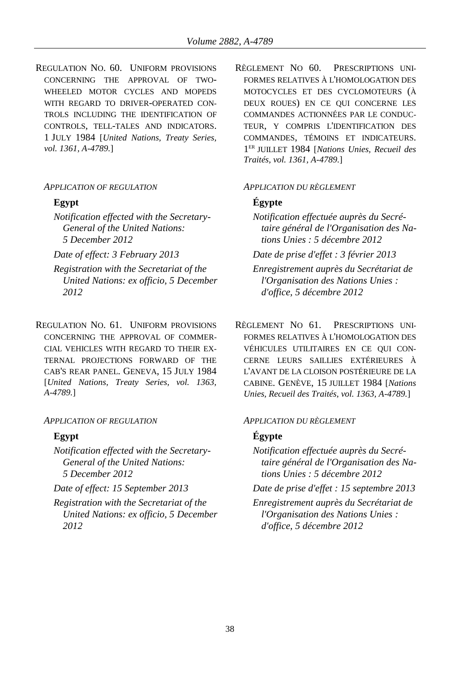REGULATION NO. 60. UNIFORM PROVISIONS CONCERNING THE APPROVAL OF TWO-WHEELED MOTOR CYCLES AND MOPEDS WITH REGARD TO DRIVER-OPERATED CON-TROLS INCLUDING THE IDENTIFICATION OF CONTROLS, TELL-TALES AND INDICATORS. 1 JULY 1984 [*United Nations, Treaty Series, vol. 1361, A-4789.*]

*Notification effected with the Secretary-General of the United Nations: 5 December 2012*

*Registration with the Secretariat of the United Nations: ex officio, 5 December 2012*

REGULATION NO. 61. UNIFORM PROVISIONS CONCERNING THE APPROVAL OF COMMER-CIAL VEHICLES WITH REGARD TO THEIR EX-TERNAL PROJECTIONS FORWARD OF THE CAB'S REAR PANEL. GENEVA, 15 JULY 1984 [*United Nations, Treaty Series, vol. 1363, A-4789.*]

### *APPLICATION OF REGULATION APPLICATION DU RÈGLEMENT*

*Notification effected with the Secretary-General of the United Nations: 5 December 2012*

*Registration with the Secretariat of the United Nations: ex officio, 5 December 2012*

RÈGLEMENT NO 60. PRESCRIPTIONS UNI-FORMES RELATIVES À L'HOMOLOGATION DES MOTOCYCLES ET DES CYCLOMOTEURS (À DEUX ROUES) EN CE QUI CONCERNE LES COMMANDES ACTIONNÉES PAR LE CONDUC-TEUR, Y COMPRIS L'IDENTIFICATION DES COMMANDES, TÉMOINS ET INDICATEURS. 1 ER JUILLET 1984 [*Nations Unies, Recueil des Traités, vol. 1361, A-4789.*]

### *APPLICATION OF REGULATION APPLICATION DU RÈGLEMENT*

# **Egypt Égypte**

*Notification effectuée auprès du Secrétaire général de l'Organisation des Nations Unies : 5 décembre 2012*

*Date of effect: 3 February 2013 Date de prise d'effet : 3 février 2013*

*Enregistrement auprès du Secrétariat de l'Organisation des Nations Unies : d'office, 5 décembre 2012*

RÈGLEMENT NO 61. PRESCRIPTIONS UNI-FORMES RELATIVES À L'HOMOLOGATION DES VÉHICULES UTILITAIRES EN CE QUI CON-CERNE LEURS SAILLIES EXTÉRIEURES À L'AVANT DE LA CLOISON POSTÉRIEURE DE LA CABINE. GENÈVE, 15 JUILLET 1984 [*Nations Unies, Recueil des Traités, vol. 1363, A-4789.*]

## **Egypt Égypte**

*Notification effectuée auprès du Secrétaire général de l'Organisation des Nations Unies : 5 décembre 2012*

*Date of effect: 15 September 2013 Date de prise d'effet : 15 septembre 2013*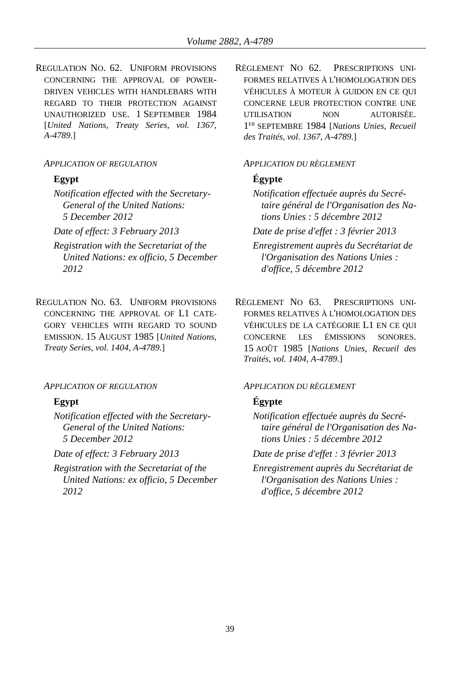REGULATION NO. 62. UNIFORM PROVISIONS CONCERNING THE APPROVAL OF POWER-DRIVEN VEHICLES WITH HANDLEBARS WITH REGARD TO THEIR PROTECTION AGAINST UNAUTHORIZED USE. 1 SEPTEMBER 1984 [*United Nations, Treaty Series, vol. 1367, A-4789.*]

### *APPLICATION OF REGULATION APPLICATION DU RÈGLEMENT*

*Notification effected with the Secretary-General of the United Nations: 5 December 2012*

- *Registration with the Secretariat of the United Nations: ex officio, 5 December 2012*
- REGULATION NO. 63. UNIFORM PROVISIONS CONCERNING THE APPROVAL OF L1 CATE-GORY VEHICLES WITH REGARD TO SOUND EMISSION. 15 AUGUST 1985 [*United Nations, Treaty Series, vol. 1404, A-4789.*]

### *APPLICATION OF REGULATION APPLICATION DU RÈGLEMENT*

*Notification effected with the Secretary-General of the United Nations: 5 December 2012*

*Registration with the Secretariat of the United Nations: ex officio, 5 December 2012*

RÈGLEMENT NO 62. PRESCRIPTIONS UNI-FORMES RELATIVES À L'HOMOLOGATION DES VÉHICULES À MOTEUR À GUIDON EN CE QUI CONCERNE LEUR PROTECTION CONTRE UNE UTILISATION NON AUTORISÉE. 1 ER SEPTEMBRE 1984 [*Nations Unies, Recueil des Traités, vol. 1367, A-4789.*]

## **Egypt Égypte**

*Notification effectuée auprès du Secrétaire général de l'Organisation des Nations Unies : 5 décembre 2012*

*Date of effect: 3 February 2013 Date de prise d'effet : 3 février 2013*

*Enregistrement auprès du Secrétariat de l'Organisation des Nations Unies : d'office, 5 décembre 2012*

RÈGLEMENT NO 63. PRESCRIPTIONS UNI-FORMES RELATIVES À L'HOMOLOGATION DES VÉHICULES DE LA CATÉGORIE L1 EN CE QUI CONCERNE LES ÉMISSIONS SONORES. 15 AOÛT 1985 [*Nations Unies, Recueil des Traités, vol. 1404, A-4789.*]

## **Egypt Égypte**

*Notification effectuée auprès du Secrétaire général de l'Organisation des Nations Unies : 5 décembre 2012*

*Date of effect: 3 February 2013 Date de prise d'effet : 3 février 2013*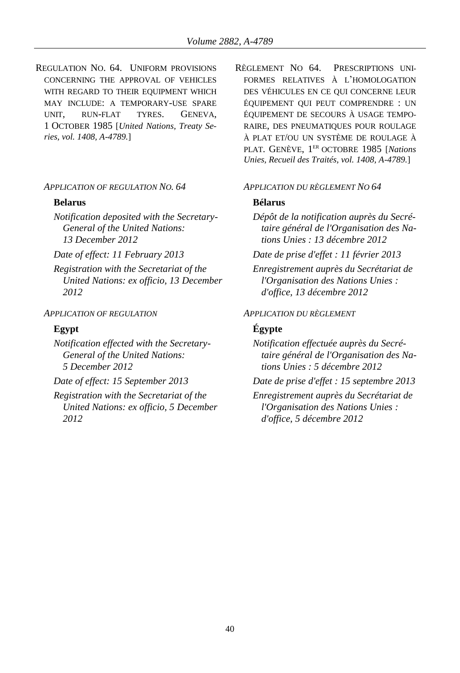REGULATION NO. 64. UNIFORM PROVISIONS CONCERNING THE APPROVAL OF VEHICLES WITH REGARD TO THEIR EQUIPMENT WHICH MAY INCLUDE: A TEMPORARY-USE SPARE UNIT, RUN-FLAT TYRES. GENEVA, 1 OCTOBER 1985 [*United Nations, Treaty Series, vol. 1408, A-4789.*]

### *APPLICATION OF REGULATION NO. 64 APPLICATION DU RÈGLEMENT NO 64*

### **Belarus Bélarus**

*Notification deposited with the Secretary-General of the United Nations: 13 December 2012*

*Registration with the Secretariat of the United Nations: ex officio, 13 December 2012*

*Notification effected with the Secretary-General of the United Nations: 5 December 2012*

*Registration with the Secretariat of the United Nations: ex officio, 5 December 2012*

RÈGLEMENT NO 64. PRESCRIPTIONS UNI-FORMES RELATIVES À L'HOMOLOGATION DES VÉHICULES EN CE QUI CONCERNE LEUR ÉQUIPEMENT QUI PEUT COMPRENDRE : UN ÉQUIPEMENT DE SECOURS À USAGE TEMPO-RAIRE, DES PNEUMATIQUES POUR ROULAGE À PLAT ET/OU UN SYSTÈME DE ROULAGE À PLAT. GENÈVE, 1 ER OCTOBRE 1985 [*Nations Unies, Recueil des Traités, vol. 1408, A-4789.*]

*Dépôt de la notification auprès du Secrétaire général de l'Organisation des Nations Unies : 13 décembre 2012*

*Date of effect: 11 February 2013 Date de prise d'effet : 11 février 2013*

*Enregistrement auprès du Secrétariat de l'Organisation des Nations Unies : d'office, 13 décembre 2012*

### *APPLICATION OF REGULATION APPLICATION DU RÈGLEMENT*

## **Egypt Égypte**

*Notification effectuée auprès du Secrétaire général de l'Organisation des Nations Unies : 5 décembre 2012*

*Date of effect: 15 September 2013 Date de prise d'effet : 15 septembre 2013*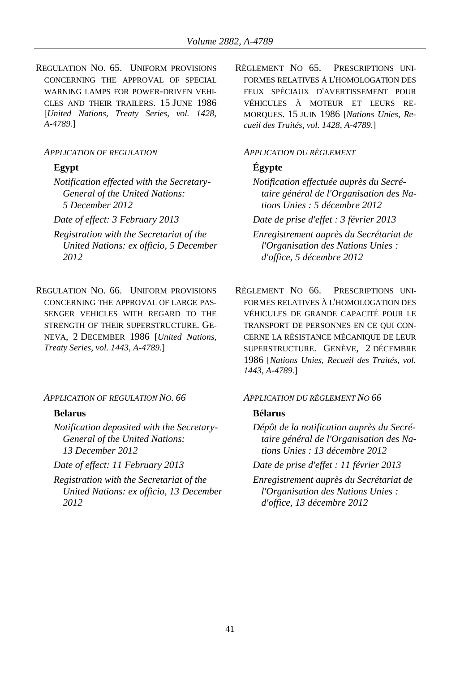REGULATION NO. 65. UNIFORM PROVISIONS CONCERNING THE APPROVAL OF SPECIAL WARNING LAMPS FOR POWER-DRIVEN VEHI-CLES AND THEIR TRAILERS. 15 JUNE 1986 [*United Nations, Treaty Series, vol. 1428, A-4789.*]

### *APPLICATION OF REGULATION APPLICATION DU RÈGLEMENT*

*Notification effected with the Secretary-General of the United Nations: 5 December 2012*

- *Registration with the Secretariat of the United Nations: ex officio, 5 December 2012*
- REGULATION NO. 66. UNIFORM PROVISIONS CONCERNING THE APPROVAL OF LARGE PAS-SENGER VEHICLES WITH REGARD TO THE STRENGTH OF THEIR SUPERSTRUCTURE. GE-NEVA, 2 DECEMBER 1986 [*United Nations, Treaty Series, vol. 1443, A-4789.*]

*APPLICATION OF REGULATION NO. 66 APPLICATION DU RÈGLEMENT NO 66*

*Notification deposited with the Secretary-General of the United Nations: 13 December 2012*

*Registration with the Secretariat of the United Nations: ex officio, 13 December 2012*

RÈGLEMENT NO 65. PRESCRIPTIONS UNI-FORMES RELATIVES À L'HOMOLOGATION DES FEUX SPÉCIAUX D'AVERTISSEMENT POUR VÉHICULES À MOTEUR ET LEURS RE-MORQUES. 15 JUIN 1986 [*Nations Unies, Recueil des Traités, vol. 1428, A-4789.*]

## **Egypt Égypte**

*Notification effectuée auprès du Secrétaire général de l'Organisation des Nations Unies : 5 décembre 2012*

*Date of effect: 3 February 2013 Date de prise d'effet : 3 février 2013*

*Enregistrement auprès du Secrétariat de l'Organisation des Nations Unies : d'office, 5 décembre 2012*

RÈGLEMENT NO 66. PRESCRIPTIONS UNI-FORMES RELATIVES À L'HOMOLOGATION DES VÉHICULES DE GRANDE CAPACITÉ POUR LE TRANSPORT DE PERSONNES EN CE QUI CON-CERNE LA RÉSISTANCE MÉCANIQUE DE LEUR SUPERSTRUCTURE. GENÈVE, 2 DÉCEMBRE 1986 [*Nations Unies, Recueil des Traités, vol. 1443, A-4789.*]

## **Belarus Bélarus**

*Dépôt de la notification auprès du Secrétaire général de l'Organisation des Nations Unies : 13 décembre 2012*

*Date of effect: 11 February 2013 Date de prise d'effet : 11 février 2013*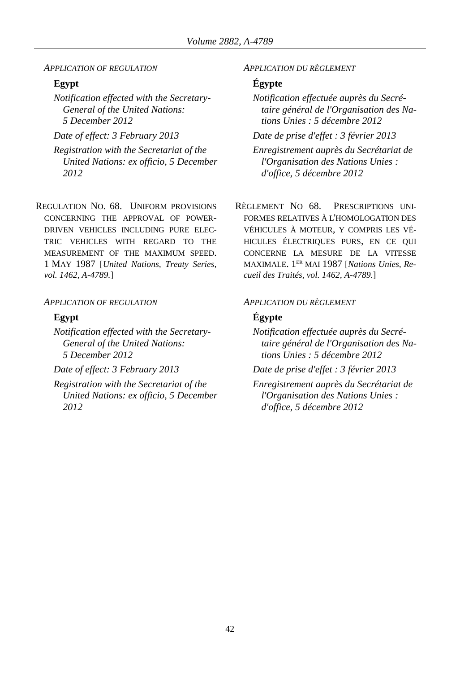*APPLICATION OF REGULATION APPLICATION DU RÈGLEMENT*

*Notification effected with the Secretary-General of the United Nations: 5 December 2012*

*Registration with the Secretariat of the United Nations: ex officio, 5 December 2012*

REGULATION NO. 68. UNIFORM PROVISIONS CONCERNING THE APPROVAL OF POWER-DRIVEN VEHICLES INCLUDING PURE ELEC-TRIC VEHICLES WITH REGARD TO THE MEASUREMENT OF THE MAXIMUM SPEED. 1 MAY 1987 [*United Nations, Treaty Series, vol. 1462, A-4789.*]

### *APPLICATION OF REGULATION APPLICATION DU RÈGLEMENT*

*Notification effected with the Secretary-General of the United Nations: 5 December 2012*

*Date of effect: 3 February 2013 Date de prise d'effet : 3 février 2013*

*Registration with the Secretariat of the United Nations: ex officio, 5 December 2012*

## **Egypt Égypte**

*Notification effectuée auprès du Secrétaire général de l'Organisation des Nations Unies : 5 décembre 2012*

*Date of effect: 3 February 2013 Date de prise d'effet : 3 février 2013*

*Enregistrement auprès du Secrétariat de l'Organisation des Nations Unies : d'office, 5 décembre 2012*

RÈGLEMENT NO 68. PRESCRIPTIONS UNI-FORMES RELATIVES À L'HOMOLOGATION DES VÉHICULES À MOTEUR, Y COMPRIS LES VÉ-HICULES ÉLECTRIQUES PURS, EN CE QUI CONCERNE LA MESURE DE LA VITESSE MAXIMALE. 1 ER MAI 1987 [*Nations Unies, Recueil des Traités, vol. 1462, A-4789.*]

### **Egypt Égypte**

*Notification effectuée auprès du Secrétaire général de l'Organisation des Nations Unies : 5 décembre 2012*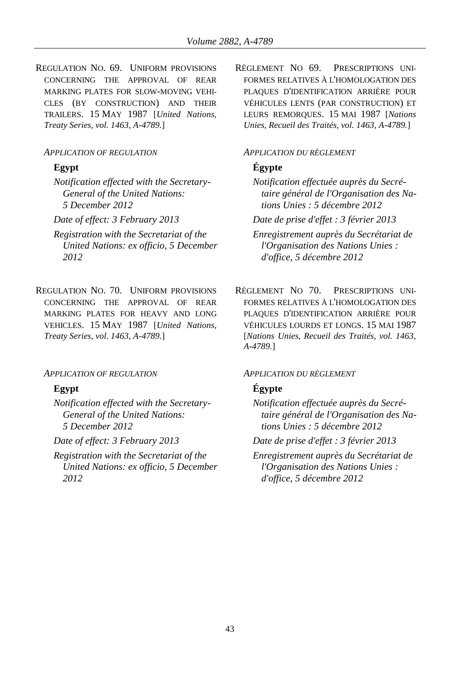REGULATION NO. 69. UNIFORM PROVISIONS CONCERNING THE APPROVAL OF REAR MARKING PLATES FOR SLOW-MOVING VEHI-CLES (BY CONSTRUCTION) AND THEIR TRAILERS. 15 MAY 1987 [*United Nations, Treaty Series, vol. 1463, A-4789.*]

### *APPLICATION OF REGULATION APPLICATION DU RÈGLEMENT*

*Notification effected with the Secretary-General of the United Nations: 5 December 2012*

- *Registration with the Secretariat of the United Nations: ex officio, 5 December 2012*
- REGULATION NO. 70. UNIFORM PROVISIONS CONCERNING THE APPROVAL OF REAR MARKING PLATES FOR HEAVY AND LONG VEHICLES. 15 MAY 1987 [*United Nations, Treaty Series, vol. 1463, A-4789.*]

### *APPLICATION OF REGULATION APPLICATION DU RÈGLEMENT*

*Notification effected with the Secretary-General of the United Nations: 5 December 2012*

*Registration with the Secretariat of the United Nations: ex officio, 5 December 2012*

RÈGLEMENT NO 69. PRESCRIPTIONS UNI-FORMES RELATIVES À L'HOMOLOGATION DES PLAQUES D'IDENTIFICATION ARRIÈRE POUR VÉHICULES LENTS (PAR CONSTRUCTION) ET LEURS REMORQUES. 15 MAI 1987 [*Nations Unies, Recueil des Traités, vol. 1463, A-4789.*]

# **Egypt Égypte**

*Notification effectuée auprès du Secrétaire général de l'Organisation des Nations Unies : 5 décembre 2012*

*Date of effect: 3 February 2013 Date de prise d'effet : 3 février 2013*

*Enregistrement auprès du Secrétariat de l'Organisation des Nations Unies : d'office, 5 décembre 2012*

RÈGLEMENT NO 70. PRESCRIPTIONS UNI-FORMES RELATIVES À L'HOMOLOGATION DES PLAQUES D'IDENTIFICATION ARRIÈRE POUR VÉHICULES LOURDS ET LONGS. 15 MAI 1987 [*Nations Unies, Recueil des Traités, vol. 1463, A-4789.*]

# **Egypt Égypte**

*Notification effectuée auprès du Secrétaire général de l'Organisation des Nations Unies : 5 décembre 2012*

*Date of effect: 3 February 2013 Date de prise d'effet : 3 février 2013*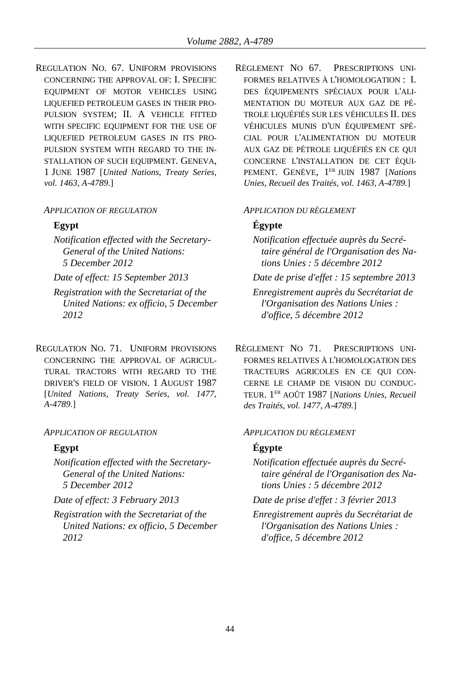REGULATION NO. 67. UNIFORM PROVISIONS CONCERNING THE APPROVAL OF: I. SPECIFIC EQUIPMENT OF MOTOR VEHICLES USING LIQUEFIED PETROLEUM GASES IN THEIR PRO-PULSION SYSTEM; II. A VEHICLE FITTED WITH SPECIFIC EQUIPMENT FOR THE USE OF LIQUEFIED PETROLEUM GASES IN ITS PRO-PULSION SYSTEM WITH REGARD TO THE IN-STALLATION OF SUCH EQUIPMENT. GENEVA, 1 JUNE 1987 [*United Nations, Treaty Series, vol. 1463, A-4789.*]

## *APPLICATION OF REGULATION APPLICATION DU RÈGLEMENT*

*Notification effected with the Secretary-General of the United Nations: 5 December 2012*

*Registration with the Secretariat of the United Nations: ex officio, 5 December 2012*

REGULATION NO. 71. UNIFORM PROVISIONS CONCERNING THE APPROVAL OF AGRICUL-TURAL TRACTORS WITH REGARD TO THE DRIVER'S FIELD OF VISION. 1 AUGUST 1987 [*United Nations, Treaty Series, vol. 1477, A-4789.*]

## *APPLICATION OF REGULATION APPLICATION DU RÈGLEMENT*

*Notification effected with the Secretary-General of the United Nations: 5 December 2012*

*Registration with the Secretariat of the United Nations: ex officio, 5 December 2012*

RÈGLEMENT NO 67. PRESCRIPTIONS UNI-FORMES RELATIVES À L'HOMOLOGATION : I. DES ÉQUIPEMENTS SPÉCIAUX POUR L'ALI-MENTATION DU MOTEUR AUX GAZ DE PÉ-TROLE LIQUÉFIÉS SUR LES VÉHICULES II. DES VÉHICULES MUNIS D'UN ÉQUIPEMENT SPÉ-CIAL POUR L'ALIMENTATION DU MOTEUR AUX GAZ DE PÉTROLE LIQUÉFIÉS EN CE QUI CONCERNE L'INSTALLATION DE CET ÉQUI-PEMENT. GENÈVE, 1 ER JUIN 1987 [*Nations Unies, Recueil des Traités, vol. 1463, A-4789.*]

# **Egypt Égypte**

- *Notification effectuée auprès du Secrétaire général de l'Organisation des Nations Unies : 5 décembre 2012*
- *Date of effect: 15 September 2013 Date de prise d'effet : 15 septembre 2013*
	- *Enregistrement auprès du Secrétariat de l'Organisation des Nations Unies : d'office, 5 décembre 2012*

RÈGLEMENT NO 71 PRESCRIPTIONS UNI-FORMES RELATIVES À L'HOMOLOGATION DES TRACTEURS AGRICOLES EN CE QUI CON-CERNE LE CHAMP DE VISION DU CONDUC-TEUR. 1 ER AOÛT 1987 [*Nations Unies, Recueil des Traités, vol. 1477, A-4789.*]

# **Egypt Égypte**

- *Notification effectuée auprès du Secrétaire général de l'Organisation des Nations Unies : 5 décembre 2012*
- *Date of effect: 3 February 2013 Date de prise d'effet : 3 février 2013*
	- *Enregistrement auprès du Secrétariat de l'Organisation des Nations Unies : d'office, 5 décembre 2012*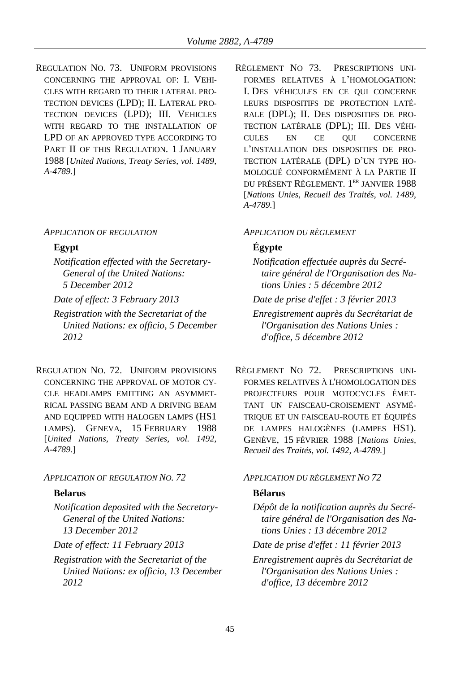REGULATION NO. 73. UNIFORM PROVISIONS CONCERNING THE APPROVAL OF: I. VEHI-CLES WITH REGARD TO THEIR LATERAL PRO-TECTION DEVICES (LPD); II. LATERAL PRO-TECTION DEVICES (LPD); III. VEHICLES WITH REGARD TO THE INSTALLATION OF LPD OF AN APPROVED TYPE ACCORDING TO PART II OF THIS REGULATION. 1 JANUARY 1988 [*United Nations, Treaty Series, vol. 1489, A-4789.*]

### *APPLICATION OF REGULATION APPLICATION DU RÈGLEMENT*

*Notification effected with the Secretary-General of the United Nations: 5 December 2012*

- *Registration with the Secretariat of the United Nations: ex officio, 5 December 2012*
- REGULATION NO. 72. UNIFORM PROVISIONS CONCERNING THE APPROVAL OF MOTOR CY-CLE HEADLAMPS EMITTING AN ASYMMET-RICAL PASSING BEAM AND A DRIVING BEAM AND EQUIPPED WITH HALOGEN LAMPS (HS1 LAMPS). GENEVA, 15 FEBRUARY 1988 [*United Nations, Treaty Series, vol. 1492, A-4789.*]

### *APPLICATION OF REGULATION NO. 72 APPLICATION DU RÈGLEMENT NO 72*

*Notification deposited with the Secretary-General of the United Nations: 13 December 2012*

*Registration with the Secretariat of the United Nations: ex officio, 13 December 2012*

RÈGLEMENT NO 73. PRESCRIPTIONS UNI-FORMES RELATIVES À L'HOMOLOGATION: I. DES VÉHICULES EN CE QUI CONCERNE LEURS DISPOSITIFS DE PROTECTION LATÉ-RALE (DPL); II. DES DISPOSITIFS DE PRO-TECTION LATÉRALE (DPL); III. DES VÉHI-CULES EN CE QUI CONCERNE L'INSTALLATION DES DISPOSITIFS DE PRO-TECTION LATÉRALE (DPL) D'UN TYPE HO-MOLOGUÉ CONFORMÉMENT À LA PARTIE II DU PRÉSENT RÈGLEMENT. 1 ER JANVIER 1988 [*Nations Unies, Recueil des Traités, vol. 1489, A-4789.*]

## **Egypt Égypte**

*Notification effectuée auprès du Secrétaire général de l'Organisation des Nations Unies : 5 décembre 2012*

*Date of effect: 3 February 2013 Date de prise d'effet : 3 février 2013*

*Enregistrement auprès du Secrétariat de l'Organisation des Nations Unies : d'office, 5 décembre 2012*

RÈGLEMENT NO 72. PRESCRIPTIONS UNI-FORMES RELATIVES À L'HOMOLOGATION DES PROJECTEURS POUR MOTOCYCLES ÉMET-TANT UN FAISCEAU-CROISEMENT ASYMÉ-TRIQUE ET UN FAISCEAU-ROUTE ET ÉQUIPÉS DE LAMPES HALOGÈNES (LAMPES HS1). GENÈVE, 15 FÉVRIER 1988 [*Nations Unies, Recueil des Traités, vol. 1492, A-4789.*]

## **Belarus Bélarus**

*Dépôt de la notification auprès du Secrétaire général de l'Organisation des Nations Unies : 13 décembre 2012*

*Date of effect: 11 February 2013 Date de prise d'effet : 11 février 2013*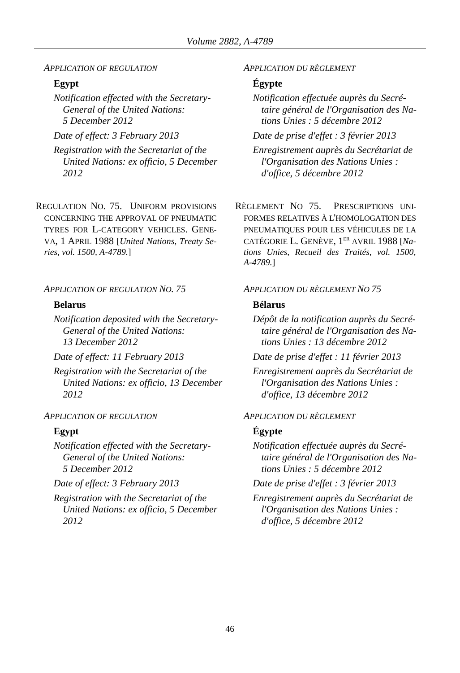### *APPLICATION OF REGULATION APPLICATION DU RÈGLEMENT*

*Notification effected with the Secretary-General of the United Nations: 5 December 2012*

*Registration with the Secretariat of the United Nations: ex officio, 5 December 2012*

REGULATION NO. 75. UNIFORM PROVISIONS CONCERNING THE APPROVAL OF PNEUMATIC TYRES FOR L-CATEGORY VEHICLES. GENE-VA, 1 APRIL 1988 [*United Nations, Treaty Series, vol. 1500, A-4789.*]

## *APPLICATION OF REGULATION NO. 75 APPLICATION DU RÈGLEMENT NO 75*

## **Belarus Bélarus**

*Notification deposited with the Secretary-General of the United Nations: 13 December 2012*

*Registration with the Secretariat of the United Nations: ex officio, 13 December 2012*

*Notification effected with the Secretary-General of the United Nations: 5 December 2012*

*Registration with the Secretariat of the United Nations: ex officio, 5 December 2012*

# **Egypt Égypte**

*Notification effectuée auprès du Secrétaire général de l'Organisation des Nations Unies : 5 décembre 2012*

*Date of effect: 3 February 2013 Date de prise d'effet : 3 février 2013*

*Enregistrement auprès du Secrétariat de l'Organisation des Nations Unies : d'office, 5 décembre 2012*

RÈGLEMENT NO 75. PRESCRIPTIONS UNI-FORMES RELATIVES À L'HOMOLOGATION DES PNEUMATIQUES POUR LES VÉHICULES DE LA CATÉGORIE L. GENÈVE, 1 ER AVRIL 1988 [*Nations Unies, Recueil des Traités, vol. 1500, A-4789.*]

*Dépôt de la notification auprès du Secrétaire général de l'Organisation des Nations Unies : 13 décembre 2012*

*Date of effect: 11 February 2013 Date de prise d'effet : 11 février 2013*

*Enregistrement auprès du Secrétariat de l'Organisation des Nations Unies : d'office, 13 décembre 2012*

## *APPLICATION OF REGULATION APPLICATION DU RÈGLEMENT*

# **Egypt Égypte**

*Notification effectuée auprès du Secrétaire général de l'Organisation des Nations Unies : 5 décembre 2012*

*Date of effect: 3 February 2013 Date de prise d'effet : 3 février 2013*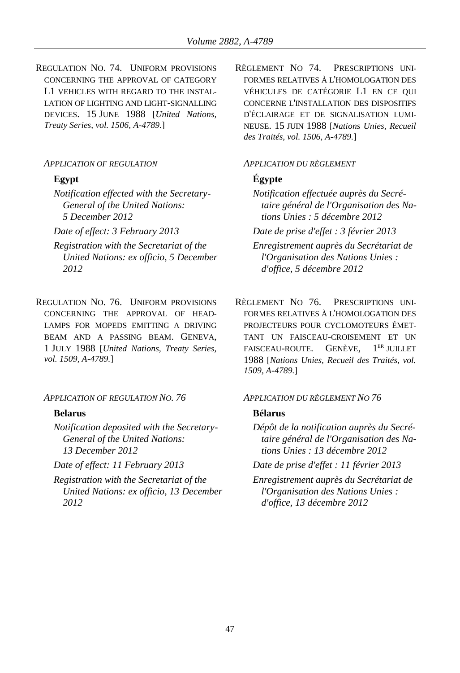REGULATION NO. 74. UNIFORM PROVISIONS CONCERNING THE APPROVAL OF CATEGORY L1 VEHICLES WITH REGARD TO THE INSTAL-LATION OF LIGHTING AND LIGHT-SIGNALLING DEVICES. 15 JUNE 1988 [*United Nations, Treaty Series, vol. 1506, A-4789.*]

### *APPLICATION OF REGULATION APPLICATION DU RÈGLEMENT*

*Notification effected with the Secretary-General of the United Nations: 5 December 2012*

- *Registration with the Secretariat of the United Nations: ex officio, 5 December 2012*
- REGULATION NO. 76. UNIFORM PROVISIONS CONCERNING THE APPROVAL OF HEAD-LAMPS FOR MOPEDS EMITTING A DRIVING BEAM AND A PASSING BEAM. GENEVA, 1 JULY 1988 [*United Nations, Treaty Series, vol. 1509, A-4789.*]

*APPLICATION OF REGULATION NO. 76 APPLICATION DU RÈGLEMENT NO 76*

*Notification deposited with the Secretary-General of the United Nations: 13 December 2012*

*Registration with the Secretariat of the United Nations: ex officio, 13 December 2012*

RÈGLEMENT NO 74. PRESCRIPTIONS UNI-FORMES RELATIVES À L'HOMOLOGATION DES VÉHICULES DE CATÉGORIE L1 EN CE QUI CONCERNE L'INSTALLATION DES DISPOSITIFS D'ÉCLAIRAGE ET DE SIGNALISATION LUMI-NEUSE. 15 JUIN 1988 [*Nations Unies, Recueil des Traités, vol. 1506, A-4789.*]

# **Egypt Égypte**

*Notification effectuée auprès du Secrétaire général de l'Organisation des Nations Unies : 5 décembre 2012*

*Date of effect: 3 February 2013 Date de prise d'effet : 3 février 2013*

*Enregistrement auprès du Secrétariat de l'Organisation des Nations Unies : d'office, 5 décembre 2012*

RÈGLEMENT NO 76. PRESCRIPTIONS UNI-FORMES RELATIVES À L'HOMOLOGATION DES PROJECTEURS POUR CYCLOMOTEURS ÉMET-TANT UN FAISCEAU-CROISEMENT ET UN FAISCEAU-ROUTE. GENÈVE, 1  $1<sup>ER</sup>$  HH J ET 1988 [*Nations Unies, Recueil des Traités, vol. 1509, A-4789.*]

## **Belarus Bélarus**

*Dépôt de la notification auprès du Secrétaire général de l'Organisation des Nations Unies : 13 décembre 2012*

*Date of effect: 11 February 2013 Date de prise d'effet : 11 février 2013*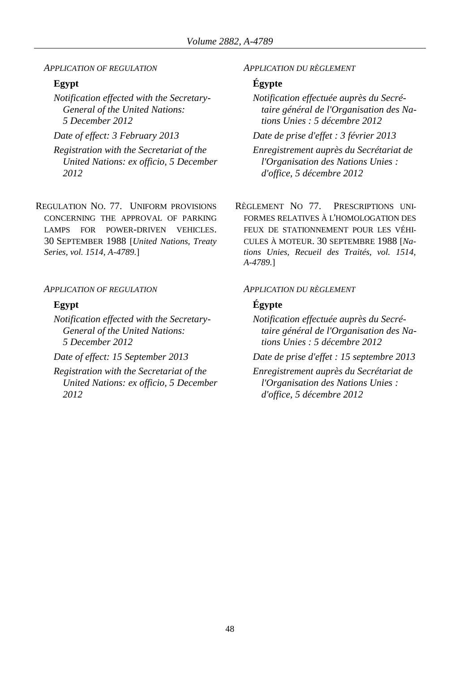*APPLICATION OF REGULATION APPLICATION DU RÈGLEMENT*

*Notification effected with the Secretary-General of the United Nations: 5 December 2012*

*Registration with the Secretariat of the United Nations: ex officio, 5 December 2012*

REGULATION NO. 77. UNIFORM PROVISIONS CONCERNING THE APPROVAL OF PARKING LAMPS FOR POWER-DRIVEN VEHICLES. 30 SEPTEMBER 1988 [*United Nations, Treaty Series, vol. 1514, A-4789.*]

*APPLICATION OF REGULATION APPLICATION DU RÈGLEMENT*

*Notification effected with the Secretary-General of the United Nations: 5 December 2012*

*Registration with the Secretariat of the United Nations: ex officio, 5 December 2012*

## **Egypt Égypte**

*Notification effectuée auprès du Secrétaire général de l'Organisation des Nations Unies : 5 décembre 2012*

*Date of effect: 3 February 2013 Date de prise d'effet : 3 février 2013*

*Enregistrement auprès du Secrétariat de l'Organisation des Nations Unies : d'office, 5 décembre 2012*

RÈGLEMENT NO 77. PRESCRIPTIONS UNI-FORMES RELATIVES À L'HOMOLOGATION DES FEUX DE STATIONNEMENT POUR LES VÉHI-CULES À MOTEUR. 30 SEPTEMBRE 1988 [*Nations Unies, Recueil des Traités, vol. 1514, A-4789.*]

## **Egypt Égypte**

*Notification effectuée auprès du Secrétaire général de l'Organisation des Nations Unies : 5 décembre 2012*

*Date of effect: 15 September 2013 Date de prise d'effet : 15 septembre 2013*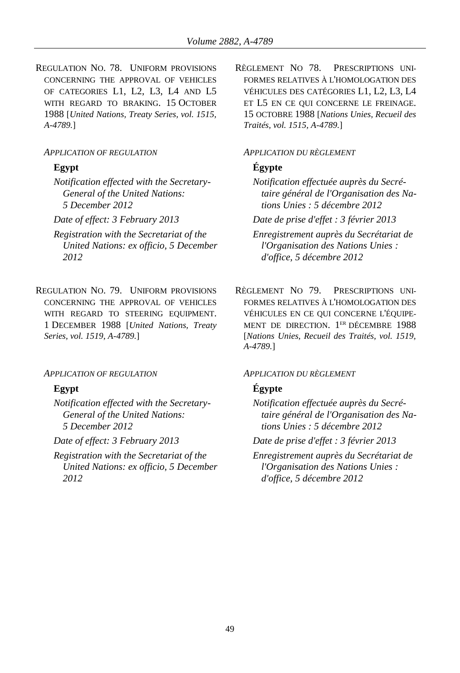REGULATION NO. 78. UNIFORM PROVISIONS CONCERNING THE APPROVAL OF VEHICLES OF CATEGORIES L1, L2, L3, L4 AND L5 WITH REGARD TO BRAKING. 15 OCTOBER 1988 [*United Nations, Treaty Series, vol. 1515, A-4789.*]

### *APPLICATION OF REGULATION APPLICATION DU RÈGLEMENT*

*Notification effected with the Secretary-General of the United Nations: 5 December 2012*

- *Registration with the Secretariat of the United Nations: ex officio, 5 December 2012*
- REGULATION NO. 79. UNIFORM PROVISIONS CONCERNING THE APPROVAL OF VEHICLES WITH REGARD TO STEERING EQUIPMENT. 1 DECEMBER 1988 [*United Nations, Treaty Series, vol. 1519, A-4789.*]

### *APPLICATION OF REGULATION APPLICATION DU RÈGLEMENT*

*Notification effected with the Secretary-General of the United Nations: 5 December 2012*

*Registration with the Secretariat of the United Nations: ex officio, 5 December 2012*

RÈGLEMENT NO 78. PRESCRIPTIONS UNI-FORMES RELATIVES À L'HOMOLOGATION DES VÉHICULES DES CATÉGORIES L1, L2, L3, L4 ET L5 EN CE QUI CONCERNE LE FREINAGE. 15 OCTOBRE 1988 [*Nations Unies, Recueil des Traités, vol. 1515, A-4789.*]

## **Egypt Égypte**

*Notification effectuée auprès du Secrétaire général de l'Organisation des Nations Unies : 5 décembre 2012*

*Date of effect: 3 February 2013 Date de prise d'effet : 3 février 2013*

*Enregistrement auprès du Secrétariat de l'Organisation des Nations Unies : d'office, 5 décembre 2012*

RÈGLEMENT NO 79. PRESCRIPTIONS UNI-FORMES RELATIVES À L'HOMOLOGATION DES VÉHICULES EN CE QUI CONCERNE L'ÉQUIPE-MENT DE DIRECTION. 1 ER DÉCEMBRE 1988 [*Nations Unies, Recueil des Traités, vol. 1519, A-4789.*]

## **Egypt Égypte**

*Notification effectuée auprès du Secrétaire général de l'Organisation des Nations Unies : 5 décembre 2012*

*Date of effect: 3 February 2013 Date de prise d'effet : 3 février 2013*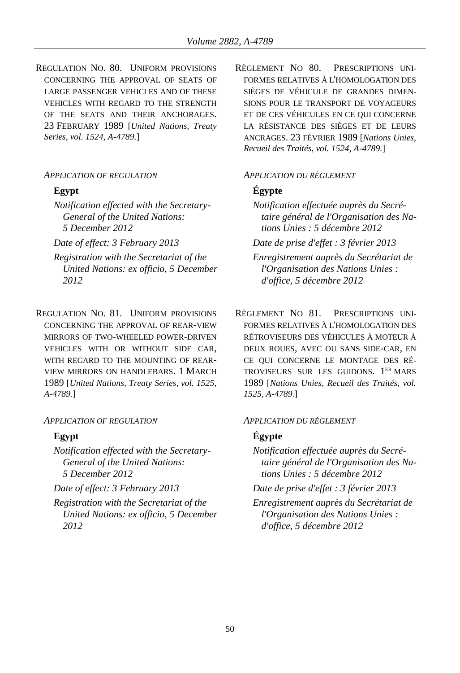REGULATION NO. 80. UNIFORM PROVISIONS CONCERNING THE APPROVAL OF SEATS OF LARGE PASSENGER VEHICLES AND OF THESE VEHICLES WITH REGARD TO THE STRENGTH OF THE SEATS AND THEIR ANCHORAGES. 23 FEBRUARY 1989 [*United Nations, Treaty Series, vol. 1524, A-4789.*]

## *APPLICATION OF REGULATION APPLICATION DU RÈGLEMENT*

- *Notification effected with the Secretary-General of the United Nations: 5 December 2012*
- 
- *Registration with the Secretariat of the United Nations: ex officio, 5 December 2012*
- REGULATION NO. 81. UNIFORM PROVISIONS CONCERNING THE APPROVAL OF REAR-VIEW MIRRORS OF TWO-WHEELED POWER-DRIVEN VEHICLES WITH OR WITHOUT SIDE CAR, WITH REGARD TO THE MOUNTING OF REAR-VIEW MIRRORS ON HANDLEBARS. 1 MARCH 1989 [*United Nations, Treaty Series, vol. 1525, A-4789.*]

### *APPLICATION OF REGULATION APPLICATION DU RÈGLEMENT*

*Notification effected with the Secretary-General of the United Nations: 5 December 2012*

*Registration with the Secretariat of the United Nations: ex officio, 5 December 2012*

RÈGLEMENT NO 80. PRESCRIPTIONS UNI-FORMES RELATIVES À L'HOMOLOGATION DES SIÈGES DE VÉHICULE DE GRANDES DIMEN-SIONS POUR LE TRANSPORT DE VOYAGEURS ET DE CES VÉHICULES EN CE QUI CONCERNE LA RÉSISTANCE DES SIÈGES ET DE LEURS ANCRAGES. 23 FÉVRIER 1989 [*Nations Unies, Recueil des Traités, vol. 1524, A-4789.*]

## **Egypt Égypte**

*Notification effectuée auprès du Secrétaire général de l'Organisation des Nations Unies : 5 décembre 2012*

*Date of effect: 3 February 2013 Date de prise d'effet : 3 février 2013*

- *Enregistrement auprès du Secrétariat de l'Organisation des Nations Unies : d'office, 5 décembre 2012*
- RÈGLEMENT NO 81. PRESCRIPTIONS UNI-FORMES RELATIVES À L'HOMOLOGATION DES RÉTROVISEURS DES VÉHICULES À MOTEUR À DEUX ROUES, AVEC OU SANS SIDE-CAR, EN CE QUI CONCERNE LE MONTAGE DES RÉ-TROVISEURS SUR LES GUIDONS. 1 ER MARS 1989 [*Nations Unies, Recueil des Traités, vol. 1525, A-4789.*]

# **Egypt Égypte**

- *Notification effectuée auprès du Secrétaire général de l'Organisation des Nations Unies : 5 décembre 2012*
- *Date of effect: 3 February 2013 Date de prise d'effet : 3 février 2013*
	- *Enregistrement auprès du Secrétariat de l'Organisation des Nations Unies : d'office, 5 décembre 2012*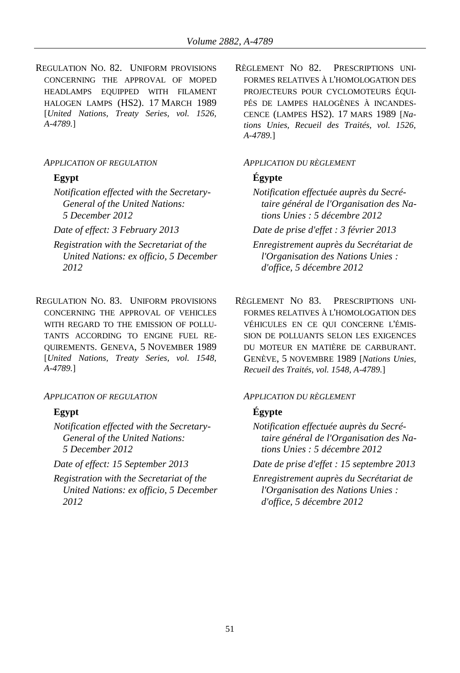REGULATION NO. 82. UNIFORM PROVISIONS CONCERNING THE APPROVAL OF MOPED HEADLAMPS EQUIPPED WITH FILAMENT HALOGEN LAMPS (HS2). 17 MARCH 1989 [*United Nations, Treaty Series, vol. 1526, A-4789.*]

*Notification effected with the Secretary-General of the United Nations: 5 December 2012*

- *Registration with the Secretariat of the United Nations: ex officio, 5 December 2012*
- REGULATION NO. 83. UNIFORM PROVISIONS CONCERNING THE APPROVAL OF VEHICLES WITH REGARD TO THE EMISSION OF POLLU-TANTS ACCORDING TO ENGINE FUEL RE-QUIREMENTS. GENEVA, 5 NOVEMBER 1989 [*United Nations, Treaty Series, vol. 1548, A-4789.*]

*APPLICATION OF REGULATION APPLICATION DU RÈGLEMENT*

*Notification effected with the Secretary-General of the United Nations: 5 December 2012*

*Registration with the Secretariat of the United Nations: ex officio, 5 December 2012*

RÈGLEMENT NO 82. PRESCRIPTIONS UNI-FORMES RELATIVES À L'HOMOLOGATION DES PROJECTEURS POUR CYCLOMOTEURS ÉQUI-PÉS DE LAMPES HALOGÈNES À INCANDES-CENCE (LAMPES HS2). 17 MARS 1989 [*Nations Unies, Recueil des Traités, vol. 1526, A-4789.*]

### *APPLICATION OF REGULATION APPLICATION DU RÈGLEMENT*

## **Egypt Égypte**

*Notification effectuée auprès du Secrétaire général de l'Organisation des Nations Unies : 5 décembre 2012*

*Date of effect: 3 February 2013 Date de prise d'effet : 3 février 2013*

*Enregistrement auprès du Secrétariat de l'Organisation des Nations Unies : d'office, 5 décembre 2012*

RÈGLEMENT NO 83. PRESCRIPTIONS UNI-FORMES RELATIVES À L'HOMOLOGATION DES VÉHICULES EN CE QUI CONCERNE L'ÉMIS-SION DE POLLUANTS SELON LES EXIGENCES DU MOTEUR EN MATIÈRE DE CARBURANT. GENÈVE, 5 NOVEMBRE 1989 [*Nations Unies, Recueil des Traités, vol. 1548, A-4789.*]

## **Egypt Égypte**

*Notification effectuée auprès du Secrétaire général de l'Organisation des Nations Unies : 5 décembre 2012*

*Date of effect: 15 September 2013 Date de prise d'effet : 15 septembre 2013*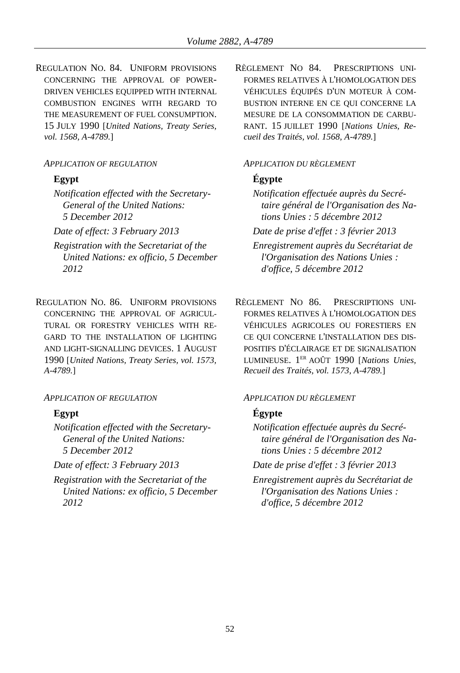REGULATION NO. 84. UNIFORM PROVISIONS CONCERNING THE APPROVAL OF POWER-DRIVEN VEHICLES EQUIPPED WITH INTERNAL COMBUSTION ENGINES WITH REGARD TO THE MEASUREMENT OF FUEL CONSUMPTION. 15 JULY 1990 [*United Nations, Treaty Series, vol. 1568, A-4789.*]

*Notification effected with the Secretary-General of the United Nations: 5 December 2012*

- *Registration with the Secretariat of the United Nations: ex officio, 5 December 2012*
- REGULATION NO. 86. UNIFORM PROVISIONS CONCERNING THE APPROVAL OF AGRICUL-TURAL OR FORESTRY VEHICLES WITH RE-GARD TO THE INSTALLATION OF LIGHTING AND LIGHT-SIGNALLING DEVICES. 1 AUGUST 1990 [*United Nations, Treaty Series, vol. 1573, A-4789.*]

### *APPLICATION OF REGULATION APPLICATION DU RÈGLEMENT*

*Notification effected with the Secretary-General of the United Nations: 5 December 2012*

*Registration with the Secretariat of the United Nations: ex officio, 5 December 2012*

RÈGLEMENT NO 84. PRESCRIPTIONS UNI-FORMES RELATIVES À L'HOMOLOGATION DES VÉHICULES ÉQUIPÉS D'UN MOTEUR À COM-BUSTION INTERNE EN CE QUI CONCERNE LA MESURE DE LA CONSOMMATION DE CARBU-RANT. 15 JUILLET 1990 [*Nations Unies, Recueil des Traités, vol. 1568, A-4789.*]

### *APPLICATION OF REGULATION APPLICATION DU RÈGLEMENT*

# **Egypt Égypte**

*Notification effectuée auprès du Secrétaire général de l'Organisation des Nations Unies : 5 décembre 2012*

*Date of effect: 3 February 2013 Date de prise d'effet : 3 février 2013*

*Enregistrement auprès du Secrétariat de l'Organisation des Nations Unies : d'office, 5 décembre 2012*

RÈGLEMENT NO 86. PRESCRIPTIONS UNI-FORMES RELATIVES À L'HOMOLOGATION DES VÉHICULES AGRICOLES OU FORESTIERS EN CE QUI CONCERNE L'INSTALLATION DES DIS-POSITIFS D'ÉCLAIRAGE ET DE SIGNALISATION LUMINEUSE. 1 ER AOÛT 1990 [*Nations Unies, Recueil des Traités, vol. 1573, A-4789.*]

# **Egypt Égypte**

*Notification effectuée auprès du Secrétaire général de l'Organisation des Nations Unies : 5 décembre 2012*

*Date of effect: 3 February 2013 Date de prise d'effet : 3 février 2013*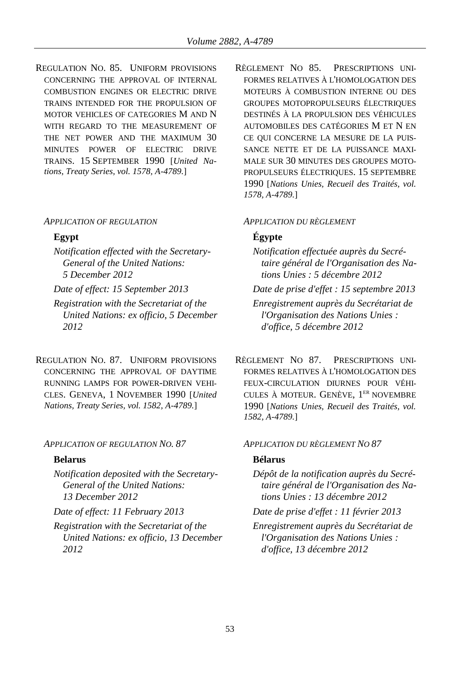REGULATION NO. 85. UNIFORM PROVISIONS CONCERNING THE APPROVAL OF INTERNAL COMBUSTION ENGINES OR ELECTRIC DRIVE TRAINS INTENDED FOR THE PROPULSION OF MOTOR VEHICLES OF CATEGORIES M AND N WITH REGARD TO THE MEASUREMENT OF THE NET POWER AND THE MAXIMUM 30 MINUTES POWER OF ELECTRIC DRIVE TRAINS. 15 SEPTEMBER 1990 [*United Nations, Treaty Series, vol. 1578, A-4789.*]

### *APPLICATION OF REGULATION APPLICATION DU RÈGLEMENT*

*Notification effected with the Secretary-General of the United Nations: 5 December 2012*

*Registration with the Secretariat of the United Nations: ex officio, 5 December 2012*

REGULATION NO. 87. UNIFORM PROVISIONS CONCERNING THE APPROVAL OF DAYTIME RUNNING LAMPS FOR POWER-DRIVEN VEHI-CLES. GENEVA, 1 NOVEMBER 1990 [*United Nations, Treaty Series, vol. 1582, A-4789.*]

### *APPLICATION OF REGULATION NO. 87 APPLICATION DU RÈGLEMENT NO 87*

*Notification deposited with the Secretary-General of the United Nations: 13 December 2012*

*Registration with the Secretariat of the United Nations: ex officio, 13 December 2012*

RÈGLEMENT NO 85. PRESCRIPTIONS UNI-FORMES RELATIVES À L'HOMOLOGATION DES MOTEURS À COMBUSTION INTERNE OU DES GROUPES MOTOPROPULSEURS ÉLECTRIQUES DESTINÉS À LA PROPULSION DES VÉHICULES AUTOMOBILES DES CATÉGORIES M ET N EN CE QUI CONCERNE LA MESURE DE LA PUIS-SANCE NETTE ET DE LA PUISSANCE MAXI-MALE SUR 30 MINUTES DES GROUPES MOTO-PROPULSEURS ÉLECTRIQUES. 15 SEPTEMBRE 1990 [*Nations Unies, Recueil des Traités, vol. 1578, A-4789.*]

## **Egypt Égypte**

- *Notification effectuée auprès du Secrétaire général de l'Organisation des Nations Unies : 5 décembre 2012*
- *Date of effect: 15 September 2013 Date de prise d'effet : 15 septembre 2013*

*Enregistrement auprès du Secrétariat de l'Organisation des Nations Unies : d'office, 5 décembre 2012*

RÈGLEMENT NO 87. PRESCRIPTIONS UNI-FORMES RELATIVES À L'HOMOLOGATION DES FEUX-CIRCULATION DIURNES POUR VÉHI-CULES À MOTEUR. GENÈVE, 1 ER NOVEMBRE 1990 [*Nations Unies, Recueil des Traités, vol. 1582, A-4789.*]

### **Belarus Bélarus**

*Dépôt de la notification auprès du Secrétaire général de l'Organisation des Nations Unies : 13 décembre 2012*

*Date of effect: 11 February 2013 Date de prise d'effet : 11 février 2013*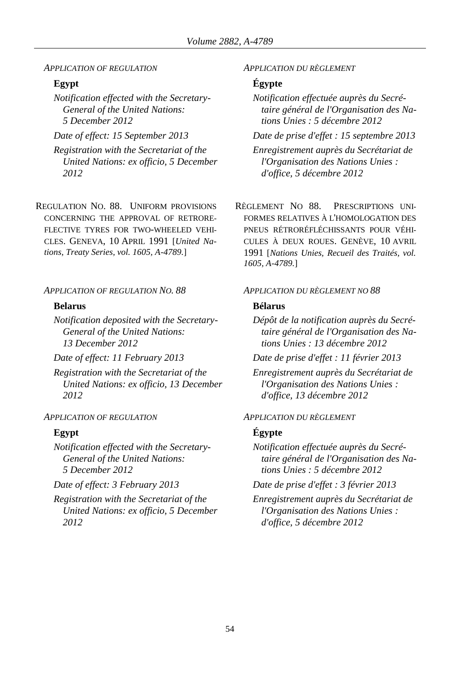### *APPLICATION OF REGULATION APPLICATION DU RÈGLEMENT*

*Notification effected with the Secretary-General of the United Nations: 5 December 2012*

*Registration with the Secretariat of the United Nations: ex officio, 5 December 2012*

REGULATION NO. 88. UNIFORM PROVISIONS CONCERNING THE APPROVAL OF RETRORE-FLECTIVE TYRES FOR TWO-WHEELED VEHI-CLES. GENEVA, 10 APRIL 1991 [*United Nations, Treaty Series, vol. 1605, A-4789.*]

*Notification deposited with the Secretary-General of the United Nations: 13 December 2012*

*Registration with the Secretariat of the United Nations: ex officio, 13 December 2012*

## *APPLICATION OF REGULATION APPLICATION DU RÈGLEMENT*

*Notification effected with the Secretary-General of the United Nations: 5 December 2012*

*Registration with the Secretariat of the United Nations: ex officio, 5 December 2012*

## **Egypt Égypte**

*Notification effectuée auprès du Secrétaire général de l'Organisation des Nations Unies : 5 décembre 2012*

*Date of effect: 15 September 2013 Date de prise d'effet : 15 septembre 2013*

*Enregistrement auprès du Secrétariat de l'Organisation des Nations Unies : d'office, 5 décembre 2012*

RÈGLEMENT NO 88. PRESCRIPTIONS UNI-FORMES RELATIVES À L'HOMOLOGATION DES PNEUS RÉTRORÉFLÉCHISSANTS POUR VÉHI-CULES À DEUX ROUES. GENÈVE, 10 AVRIL 1991 [*Nations Unies, Recueil des Traités, vol. 1605, A-4789.*]

### *APPLICATION OF REGULATION NO. 88 APPLICATION DU RÈGLEMENT NO 88*

### **Belarus Bélarus**

*Dépôt de la notification auprès du Secrétaire général de l'Organisation des Nations Unies : 13 décembre 2012*

*Date of effect: 11 February 2013 Date de prise d'effet : 11 février 2013*

*Enregistrement auprès du Secrétariat de l'Organisation des Nations Unies : d'office, 13 décembre 2012*

### **Egypt Égypte**

*Notification effectuée auprès du Secrétaire général de l'Organisation des Nations Unies : 5 décembre 2012*

*Date of effect: 3 February 2013 Date de prise d'effet : 3 février 2013*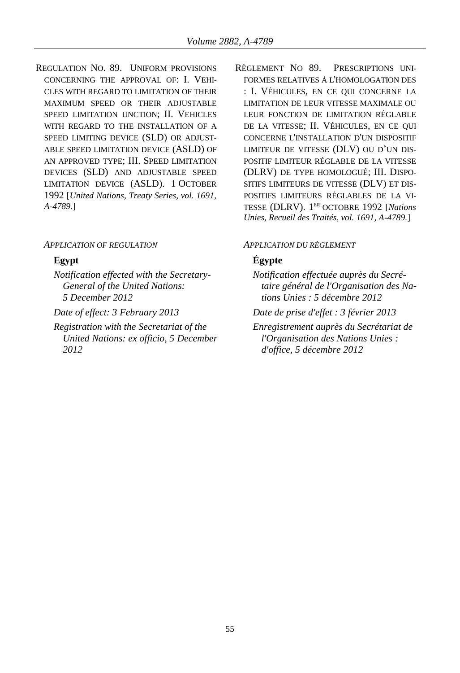REGULATION NO. 89. UNIFORM PROVISIONS CONCERNING THE APPROVAL OF: I. VEHI-CLES WITH REGARD TO LIMITATION OF THEIR MAXIMUM SPEED OR THEIR ADJUSTABLE SPEED LIMITATION UNCTION; II. VEHICLES WITH REGARD TO THE INSTALLATION OF A SPEED LIMITING DEVICE (SLD) OR ADJUST-ABLE SPEED LIMITATION DEVICE (ASLD) OF AN APPROVED TYPE; III. SPEED LIMITATION DEVICES (SLD) AND ADJUSTABLE SPEED LIMITATION DEVICE (ASLD). 1 OCTOBER 1992 [*United Nations, Treaty Series, vol. 1691, A-4789.*]

### *APPLICATION OF REGULATION APPLICATION DU RÈGLEMENT*

*Notification effected with the Secretary-General of the United Nations: 5 December 2012*

*Registration with the Secretariat of the United Nations: ex officio, 5 December 2012*

RÈGLEMENT NO 89. PRESCRIPTIONS UNI-FORMES RELATIVES À L'HOMOLOGATION DES : I. VÉHICULES, EN CE QUI CONCERNE LA LIMITATION DE LEUR VITESSE MAXIMALE OU LEUR FONCTION DE LIMITATION RÉGLABLE DE LA VITESSE; II. VÉHICULES, EN CE QUI CONCERNE L'INSTALLATION D'UN DISPOSITIF LIMITEUR DE VITESSE (DLV) OU D'UN DIS-POSITIF LIMITEUR RÉGLABLE DE LA VITESSE (DLRV) DE TYPE HOMOLOGUÉ; III. DISPO-SITIFS LIMITEURS DE VITESSE (DLV) ET DIS-POSITIFS LIMITEURS RÉGLABLES DE LA VI-TESSE (DLRV). 1 ER OCTOBRE 1992 [*Nations Unies, Recueil des Traités, vol. 1691, A-4789.*]

# **Egypt Égypte**

- *Notification effectuée auprès du Secrétaire général de l'Organisation des Nations Unies : 5 décembre 2012*
- *Date of effect: 3 February 2013 Date de prise d'effet : 3 février 2013*
	- *Enregistrement auprès du Secrétariat de l'Organisation des Nations Unies : d'office, 5 décembre 2012*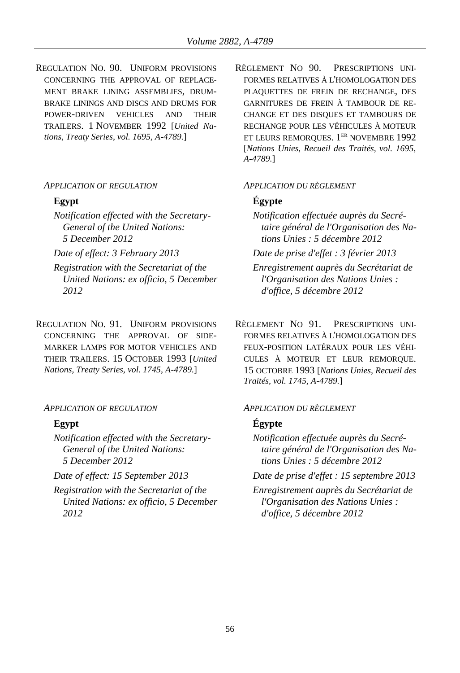REGULATION NO. 90. UNIFORM PROVISIONS CONCERNING THE APPROVAL OF REPLACE-MENT BRAKE LINING ASSEMBLIES, DRUM-BRAKE LININGS AND DISCS AND DRUMS FOR POWER-DRIVEN VEHICLES AND THEIR TRAILERS. 1 NOVEMBER 1992 [*United Nations, Treaty Series, vol. 1695, A-4789.*]

### *APPLICATION OF REGULATION APPLICATION DU RÈGLEMENT*

*Notification effected with the Secretary-General of the United Nations: 5 December 2012*

*Registration with the Secretariat of the United Nations: ex officio, 5 December 2012*

REGULATION NO. 91. UNIFORM PROVISIONS CONCERNING THE APPROVAL OF SIDE-MARKER LAMPS FOR MOTOR VEHICLES AND THEIR TRAILERS. 15 OCTOBER 1993 [*United Nations, Treaty Series, vol. 1745, A-4789.*]

### *APPLICATION OF REGULATION APPLICATION DU RÈGLEMENT*

*Notification effected with the Secretary-General of the United Nations: 5 December 2012*

*Registration with the Secretariat of the United Nations: ex officio, 5 December 2012*

RÈGLEMENT NO 90. PRESCRIPTIONS UNI-FORMES RELATIVES À L'HOMOLOGATION DES PLAQUETTES DE FREIN DE RECHANGE, DES GARNITURES DE FREIN À TAMBOUR DE RE-CHANGE ET DES DISQUES ET TAMBOURS DE RECHANGE POUR LES VÉHICULES À MOTEUR ET LEURS REMORQUES. 1<sup>er</sup> NOVEMBRE 1992 [*Nations Unies, Recueil des Traités, vol. 1695, A-4789.*]

## **Egypt Égypte**

*Notification effectuée auprès du Secrétaire général de l'Organisation des Nations Unies : 5 décembre 2012*

*Date of effect: 3 February 2013 Date de prise d'effet : 3 février 2013*

- *Enregistrement auprès du Secrétariat de l'Organisation des Nations Unies : d'office, 5 décembre 2012*
- RÈGLEMENT NO 91. PRESCRIPTIONS UNI-FORMES RELATIVES À L'HOMOLOGATION DES FEUX-POSITION LATÉRAUX POUR LES VÉHI-CULES À MOTEUR ET LEUR REMORQUE. 15 OCTOBRE 1993 [*Nations Unies, Recueil des Traités, vol. 1745, A-4789.*]

## **Egypt Égypte**

*Notification effectuée auprès du Secrétaire général de l'Organisation des Nations Unies : 5 décembre 2012*

*Date of effect: 15 September 2013 Date de prise d'effet : 15 septembre 2013*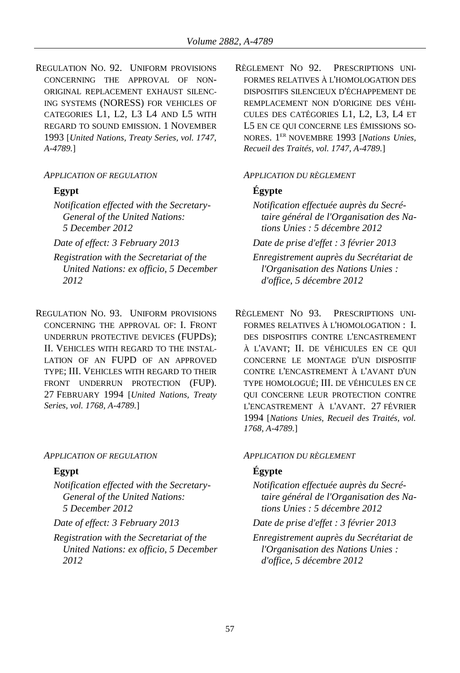REGULATION NO. 92. UNIFORM PROVISIONS CONCERNING THE APPROVAL OF NON-ORIGINAL REPLACEMENT EXHAUST SILENC-ING SYSTEMS (NORESS) FOR VEHICLES OF CATEGORIES L1, L2, L3 L4 AND L5 WITH REGARD TO SOUND EMISSION. 1 NOVEMBER 1993 [*United Nations, Treaty Series, vol. 1747, A-4789.*]

## *APPLICATION OF REGULATION APPLICATION DU RÈGLEMENT*

- *Notification effected with the Secretary-General of the United Nations: 5 December 2012*
- 
- *Registration with the Secretariat of the United Nations: ex officio, 5 December 2012*
- REGULATION NO. 93. UNIFORM PROVISIONS CONCERNING THE APPROVAL OF: I. FRONT UNDERRUN PROTECTIVE DEVICES (FUPDS); II. VEHICLES WITH REGARD TO THE INSTAL-LATION OF AN FUPD OF AN APPROVED TYPE; III. VEHICLES WITH REGARD TO THEIR FRONT UNDERRUN PROTECTION (FUP). 27 FEBRUARY 1994 [*United Nations, Treaty Series, vol. 1768, A-4789.*]

### *APPLICATION OF REGULATION APPLICATION DU RÈGLEMENT*

*Notification effected with the Secretary-General of the United Nations: 5 December 2012*

*Registration with the Secretariat of the United Nations: ex officio, 5 December 2012*

RÈGLEMENT NO 92. PRESCRIPTIONS UNI-FORMES RELATIVES À L'HOMOLOGATION DES DISPOSITIFS SILENCIEUX D'ÉCHAPPEMENT DE REMPLACEMENT NON D'ORIGINE DES VÉHI-CULES DES CATÉGORIES L1, L2, L3, L4 ET L5 EN CE QUI CONCERNE LES ÉMISSIONS SO-NORES. 1 ER NOVEMBRE 1993 [*Nations Unies, Recueil des Traités, vol. 1747, A-4789.*]

## **Egypt Égypte**

*Notification effectuée auprès du Secrétaire général de l'Organisation des Nations Unies : 5 décembre 2012*

*Date of effect: 3 February 2013 Date de prise d'effet : 3 février 2013*

- *Enregistrement auprès du Secrétariat de l'Organisation des Nations Unies : d'office, 5 décembre 2012*
- RÈGLEMENT NO 93. PRESCRIPTIONS UNI-FORMES RELATIVES À L'HOMOLOGATION : I. DES DISPOSITIFS CONTRE L'ENCASTREMENT À L'AVANT; II. DE VÉHICULES EN CE QUI CONCERNE LE MONTAGE D'UN DISPOSITIF CONTRE L'ENCASTREMENT À L'AVANT D'UN TYPE HOMOLOGUÉ; III. DE VÉHICULES EN CE QUI CONCERNE LEUR PROTECTION CONTRE L'ENCASTREMENT À L'AVANT. 27 FÉVRIER 1994 [*Nations Unies, Recueil des Traités, vol. 1768, A-4789.*]

## **Egypt Égypte**

- *Notification effectuée auprès du Secrétaire général de l'Organisation des Nations Unies : 5 décembre 2012*
- *Date of effect: 3 February 2013 Date de prise d'effet : 3 février 2013*
	- *Enregistrement auprès du Secrétariat de l'Organisation des Nations Unies : d'office, 5 décembre 2012*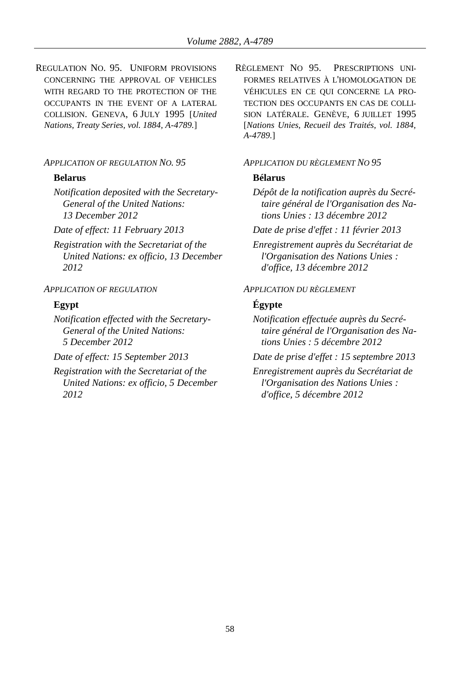REGULATION NO. 95. UNIFORM PROVISIONS CONCERNING THE APPROVAL OF VEHICLES WITH REGARD TO THE PROTECTION OF THE OCCUPANTS IN THE EVENT OF A LATERAL COLLISION. GENEVA, 6 JULY 1995 [*United Nations, Treaty Series, vol. 1884, A-4789.*]

## *APPLICATION OF REGULATION NO. 95 APPLICATION DU RÈGLEMENT NO 95*

### **Belarus Bélarus**

*Notification deposited with the Secretary-General of the United Nations: 13 December 2012*

*Registration with the Secretariat of the United Nations: ex officio, 13 December 2012*

*Notification effected with the Secretary-General of the United Nations: 5 December 2012*

*Registration with the Secretariat of the United Nations: ex officio, 5 December 2012*

RÈGLEMENT NO 95. PRESCRIPTIONS UNI-FORMES RELATIVES À L'HOMOLOGATION DE VÉHICULES EN CE QUI CONCERNE LA PRO-TECTION DES OCCUPANTS EN CAS DE COLLI-SION LATÉRALE. GENÈVE, 6 JUILLET 1995 [*Nations Unies, Recueil des Traités, vol. 1884, A-4789.*]

*Dépôt de la notification auprès du Secrétaire général de l'Organisation des Nations Unies : 13 décembre 2012*

*Date of effect: 11 February 2013 Date de prise d'effet : 11 février 2013*

*Enregistrement auprès du Secrétariat de l'Organisation des Nations Unies : d'office, 13 décembre 2012*

### *APPLICATION OF REGULATION APPLICATION DU RÈGLEMENT*

## **Egypt Égypte**

*Notification effectuée auprès du Secrétaire général de l'Organisation des Nations Unies : 5 décembre 2012*

*Date of effect: 15 September 2013 Date de prise d'effet : 15 septembre 2013*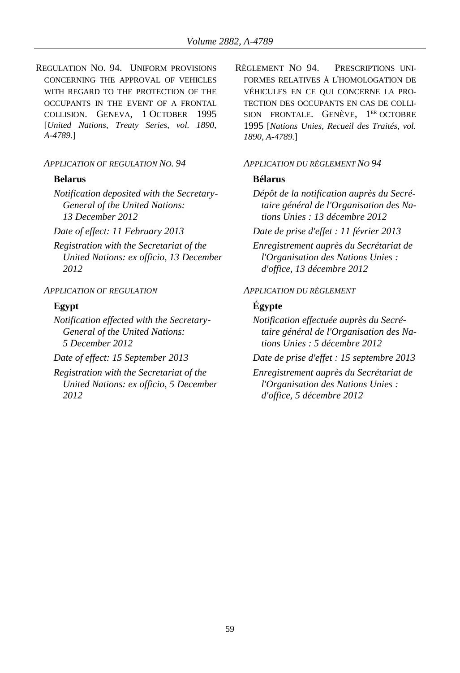REGULATION NO. 94. UNIFORM PROVISIONS CONCERNING THE APPROVAL OF VEHICLES WITH REGARD TO THE PROTECTION OF THE OCCUPANTS IN THE EVENT OF A FRONTAL COLLISION. GENEVA, 1 OCTOBER 1995 [*United Nations, Treaty Series, vol. 1890, A-4789.*]

### *APPLICATION OF REGULATION NO. 94 APPLICATION DU RÈGLEMENT NO 94*

### **Belarus Bélarus**

*Notification deposited with the Secretary-General of the United Nations: 13 December 2012*

*Registration with the Secretariat of the United Nations: ex officio, 13 December 2012*

*Notification effected with the Secretary-General of the United Nations: 5 December 2012*

*Registration with the Secretariat of the United Nations: ex officio, 5 December 2012*

RÈGLEMENT NO 94. PRESCRIPTIONS UNI-FORMES RELATIVES À L'HOMOLOGATION DE VÉHICULES EN CE QUI CONCERNE LA PRO-TECTION DES OCCUPANTS EN CAS DE COLLI-SION FRONTALE. GENÈVE, 1<sup>ER</sup> OCTOBRE 1995 [*Nations Unies, Recueil des Traités, vol. 1890, A-4789.*]

*Dépôt de la notification auprès du Secrétaire général de l'Organisation des Nations Unies : 13 décembre 2012*

*Date of effect: 11 February 2013 Date de prise d'effet : 11 février 2013*

*Enregistrement auprès du Secrétariat de l'Organisation des Nations Unies : d'office, 13 décembre 2012*

### *APPLICATION OF REGULATION APPLICATION DU RÈGLEMENT*

# **Egypt Égypte**

*Notification effectuée auprès du Secrétaire général de l'Organisation des Nations Unies : 5 décembre 2012*

*Date of effect: 15 September 2013 Date de prise d'effet : 15 septembre 2013*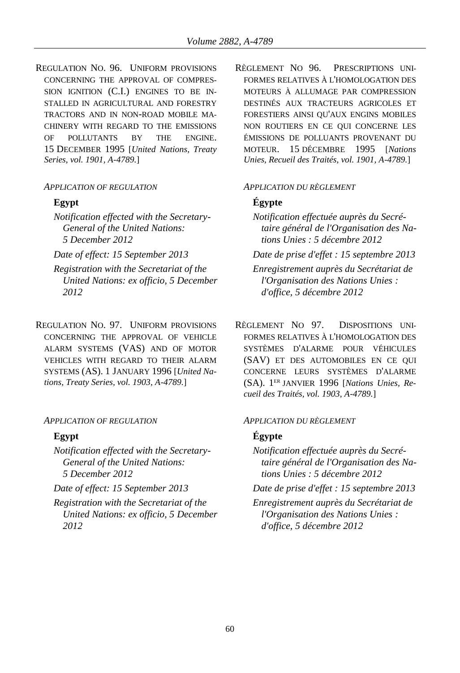REGULATION NO. 96. UNIFORM PROVISIONS CONCERNING THE APPROVAL OF COMPRES-SION IGNITION (C.I.) ENGINES TO BE IN-STALLED IN AGRICULTURAL AND FORESTRY TRACTORS AND IN NON-ROAD MOBILE MA-CHINERY WITH REGARD TO THE EMISSIONS OF POLLUTANTS BY THE ENGINE. 15 DECEMBER 1995 [*United Nations, Treaty Series, vol. 1901, A-4789.*]

## *APPLICATION OF REGULATION APPLICATION DU RÈGLEMENT*

*Notification effected with the Secretary-General of the United Nations: 5 December 2012*

*Registration with the Secretariat of the United Nations: ex officio, 5 December 2012*

REGULATION NO. 97. UNIFORM PROVISIONS CONCERNING THE APPROVAL OF VEHICLE ALARM SYSTEMS (VAS) AND OF MOTOR VEHICLES WITH REGARD TO THEIR ALARM SYSTEMS (AS). 1 JANUARY 1996 [*United Nations, Treaty Series, vol. 1903, A-4789.*]

### *APPLICATION OF REGULATION APPLICATION DU RÈGLEMENT*

*Notification effected with the Secretary-General of the United Nations: 5 December 2012*

*Registration with the Secretariat of the United Nations: ex officio, 5 December 2012*

RÈGLEMENT NO 96. PRESCRIPTIONS UNI-FORMES RELATIVES À L'HOMOLOGATION DES MOTEURS À ALLUMAGE PAR COMPRESSION DESTINÉS AUX TRACTEURS AGRICOLES ET FORESTIERS AINSI QU'AUX ENGINS MOBILES NON ROUTIERS EN CE QUI CONCERNE LES ÉMISSIONS DE POLLUANTS PROVENANT DU MOTEUR. 15 DÉCEMBRE 1995 [*Nations Unies, Recueil des Traités, vol. 1901, A-4789.*]

# **Egypt Égypte**

*Notification effectuée auprès du Secrétaire général de l'Organisation des Nations Unies : 5 décembre 2012*

*Date of effect: 15 September 2013 Date de prise d'effet : 15 septembre 2013*

*Enregistrement auprès du Secrétariat de l'Organisation des Nations Unies : d'office, 5 décembre 2012*

RÈGLEMENT NO 97. DISPOSITIONS UNI-FORMES RELATIVES À L'HOMOLOGATION DES SYSTÈMES D'ALARME POUR VÉHICULES (SAV) ET DES AUTOMOBILES EN CE QUI CONCERNE LEURS SYSTÈMES D'ALARME (SA). 1 ER JANVIER 1996 [*Nations Unies, Recueil des Traités, vol. 1903, A-4789.*]

## **Egypt Égypte**

*Notification effectuée auprès du Secrétaire général de l'Organisation des Nations Unies : 5 décembre 2012*

*Date of effect: 15 September 2013 Date de prise d'effet : 15 septembre 2013*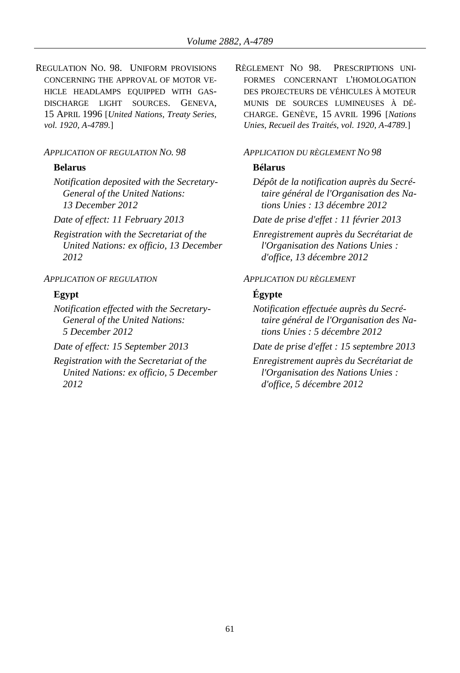REGULATION NO. 98. UNIFORM PROVISIONS CONCERNING THE APPROVAL OF MOTOR VE-HICLE HEADLAMPS EQUIPPED WITH GAS-DISCHARGE LIGHT SOURCES. GENEVA, 15 APRIL 1996 [*United Nations, Treaty Series, vol. 1920, A-4789.*]

### *APPLICATION OF REGULATION NO. 98 APPLICATION DU RÈGLEMENT NO 98*

### **Belarus Bélarus**

*Notification deposited with the Secretary-General of the United Nations: 13 December 2012*

*Registration with the Secretariat of the United Nations: ex officio, 13 December 2012*

*Notification effected with the Secretary-General of the United Nations: 5 December 2012*

*Registration with the Secretariat of the United Nations: ex officio, 5 December 2012*

RÈGLEMENT NO 98. PRESCRIPTIONS UNI-FORMES CONCERNANT L'HOMOLOGATION DES PROJECTEURS DE VÉHICULES À MOTEUR MUNIS DE SOURCES LUMINEUSES À DÉ-CHARGE. GENÈVE, 15 AVRIL 1996 [*Nations Unies, Recueil des Traités, vol. 1920, A-4789.*]

*Dépôt de la notification auprès du Secrétaire général de l'Organisation des Nations Unies : 13 décembre 2012*

*Date of effect: 11 February 2013 Date de prise d'effet : 11 février 2013*

*Enregistrement auprès du Secrétariat de l'Organisation des Nations Unies : d'office, 13 décembre 2012*

## *APPLICATION OF REGULATION APPLICATION DU RÈGLEMENT*

## **Egypt Égypte**

*Notification effectuée auprès du Secrétaire général de l'Organisation des Nations Unies : 5 décembre 2012*

*Date of effect: 15 September 2013 Date de prise d'effet : 15 septembre 2013*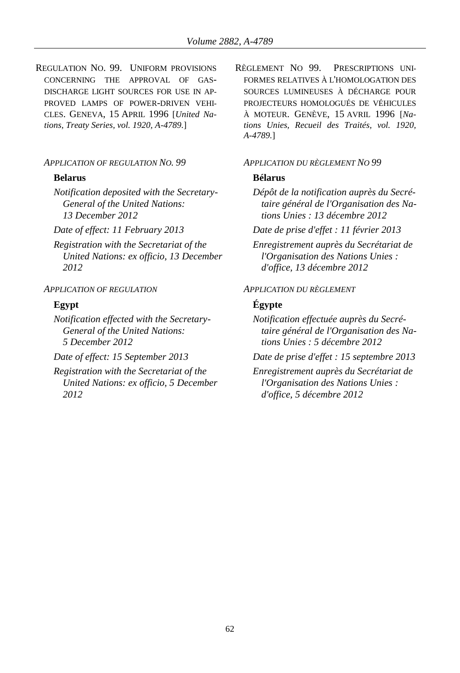REGULATION NO. 99. UNIFORM PROVISIONS CONCERNING THE APPROVAL OF GAS-DISCHARGE LIGHT SOURCES FOR USE IN AP-PROVED LAMPS OF POWER-DRIVEN VEHI-CLES. GENEVA, 15 APRIL 1996 [*United Nations, Treaty Series, vol. 1920, A-4789.*]

### *APPLICATION OF REGULATION NO. 99 APPLICATION DU RÈGLEMENT NO 99*

### **Belarus Bélarus**

*Notification deposited with the Secretary-General of the United Nations: 13 December 2012*

*Registration with the Secretariat of the United Nations: ex officio, 13 December 2012*

*Notification effected with the Secretary-General of the United Nations: 5 December 2012*

*Registration with the Secretariat of the United Nations: ex officio, 5 December 2012*

RÈGLEMENT NO 99. PRESCRIPTIONS UNI-FORMES RELATIVES À L'HOMOLOGATION DES SOURCES LUMINEUSES À DÉCHARGE POUR PROJECTEURS HOMOLOGUÉS DE VÉHICULES À MOTEUR. GENÈVE, 15 AVRIL 1996 [*Nations Unies, Recueil des Traités, vol. 1920, A-4789.*]

*Dépôt de la notification auprès du Secrétaire général de l'Organisation des Nations Unies : 13 décembre 2012*

*Date of effect: 11 February 2013 Date de prise d'effet : 11 février 2013*

*Enregistrement auprès du Secrétariat de l'Organisation des Nations Unies : d'office, 13 décembre 2012*

### *APPLICATION OF REGULATION APPLICATION DU RÈGLEMENT*

## **Egypt Égypte**

*Notification effectuée auprès du Secrétaire général de l'Organisation des Nations Unies : 5 décembre 2012*

*Date of effect: 15 September 2013 Date de prise d'effet : 15 septembre 2013*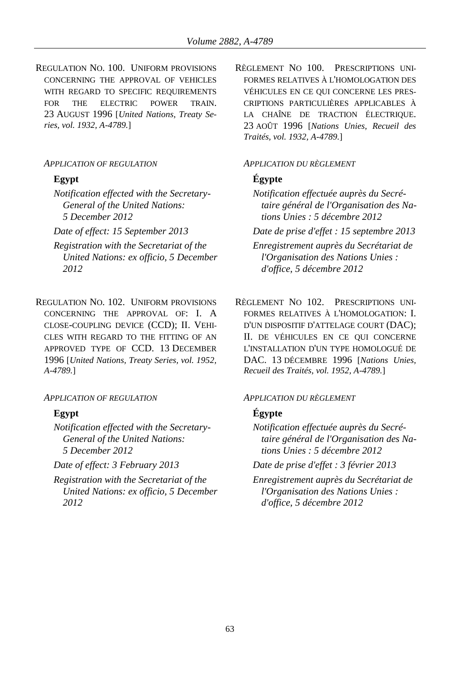REGULATION NO. 100. UNIFORM PROVISIONS CONCERNING THE APPROVAL OF VEHICLES WITH REGARD TO SPECIFIC REQUIREMENTS FOR THE ELECTRIC POWER TRAIN. 23 AUGUST 1996 [*United Nations, Treaty Series, vol. 1932, A-4789.*]

### *APPLICATION OF REGULATION APPLICATION DU RÈGLEMENT*

*Notification effected with the Secretary-General of the United Nations: 5 December 2012*

- *Registration with the Secretariat of the United Nations: ex officio, 5 December 2012*
- REGULATION NO. 102. UNIFORM PROVISIONS CONCERNING THE APPROVAL OF: I. A CLOSE-COUPLING DEVICE (CCD); II. VEHI-CLES WITH REGARD TO THE FITTING OF AN APPROVED TYPE OF CCD. 13 DECEMBER 1996 [*United Nations, Treaty Series, vol. 1952, A-4789.*]

### *APPLICATION OF REGULATION APPLICATION DU RÈGLEMENT*

*Notification effected with the Secretary-General of the United Nations: 5 December 2012*

*Registration with the Secretariat of the United Nations: ex officio, 5 December 2012*

RÈGLEMENT NO 100. PRESCRIPTIONS UNI-FORMES RELATIVES À L'HOMOLOGATION DES VÉHICULES EN CE QUI CONCERNE LES PRES-CRIPTIONS PARTICULIÈRES APPLICABLES À LA CHAÎNE DE TRACTION ÉLECTRIQUE. 23 AOÛT 1996 [*Nations Unies, Recueil des Traités, vol. 1932, A-4789.*]

# **Egypt Égypte**

*Notification effectuée auprès du Secrétaire général de l'Organisation des Nations Unies : 5 décembre 2012*

*Date of effect: 15 September 2013 Date de prise d'effet : 15 septembre 2013*

*Enregistrement auprès du Secrétariat de l'Organisation des Nations Unies : d'office, 5 décembre 2012*

RÈGLEMENT NO 102. PRESCRIPTIONS UNI-FORMES RELATIVES À L'HOMOLOGATION: I. D'UN DISPOSITIF D'ATTELAGE COURT (DAC); II. DE VÉHICULES EN CE QUI CONCERNE L'INSTALLATION D'UN TYPE HOMOLOGUÉ DE DAC. 13 DÉCEMBRE 1996 [*Nations Unies, Recueil des Traités, vol. 1952, A-4789.*]

# **Egypt Égypte**

*Notification effectuée auprès du Secrétaire général de l'Organisation des Nations Unies : 5 décembre 2012*

*Date of effect: 3 February 2013 Date de prise d'effet : 3 février 2013*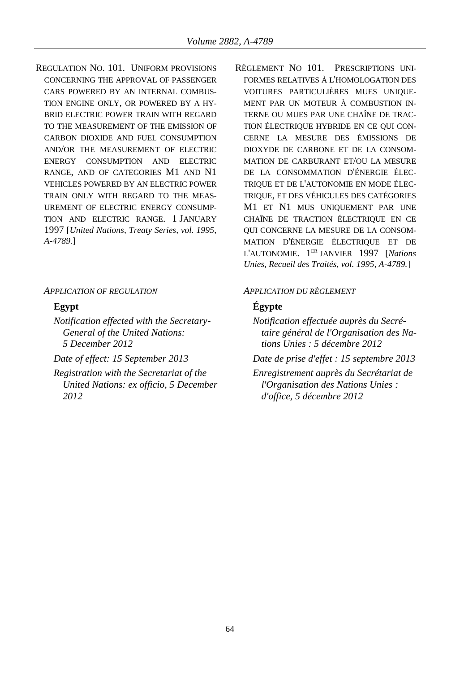REGULATION NO. 101. UNIFORM PROVISIONS CONCERNING THE APPROVAL OF PASSENGER CARS POWERED BY AN INTERNAL COMBUS-TION ENGINE ONLY, OR POWERED BY A HY-BRID ELECTRIC POWER TRAIN WITH REGARD TO THE MEASUREMENT OF THE EMISSION OF CARBON DIOXIDE AND FUEL CONSUMPTION AND/OR THE MEASUREMENT OF ELECTRIC ENERGY CONSUMPTION AND ELECTRIC RANGE, AND OF CATEGORIES M1 AND N1 VEHICLES POWERED BY AN ELECTRIC POWER TRAIN ONLY WITH REGARD TO THE MEAS-UREMENT OF ELECTRIC ENERGY CONSUMP-TION AND ELECTRIC RANGE. 1 JANUARY 1997 [*United Nations, Treaty Series, vol. 1995, A-4789.*]

*APPLICATION OF REGULATION APPLICATION DU RÈGLEMENT*

*Notification effected with the Secretary-General of the United Nations: 5 December 2012*

*Registration with the Secretariat of the United Nations: ex officio, 5 December 2012*

RÈGLEMENT NO 101. PRESCRIPTIONS UNI-FORMES RELATIVES À L'HOMOLOGATION DES VOITURES PARTICULIÈRES MUES UNIQUE-MENT PAR UN MOTEUR À COMBUSTION IN-TERNE OU MUES PAR UNE CHAÎNE DE TRAC-TION ÉLECTRIQUE HYBRIDE EN CE QUI CON-CERNE LA MESURE DES ÉMISSIONS DE DIOXYDE DE CARBONE ET DE LA CONSOM-MATION DE CARBURANT ET/OU LA MESURE DE LA CONSOMMATION D'ÉNERGIE ÉLEC-TRIQUE ET DE L'AUTONOMIE EN MODE ÉLEC-TRIQUE, ET DES VÉHICULES DES CATÉGORIES M1 ET N1 MUS UNIQUEMENT PAR UNE CHAÎNE DE TRACTION ÉLECTRIQUE EN CE QUI CONCERNE LA MESURE DE LA CONSOM-MATION D'ÉNERGIE ÉLECTRIQUE ET DE L'AUTONOMIE. 1 ER JANVIER 1997 [*Nations Unies, Recueil des Traités, vol. 1995, A-4789.*]

## **Egypt Égypte**

*Notification effectuée auprès du Secrétaire général de l'Organisation des Nations Unies : 5 décembre 2012*

*Date of effect: 15 September 2013 Date de prise d'effet : 15 septembre 2013*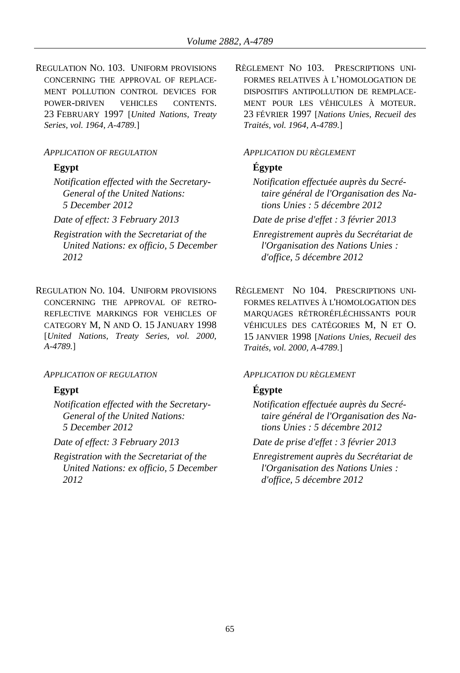REGULATION NO. 103. UNIFORM PROVISIONS CONCERNING THE APPROVAL OF REPLACE-MENT POLLUTION CONTROL DEVICES FOR POWER-DRIVEN VEHICLES CONTENTS. 23 FEBRUARY 1997 [*United Nations, Treaty Series, vol. 1964, A-4789.*]

### *APPLICATION OF REGULATION APPLICATION DU RÈGLEMENT*

*Notification effected with the Secretary-General of the United Nations: 5 December 2012*

- *Registration with the Secretariat of the United Nations: ex officio, 5 December 2012*
- REGULATION NO. 104. UNIFORM PROVISIONS CONCERNING THE APPROVAL OF RETRO-REFLECTIVE MARKINGS FOR VEHICLES OF CATEGORY M, N AND O. 15 JANUARY 1998 [*United Nations, Treaty Series, vol. 2000, A-4789.*]

### *APPLICATION OF REGULATION APPLICATION DU RÈGLEMENT*

*Notification effected with the Secretary-General of the United Nations: 5 December 2012*

*Registration with the Secretariat of the United Nations: ex officio, 5 December 2012*

RÈGLEMENT NO 103. PRESCRIPTIONS UNI-FORMES RELATIVES À L'HOMOLOGATION DE DISPOSITIFS ANTIPOLLUTION DE REMPLACE-MENT POUR LES VÉHICULES À MOTEUR. 23 FÉVRIER 1997 [*Nations Unies, Recueil des Traités, vol. 1964, A-4789.*]

# **Egypt Égypte**

*Notification effectuée auprès du Secrétaire général de l'Organisation des Nations Unies : 5 décembre 2012*

*Date of effect: 3 February 2013 Date de prise d'effet : 3 février 2013*

*Enregistrement auprès du Secrétariat de l'Organisation des Nations Unies : d'office, 5 décembre 2012*

RÈGLEMENT NO 104. PRESCRIPTIONS UNI-FORMES RELATIVES À L'HOMOLOGATION DES MARQUAGES RÉTRORÉFLÉCHISSANTS POUR VÉHICULES DES CATÉGORIES M, N ET O. 15 JANVIER 1998 [*Nations Unies, Recueil des Traités, vol. 2000, A-4789.*]

# **Egypt Égypte**

*Notification effectuée auprès du Secrétaire général de l'Organisation des Nations Unies : 5 décembre 2012*

*Date of effect: 3 February 2013 Date de prise d'effet : 3 février 2013*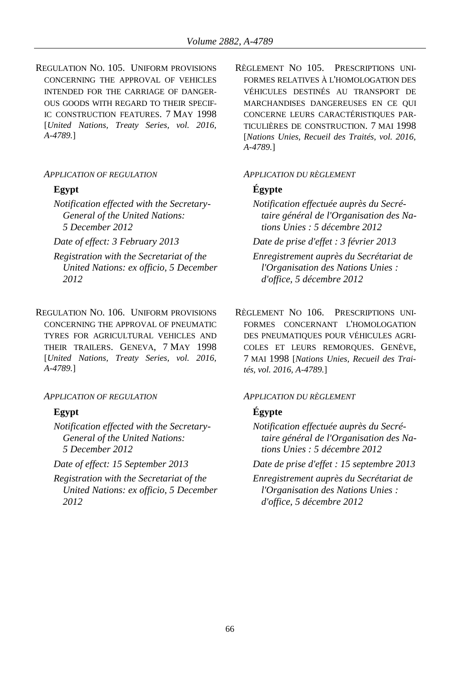REGULATION NO. 105. UNIFORM PROVISIONS CONCERNING THE APPROVAL OF VEHICLES INTENDED FOR THE CARRIAGE OF DANGER-OUS GOODS WITH REGARD TO THEIR SPECIF-IC CONSTRUCTION FEATURES. 7 MAY 1998 [*United Nations, Treaty Series, vol. 2016, A-4789.*]

## *APPLICATION OF REGULATION APPLICATION DU RÈGLEMENT*

*Notification effected with the Secretary-General of the United Nations: 5 December 2012*

- *Registration with the Secretariat of the United Nations: ex officio, 5 December 2012*
- REGULATION NO. 106. UNIFORM PROVISIONS CONCERNING THE APPROVAL OF PNEUMATIC TYRES FOR AGRICULTURAL VEHICLES AND THEIR TRAILERS. GENEVA, 7 MAY 1998 [*United Nations, Treaty Series, vol. 2016, A-4789.*]

*Notification effected with the Secretary-General of the United Nations: 5 December 2012*

*Registration with the Secretariat of the United Nations: ex officio, 5 December 2012*

RÈGLEMENT NO 105. PRESCRIPTIONS UNI-FORMES RELATIVES À L'HOMOLOGATION DES VÉHICULES DESTINÉS AU TRANSPORT DE MARCHANDISES DANGEREUSES EN CE QUI CONCERNE LEURS CARACTÉRISTIQUES PAR-TICULIÈRES DE CONSTRUCTION. 7 MAI 1998 [*Nations Unies, Recueil des Traités, vol. 2016, A-4789.*]

# **Egypt Égypte**

*Notification effectuée auprès du Secrétaire général de l'Organisation des Nations Unies : 5 décembre 2012*

*Date of effect: 3 February 2013 Date de prise d'effet : 3 février 2013*

*Enregistrement auprès du Secrétariat de l'Organisation des Nations Unies : d'office, 5 décembre 2012*

RÈGLEMENT NO 106. PRESCRIPTIONS UNI-FORMES CONCERNANT L'HOMOLOGATION DES PNEUMATIQUES POUR VÉHICULES AGRI-COLES ET LEURS REMORQUES. GENÈVE, 7 MAI 1998 [*Nations Unies, Recueil des Traités, vol. 2016, A-4789.*]

## *APPLICATION OF REGULATION APPLICATION DU RÈGLEMENT*

# **Egypt Égypte**

*Notification effectuée auprès du Secrétaire général de l'Organisation des Nations Unies : 5 décembre 2012*

*Date of effect: 15 September 2013 Date de prise d'effet : 15 septembre 2013*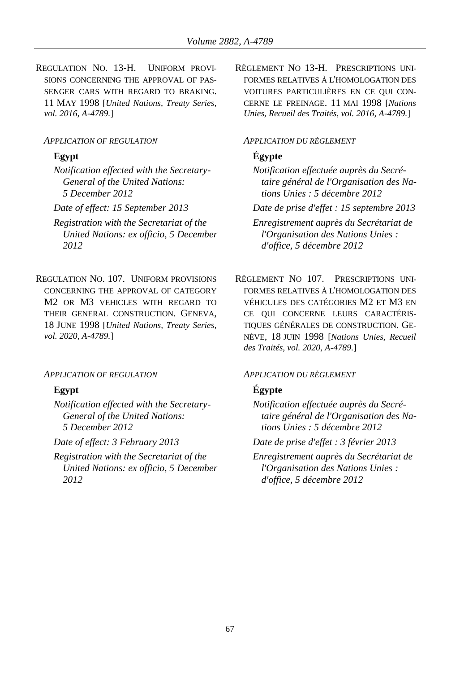REGULATION NO. 13-H. UNIFORM PROVI-SIONS CONCERNING THE APPROVAL OF PAS-SENGER CARS WITH REGARD TO BRAKING. 11 MAY 1998 [*United Nations, Treaty Series, vol. 2016, A-4789.*]

### *APPLICATION OF REGULATION APPLICATION DU RÈGLEMENT*

*Notification effected with the Secretary-General of the United Nations: 5 December 2012*

*Registration with the Secretariat of the United Nations: ex officio, 5 December 2012*

REGULATION NO. 107. UNIFORM PROVISIONS CONCERNING THE APPROVAL OF CATEGORY M2 OR M3 VEHICLES WITH REGARD TO THEIR GENERAL CONSTRUCTION. GENEVA, 18 JUNE 1998 [*United Nations, Treaty Series, vol. 2020, A-4789.*]

*Notification effected with the Secretary-General of the United Nations: 5 December 2012*

*Registration with the Secretariat of the United Nations: ex officio, 5 December 2012*

RÈGLEMENT NO 13-H. PRESCRIPTIONS UNI-FORMES RELATIVES À L'HOMOLOGATION DES VOITURES PARTICULIÈRES EN CE QUI CON-CERNE LE FREINAGE. 11 MAI 1998 [*Nations Unies, Recueil des Traités, vol. 2016, A-4789.*]

# **Egypt Égypte**

*Notification effectuée auprès du Secrétaire général de l'Organisation des Nations Unies : 5 décembre 2012*

*Date of effect: 15 September 2013 Date de prise d'effet : 15 septembre 2013*

*Enregistrement auprès du Secrétariat de l'Organisation des Nations Unies : d'office, 5 décembre 2012*

RÈGLEMENT NO 107. PRESCRIPTIONS UNI-FORMES RELATIVES À L'HOMOLOGATION DES VÉHICULES DES CATÉGORIES M2 ET M3 EN CE QUI CONCERNE LEURS CARACTÉRIS-TIQUES GÉNÉRALES DE CONSTRUCTION. GE-NÈVE, 18 JUIN 1998 [*Nations Unies, Recueil des Traités, vol. 2020, A-4789.*]

### *APPLICATION OF REGULATION APPLICATION DU RÈGLEMENT*

### **Egypt Égypte**

*Notification effectuée auprès du Secrétaire général de l'Organisation des Nations Unies : 5 décembre 2012*

*Date of effect: 3 February 2013 Date de prise d'effet : 3 février 2013*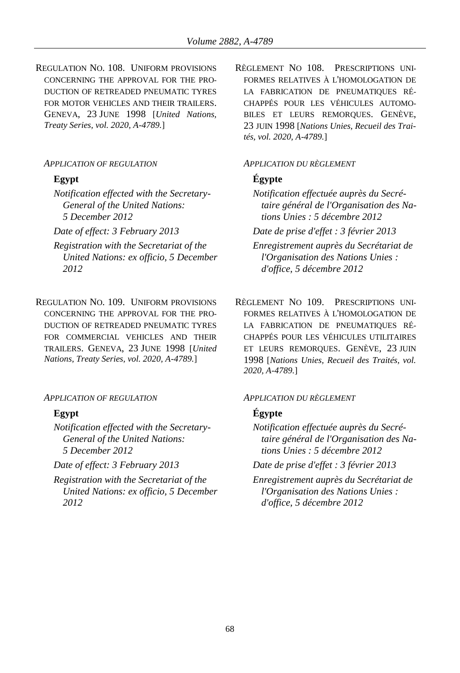REGULATION NO. 108. UNIFORM PROVISIONS CONCERNING THE APPROVAL FOR THE PRO-DUCTION OF RETREADED PNEUMATIC TYRES FOR MOTOR VEHICLES AND THEIR TRAILERS. GENEVA, 23 JUNE 1998 [*United Nations, Treaty Series, vol. 2020, A-4789.*]

*Notification effected with the Secretary-General of the United Nations: 5 December 2012*

- *Registration with the Secretariat of the United Nations: ex officio, 5 December 2012*
- REGULATION NO. 109. UNIFORM PROVISIONS CONCERNING THE APPROVAL FOR THE PRO-DUCTION OF RETREADED PNEUMATIC TYRES FOR COMMERCIAL VEHICLES AND THEIR TRAILERS. GENEVA, 23 JUNE 1998 [*United Nations, Treaty Series, vol. 2020, A-4789.*]

*Notification effected with the Secretary-General of the United Nations: 5 December 2012*

*Registration with the Secretariat of the United Nations: ex officio, 5 December 2012*

RÈGLEMENT NO 108. PRESCRIPTIONS UNI-FORMES RELATIVES À L'HOMOLOGATION DE LA FABRICATION DE PNEUMATIQUES RÉ-CHAPPÉS POUR LES VÉHICULES AUTOMO-BILES ET LEURS REMORQUES. GENÈVE, 23 JUIN 1998 [*Nations Unies, Recueil des Traités, vol. 2020, A-4789.*]

### *APPLICATION OF REGULATION APPLICATION DU RÈGLEMENT*

# **Egypt Égypte**

*Notification effectuée auprès du Secrétaire général de l'Organisation des Nations Unies : 5 décembre 2012*

*Date of effect: 3 February 2013 Date de prise d'effet : 3 février 2013*

*Enregistrement auprès du Secrétariat de l'Organisation des Nations Unies : d'office, 5 décembre 2012*

RÈGLEMENT NO 109. PRESCRIPTIONS UNI-FORMES RELATIVES À L'HOMOLOGATION DE LA FABRICATION DE PNEUMATIQUES RÉ-CHAPPÉS POUR LES VÉHICULES UTILITAIRES ET LEURS REMORQUES. GENÈVE, 23 JUIN 1998 [*Nations Unies, Recueil des Traités, vol. 2020, A-4789.*]

### *APPLICATION OF REGULATION APPLICATION DU RÈGLEMENT*

# **Egypt Égypte**

*Notification effectuée auprès du Secrétaire général de l'Organisation des Nations Unies : 5 décembre 2012*

*Date of effect: 3 February 2013 Date de prise d'effet : 3 février 2013*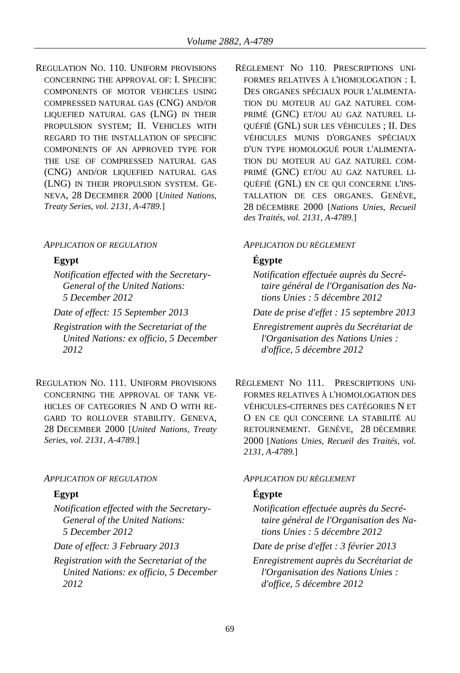REGULATION NO. 110. UNIFORM PROVISIONS CONCERNING THE APPROVAL OF: I. SPECIFIC COMPONENTS OF MOTOR VEHICLES USING COMPRESSED NATURAL GAS (CNG) AND/OR LIQUEFIED NATURAL GAS (LNG) IN THEIR PROPULSION SYSTEM; II. VEHICLES WITH REGARD TO THE INSTALLATION OF SPECIFIC COMPONENTS OF AN APPROVED TYPE FOR THE USE OF COMPRESSED NATURAL GAS (CNG) AND/OR LIQUEFIED NATURAL GAS (LNG) IN THEIR PROPULSION SYSTEM. GE-NEVA, 28 DECEMBER 2000 [*United Nations, Treaty Series, vol. 2131, A-4789.*]

### *APPLICATION OF REGULATION APPLICATION DU RÈGLEMENT*

*Notification effected with the Secretary-General of the United Nations: 5 December 2012*

- *Registration with the Secretariat of the United Nations: ex officio, 5 December 2012*
- REGULATION NO. 111. UNIFORM PROVISIONS CONCERNING THE APPROVAL OF TANK VE-HICLES OF CATEGORIES N AND O WITH RE-GARD TO ROLLOVER STABILITY. GENEVA, 28 DECEMBER 2000 [*United Nations, Treaty Series, vol. 2131, A-4789.*]

### *APPLICATION OF REGULATION APPLICATION DU RÈGLEMENT*

*Notification effected with the Secretary-General of the United Nations: 5 December 2012*

*Registration with the Secretariat of the United Nations: ex officio, 5 December 2012*

RÈGLEMENT NO 110. PRESCRIPTIONS UNI-FORMES RELATIVES À L'HOMOLOGATION : I. DES ORGANES SPÉCIAUX POUR L'ALIMENTA-TION DU MOTEUR AU GAZ NATUREL COM-PRIMÉ (GNC) ET/OU AU GAZ NATUREL LI-QUÉFIÉ (GNL) SUR LES VÉHICULES ; II. DES VÉHICULES MUNIS D'ORGANES SPÉCIAUX D'UN TYPE HOMOLOGUÉ POUR L'ALIMENTA-TION DU MOTEUR AU GAZ NATUREL COM-PRIMÉ (GNC) ET/OU AU GAZ NATUREL LI-QUÉFIÉ (GNL) EN CE QUI CONCERNE L'INS-TALLATION DE CES ORGANES. GENÈVE, 28 DÉCEMBRE 2000 [*Nations Unies, Recueil des Traités, vol. 2131, A-4789.*]

## **Egypt Égypte**

- *Notification effectuée auprès du Secrétaire général de l'Organisation des Nations Unies : 5 décembre 2012 Date of effect: 15 September 2013 Date de prise d'effet : 15 septembre 2013*
	- *Enregistrement auprès du Secrétariat de l'Organisation des Nations Unies : d'office, 5 décembre 2012*
	- RÈGLEMENT NO 111. PRESCRIPTIONS UNI-FORMES RELATIVES À L'HOMOLOGATION DES VÉHICULES-CITERNES DES CATÉGORIES N ET O EN CE QUI CONCERNE LA STABILITÉ AU RETOURNEMENT. GENÈVE, 28 DÉCEMBRE 2000 [*Nations Unies, Recueil des Traités, vol. 2131, A-4789.*]

## **Egypt Égypte**

*Notification effectuée auprès du Secrétaire général de l'Organisation des Nations Unies : 5 décembre 2012*

*Date of effect: 3 February 2013 Date de prise d'effet : 3 février 2013*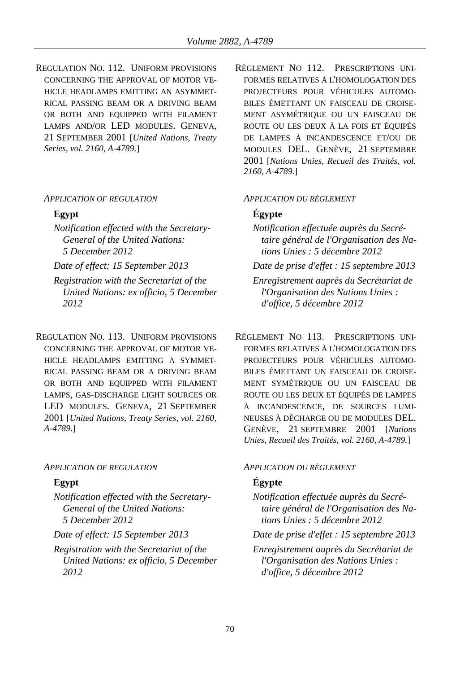REGULATION NO. 112. UNIFORM PROVISIONS CONCERNING THE APPROVAL OF MOTOR VE-HICLE HEADLAMPS EMITTING AN ASYMMET-RICAL PASSING BEAM OR A DRIVING BEAM OR BOTH AND EQUIPPED WITH FILAMENT LAMPS AND/OR LED MODULES. GENEVA, 21 SEPTEMBER 2001 [*United Nations, Treaty Series, vol. 2160, A-4789.*]

*Notification effected with the Secretary-General of the United Nations: 5 December 2012*

- *Registration with the Secretariat of the United Nations: ex officio, 5 December 2012*
- REGULATION NO. 113. UNIFORM PROVISIONS CONCERNING THE APPROVAL OF MOTOR VE-HICLE HEADLAMPS EMITTING A SYMMET-RICAL PASSING BEAM OR A DRIVING BEAM OR BOTH AND EQUIPPED WITH FILAMENT LAMPS, GAS-DISCHARGE LIGHT SOURCES OR LED MODULES. GENEVA, 21 SEPTEMBER 2001 [*United Nations, Treaty Series, vol. 2160, A-4789.*]

## *APPLICATION OF REGULATION APPLICATION DU RÈGLEMENT*

*Notification effected with the Secretary-General of the United Nations: 5 December 2012*

*Registration with the Secretariat of the United Nations: ex officio, 5 December 2012*

RÈGLEMENT NO 112. PRESCRIPTIONS UNI-FORMES RELATIVES À L'HOMOLOGATION DES PROJECTEURS POUR VÉHICULES AUTOMO-BILES ÉMETTANT UN FAISCEAU DE CROISE-MENT ASYMÉTRIQUE OU UN FAISCEAU DE ROUTE OU LES DEUX À LA FOIS ET ÉQUIPÉS DE LAMPES À INCANDESCENCE ET/OU DE MODULES DEL. GENÈVE, 21 SEPTEMBRE 2001 [*Nations Unies, Recueil des Traités, vol. 2160, A-4789.*]

# *APPLICATION OF REGULATION APPLICATION DU RÈGLEMENT*

# **Egypt Égypte**

- *Notification effectuée auprès du Secrétaire général de l'Organisation des Nations Unies : 5 décembre 2012*
- *Date of effect: 15 September 2013 Date de prise d'effet : 15 septembre 2013 Enregistrement auprès du Secrétariat de l'Organisation des Nations Unies : d'office, 5 décembre 2012*
	- RÈGLEMENT NO 113. PRESCRIPTIONS UNI-FORMES RELATIVES À L'HOMOLOGATION DES PROJECTEURS POUR VÉHICULES AUTOMO-BILES ÉMETTANT UN FAISCEAU DE CROISE-MENT SYMÉTRIQUE OU UN FAISCEAU DE ROUTE OU LES DEUX ET ÉQUIPÉS DE LAMPES À INCANDESCENCE, DE SOURCES LUMI-NEUSES À DÉCHARGE OU DE MODULES DEL. GENÈVE, 21 SEPTEMBRE 2001 [*Nations Unies, Recueil des Traités, vol. 2160, A-4789.*]

# **Egypt Égypte**

- *Notification effectuée auprès du Secrétaire général de l'Organisation des Nations Unies : 5 décembre 2012*
- *Date of effect: 15 September 2013 Date de prise d'effet : 15 septembre 2013*
	- *Enregistrement auprès du Secrétariat de l'Organisation des Nations Unies : d'office, 5 décembre 2012*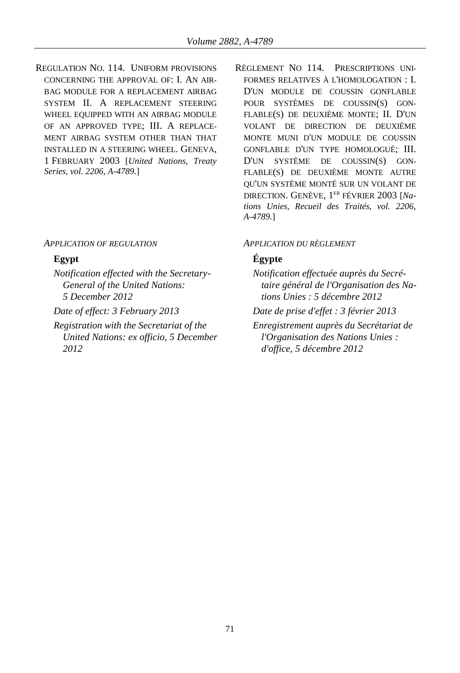REGULATION NO. 114. UNIFORM PROVISIONS CONCERNING THE APPROVAL OF: I. AN AIR-BAG MODULE FOR A REPLACEMENT AIRBAG SYSTEM II. A REPLACEMENT STEERING WHEEL EQUIPPED WITH AN AIRBAG MODULE OF AN APPROVED TYPE; III. A REPLACE-MENT AIRBAG SYSTEM OTHER THAN THAT INSTALLED IN A STEERING WHEEL. GENEVA, 1 FEBRUARY 2003 [*United Nations, Treaty Series, vol. 2206, A-4789.*]

### *APPLICATION OF REGULATION APPLICATION DU RÈGLEMENT*

- *Notification effected with the Secretary-General of the United Nations: 5 December 2012*
- 
- *Registration with the Secretariat of the United Nations: ex officio, 5 December 2012*

RÈGLEMENT NO 114. PRESCRIPTIONS UNI-FORMES RELATIVES À L'HOMOLOGATION : I. D'UN MODULE DE COUSSIN GONFLABLE POUR SYSTÈMES DE COUSSIN(S) GON-FLABLE(S) DE DEUXIÈME MONTE; II. D'UN VOLANT DE DIRECTION DE DEUXIÈME MONTE MUNI D'UN MODULE DE COUSSIN GONFLABLE D'UN TYPE HOMOLOGUÉ; III. D'UN SYSTÈME DE COUSSIN(S) GON-FLABLE(S) DE DEUXIÈME MONTE AUTRE QU'UN SYSTÈME MONTÉ SUR UN VOLANT DE DIRECTION. GENÈVE, 1 ER FÉVRIER 2003 [*Nations Unies, Recueil des Traités, vol. 2206, A-4789.*]

# **Egypt Égypte**

- *Notification effectuée auprès du Secrétaire général de l'Organisation des Nations Unies : 5 décembre 2012*
- *Date of effect: 3 February 2013 Date de prise d'effet : 3 février 2013*
	- *Enregistrement auprès du Secrétariat de l'Organisation des Nations Unies : d'office, 5 décembre 2012*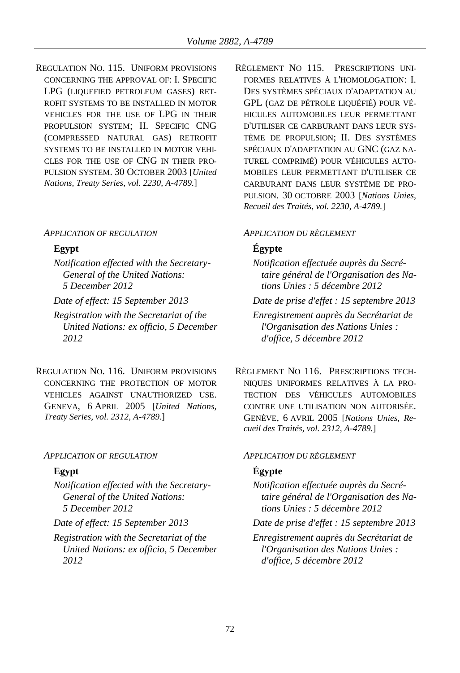REGULATION NO. 115. UNIFORM PROVISIONS CONCERNING THE APPROVAL OF: I. SPECIFIC LPG (LIQUEFIED PETROLEUM GASES) RET-ROFIT SYSTEMS TO BE INSTALLED IN MOTOR VEHICLES FOR THE USE OF LPG IN THEIR PROPULSION SYSTEM; II. SPECIFIC CNG (COMPRESSED NATURAL GAS) RETROFIT SYSTEMS TO BE INSTALLED IN MOTOR VEHI-CLES FOR THE USE OF CNG IN THEIR PRO-PULSION SYSTEM. 30 OCTOBER 2003 [*United Nations, Treaty Series, vol. 2230, A-4789.*]

### *APPLICATION OF REGULATION APPLICATION DU RÈGLEMENT*

*Notification effected with the Secretary-General of the United Nations: 5 December 2012*

*Registration with the Secretariat of the United Nations: ex officio, 5 December 2012*

REGULATION NO. 116. UNIFORM PROVISIONS CONCERNING THE PROTECTION OF MOTOR VEHICLES AGAINST UNAUTHORIZED USE. GENEVA, 6 APRIL 2005 [*United Nations, Treaty Series, vol. 2312, A-4789.*]

## *APPLICATION OF REGULATION APPLICATION DU RÈGLEMENT*

*Notification effected with the Secretary-General of the United Nations: 5 December 2012*

- 
- *Registration with the Secretariat of the United Nations: ex officio, 5 December 2012*

RÈGLEMENT NO 115. PRESCRIPTIONS UNI-FORMES RELATIVES À L'HOMOLOGATION: I. DES SYSTÈMES SPÉCIAUX D'ADAPTATION AU GPL (GAZ DE PÉTROLE LIQUÉFIÉ) POUR VÉ-HICULES AUTOMOBILES LEUR PERMETTANT D'UTILISER CE CARBURANT DANS LEUR SYS-TÈME DE PROPULSION; II. DES SYSTÈMES SPÉCIAUX D'ADAPTATION AU GNC (GAZ NA-TUREL COMPRIMÉ) POUR VÉHICULES AUTO-MOBILES LEUR PERMETTANT D'UTILISER CE CARBURANT DANS LEUR SYSTÈME DE PRO-PULSION. 30 OCTOBRE 2003 [*Nations Unies, Recueil des Traités, vol. 2230, A-4789.*]

# **Egypt Égypte**

- *Notification effectuée auprès du Secrétaire général de l'Organisation des Nations Unies : 5 décembre 2012*
- *Date of effect: 15 September 2013 Date de prise d'effet : 15 septembre 2013*

*Enregistrement auprès du Secrétariat de l'Organisation des Nations Unies : d'office, 5 décembre 2012*

RÈGLEMENT NO 116. PRESCRIPTIONS TECH-NIQUES UNIFORMES RELATIVES À LA PRO-TECTION DES VÉHICULES AUTOMOBILES CONTRE UNE UTILISATION NON AUTORISÉE. GENÈVE, 6 AVRIL 2005 [*Nations Unies, Recueil des Traités, vol. 2312, A-4789.*]

# **Egypt Égypte**

- *Notification effectuée auprès du Secrétaire général de l'Organisation des Nations Unies : 5 décembre 2012*
- *Date of effect: 15 September 2013 Date de prise d'effet : 15 septembre 2013*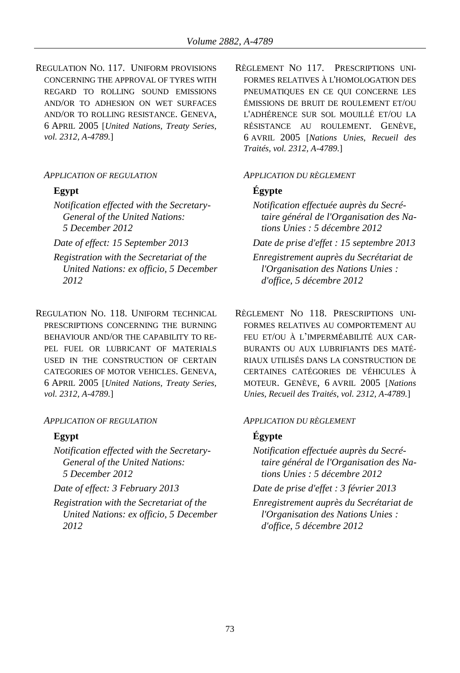REGULATION NO. 117. UNIFORM PROVISIONS CONCERNING THE APPROVAL OF TYRES WITH REGARD TO ROLLING SOUND EMISSIONS AND/OR TO ADHESION ON WET SURFACES AND/OR TO ROLLING RESISTANCE. GENEVA, 6 APRIL 2005 [*United Nations, Treaty Series, vol. 2312, A-4789.*]

## *APPLICATION OF REGULATION APPLICATION DU RÈGLEMENT*

- *Notification effected with the Secretary-General of the United Nations: 5 December 2012*
- 
- *Registration with the Secretariat of the United Nations: ex officio, 5 December 2012*
- REGULATION NO. 118. UNIFORM TECHNICAL PRESCRIPTIONS CONCERNING THE BURNING BEHAVIOUR AND/OR THE CAPABILITY TO RE-PEL FUEL OR LUBRICANT OF MATERIALS USED IN THE CONSTRUCTION OF CERTAIN CATEGORIES OF MOTOR VEHICLES. GENEVA, 6 APRIL 2005 [*United Nations, Treaty Series, vol. 2312, A-4789.*]

### *APPLICATION OF REGULATION APPLICATION DU RÈGLEMENT*

- *Notification effected with the Secretary-General of the United Nations: 5 December 2012*
- 
- *Registration with the Secretariat of the United Nations: ex officio, 5 December 2012*

RÈGLEMENT NO 117. PRESCRIPTIONS UNI-FORMES RELATIVES À L'HOMOLOGATION DES PNEUMATIQUES EN CE QUI CONCERNE LES ÉMISSIONS DE BRUIT DE ROULEMENT ET/OU L'ADHÉRENCE SUR SOL MOUILLÉ ET/OU LA RÉSISTANCE AU ROULEMENT. GENÈVE, 6 AVRIL 2005 [*Nations Unies, Recueil des Traités, vol. 2312, A-4789.*]

## **Egypt Égypte**

- *Notification effectuée auprès du Secrétaire général de l'Organisation des Nations Unies : 5 décembre 2012*
- *Date of effect: 15 September 2013 Date de prise d'effet : 15 septembre 2013*
	- *Enregistrement auprès du Secrétariat de l'Organisation des Nations Unies : d'office, 5 décembre 2012*
	- RÈGLEMENT NO 118. PRESCRIPTIONS UNI-FORMES RELATIVES AU COMPORTEMENT AU FEU ET/OU À L'IMPERMÉABILITÉ AUX CAR-BURANTS OU AUX LUBRIFIANTS DES MATÉ-RIAUX UTILISÉS DANS LA CONSTRUCTION DE CERTAINES CATÉGORIES DE VÉHICULES À MOTEUR. GENÈVE, 6 AVRIL 2005 [*Nations Unies, Recueil des Traités, vol. 2312, A-4789.*]

## **Egypt Égypte**

- *Notification effectuée auprès du Secrétaire général de l'Organisation des Nations Unies : 5 décembre 2012*
- *Date of effect: 3 February 2013 Date de prise d'effet : 3 février 2013*
	- *Enregistrement auprès du Secrétariat de l'Organisation des Nations Unies : d'office, 5 décembre 2012*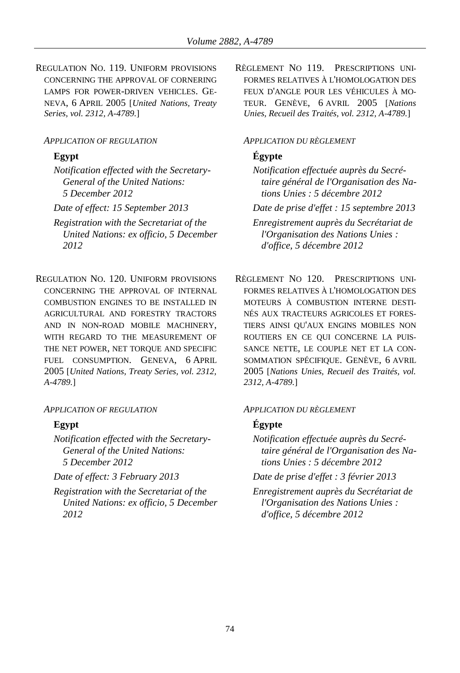REGULATION NO. 119. UNIFORM PROVISIONS CONCERNING THE APPROVAL OF CORNERING LAMPS FOR POWER-DRIVEN VEHICLES. GE-NEVA, 6 APRIL 2005 [*United Nations, Treaty Series, vol. 2312, A-4789.*]

### *APPLICATION OF REGULATION APPLICATION DU RÈGLEMENT*

*Notification effected with the Secretary-General of the United Nations: 5 December 2012*

*Registration with the Secretariat of the United Nations: ex officio, 5 December 2012*

REGULATION NO. 120. UNIFORM PROVISIONS CONCERNING THE APPROVAL OF INTERNAL COMBUSTION ENGINES TO BE INSTALLED IN AGRICULTURAL AND FORESTRY TRACTORS AND IN NON-ROAD MOBILE MACHINERY, WITH REGARD TO THE MEASUREMENT OF THE NET POWER, NET TORQUE AND SPECIFIC FUEL CONSUMPTION. GENEVA, 6 APRIL 2005 [*United Nations, Treaty Series, vol. 2312, A-4789.*]

### *APPLICATION OF REGULATION APPLICATION DU RÈGLEMENT*

*Notification effected with the Secretary-General of the United Nations: 5 December 2012*

*Registration with the Secretariat of the United Nations: ex officio, 5 December 2012*

RÈGLEMENT NO 119. PRESCRIPTIONS UNI-FORMES RELATIVES À L'HOMOLOGATION DES FEUX D'ANGLE POUR LES VÉHICULES À MO-TEUR. GENÈVE, 6 AVRIL 2005 [*Nations Unies, Recueil des Traités, vol. 2312, A-4789.*]

# **Egypt Égypte**

*Notification effectuée auprès du Secrétaire général de l'Organisation des Nations Unies : 5 décembre 2012*

*Date of effect: 15 September 2013 Date de prise d'effet : 15 septembre 2013*

*Enregistrement auprès du Secrétariat de l'Organisation des Nations Unies : d'office, 5 décembre 2012*

RÈGLEMENT NO 120. PRESCRIPTIONS UNI-FORMES RELATIVES À L'HOMOLOGATION DES MOTEURS À COMBUSTION INTERNE DESTI-NÉS AUX TRACTEURS AGRICOLES ET FORES-TIERS AINSI QU'AUX ENGINS MOBILES NON ROUTIERS EN CE QUI CONCERNE LA PUIS-SANCE NETTE, LE COUPLE NET ET LA CON-SOMMATION SPÉCIFIQUE. GENÈVE, 6 AVRIL 2005 [*Nations Unies, Recueil des Traités, vol. 2312, A-4789.*]

# **Egypt Égypte**

*Notification effectuée auprès du Secrétaire général de l'Organisation des Nations Unies : 5 décembre 2012*

*Date of effect: 3 February 2013 Date de prise d'effet : 3 février 2013*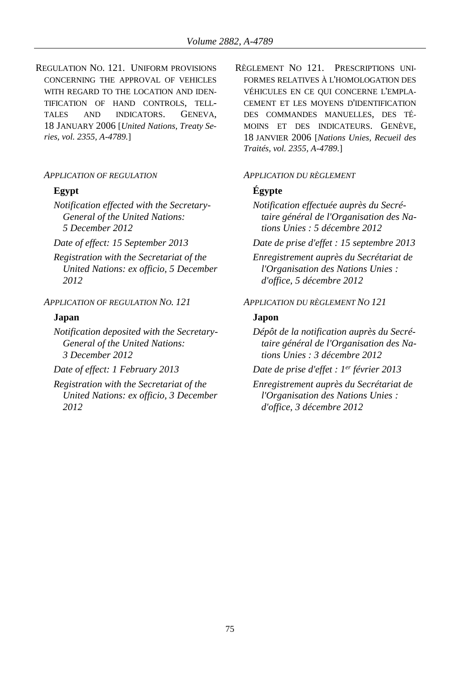REGULATION NO. 121. UNIFORM PROVISIONS CONCERNING THE APPROVAL OF VEHICLES WITH REGARD TO THE LOCATION AND IDEN-TIFICATION OF HAND CONTROLS, TELL-TALES AND INDICATORS. GENEVA, 18 JANUARY 2006 [*United Nations, Treaty Series, vol. 2355, A-4789.*]

## *APPLICATION OF REGULATION APPLICATION DU RÈGLEMENT*

*Notification effected with the Secretary-General of the United Nations: 5 December 2012*

*Registration with the Secretariat of the United Nations: ex officio, 5 December 2012*

## *APPLICATION OF REGULATION NO. 121 APPLICATION DU RÈGLEMENT NO 121*

## **Japan Japon**

*Notification deposited with the Secretary-General of the United Nations: 3 December 2012*

*Date of effect: 1 February 2013 Date de prise d'effet : 1*

*Registration with the Secretariat of the United Nations: ex officio, 3 December 2012*

RÈGLEMENT NO 121. PRESCRIPTIONS UNI-FORMES RELATIVES À L'HOMOLOGATION DES VÉHICULES EN CE QUI CONCERNE L'EMPLA-CEMENT ET LES MOYENS D'IDENTIFICATION DES COMMANDES MANUELLES, DES TÉ-MOINS ET DES INDICATEURS. GENÈVE, 18 JANVIER 2006 [*Nations Unies, Recueil des Traités, vol. 2355, A-4789.*]

## **Egypt Égypte**

*Notification effectuée auprès du Secrétaire général de l'Organisation des Nations Unies : 5 décembre 2012*

*Date of effect: 15 September 2013 Date de prise d'effet : 15 septembre 2013*

*Enregistrement auprès du Secrétariat de l'Organisation des Nations Unies : d'office, 5 décembre 2012*

*Dépôt de la notification auprès du Secrétaire général de l'Organisation des Nations Unies : 3 décembre 2012*

*Date de prise d'effet : l<sup>er</sup> février* 2013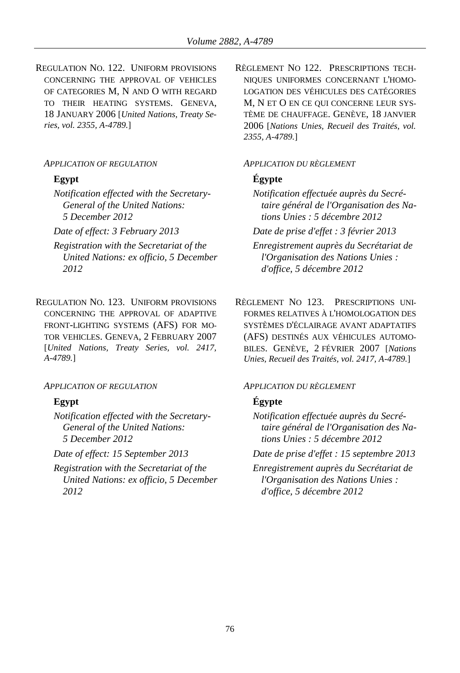REGULATION NO. 122. UNIFORM PROVISIONS CONCERNING THE APPROVAL OF VEHICLES OF CATEGORIES M, N AND O WITH REGARD TO THEIR HEATING SYSTEMS. GENEVA, 18 JANUARY 2006 [*United Nations, Treaty Series, vol. 2355, A-4789.*]

### *APPLICATION OF REGULATION APPLICATION DU RÈGLEMENT*

*Notification effected with the Secretary-General of the United Nations: 5 December 2012*

- *Registration with the Secretariat of the United Nations: ex officio, 5 December 2012*
- REGULATION NO. 123. UNIFORM PROVISIONS CONCERNING THE APPROVAL OF ADAPTIVE FRONT-LIGHTING SYSTEMS (AFS) FOR MO-TOR VEHICLES. GENEVA, 2 FEBRUARY 2007 [*United Nations, Treaty Series, vol. 2417, A-4789.*]

### *APPLICATION OF REGULATION APPLICATION DU RÈGLEMENT*

*Notification effected with the Secretary-General of the United Nations: 5 December 2012*

*Registration with the Secretariat of the United Nations: ex officio, 5 December 2012*

RÈGLEMENT NO 122. PRESCRIPTIONS TECH-NIQUES UNIFORMES CONCERNANT L'HOMO-LOGATION DES VÉHICULES DES CATÉGORIES M, N ET O EN CE QUI CONCERNE LEUR SYS-TÈME DE CHAUFFAGE. GENÈVE, 18 JANVIER 2006 [*Nations Unies, Recueil des Traités, vol. 2355, A-4789.*]

# **Egypt Égypte**

*Notification effectuée auprès du Secrétaire général de l'Organisation des Nations Unies : 5 décembre 2012*

*Date of effect: 3 February 2013 Date de prise d'effet : 3 février 2013*

*Enregistrement auprès du Secrétariat de l'Organisation des Nations Unies : d'office, 5 décembre 2012*

RÈGLEMENT NO 123. PRESCRIPTIONS UNI-FORMES RELATIVES À L'HOMOLOGATION DES SYSTÈMES D'ÉCLAIRAGE AVANT ADAPTATIFS (AFS) DESTINÉS AUX VÉHICULES AUTOMO-BILES. GENÈVE, 2 FÉVRIER 2007 [*Nations Unies, Recueil des Traités, vol. 2417, A-4789.*]

# **Egypt Égypte**

*Notification effectuée auprès du Secrétaire général de l'Organisation des Nations Unies : 5 décembre 2012*

*Date of effect: 15 September 2013 Date de prise d'effet : 15 septembre 2013*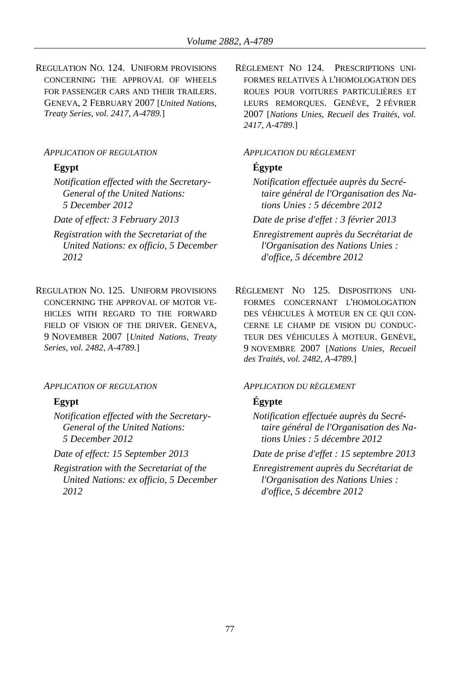REGULATION NO. 124. UNIFORM PROVISIONS CONCERNING THE APPROVAL OF WHEELS FOR PASSENGER CARS AND THEIR TRAILERS. GENEVA, 2 FEBRUARY 2007 [*United Nations, Treaty Series, vol. 2417, A-4789.*]

## *APPLICATION OF REGULATION APPLICATION DU RÈGLEMENT*

*Notification effected with the Secretary-General of the United Nations: 5 December 2012*

- *Registration with the Secretariat of the United Nations: ex officio, 5 December 2012*
- REGULATION NO. 125. UNIFORM PROVISIONS CONCERNING THE APPROVAL OF MOTOR VE-HICLES WITH REGARD TO THE FORWARD FIELD OF VISION OF THE DRIVER. GENEVA. 9 NOVEMBER 2007 [*United Nations, Treaty Series, vol. 2482, A-4789.*]

### *APPLICATION OF REGULATION APPLICATION DU RÈGLEMENT*

*Notification effected with the Secretary-General of the United Nations: 5 December 2012*

*Registration with the Secretariat of the United Nations: ex officio, 5 December 2012*

RÈGLEMENT NO 124. PRESCRIPTIONS UNI-FORMES RELATIVES À L'HOMOLOGATION DES ROUES POUR VOITURES PARTICULIÈRES ET LEURS REMORQUES. GENÈVE, 2 FÉVRIER 2007 [*Nations Unies, Recueil des Traités, vol. 2417, A-4789.*]

# **Egypt Égypte**

*Notification effectuée auprès du Secrétaire général de l'Organisation des Nations Unies : 5 décembre 2012*

*Date of effect: 3 February 2013 Date de prise d'effet : 3 février 2013*

*Enregistrement auprès du Secrétariat de l'Organisation des Nations Unies : d'office, 5 décembre 2012*

RÈGLEMENT NO 125. DISPOSITIONS UNI-FORMES CONCERNANT L'HOMOLOGATION DES VÉHICULES À MOTEUR EN CE QUI CON-CERNE LE CHAMP DE VISION DU CONDUC-TEUR DES VÉHICULES À MOTEUR. GENÈVE, 9 NOVEMBRE 2007 [*Nations Unies, Recueil des Traités, vol. 2482, A-4789.*]

## **Egypt Égypte**

*Notification effectuée auprès du Secrétaire général de l'Organisation des Nations Unies : 5 décembre 2012*

*Date of effect: 15 September 2013 Date de prise d'effet : 15 septembre 2013*

*Enregistrement auprès du Secrétariat de l'Organisation des Nations Unies : d'office, 5 décembre 2012*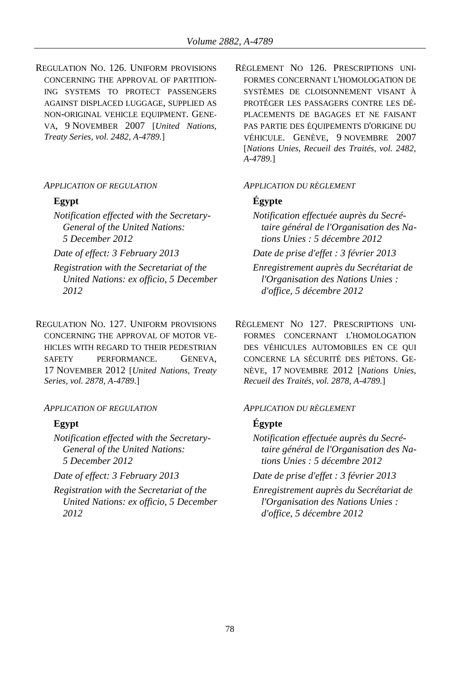REGULATION NO. 126. UNIFORM PROVISIONS CONCERNING THE APPROVAL OF PARTITION-ING SYSTEMS TO PROTECT PASSENGERS AGAINST DISPLACED LUGGAGE, SUPPLIED AS NON-ORIGINAL VEHICLE EQUIPMENT. GENE-VA, 9 NOVEMBER 2007 [*United Nations, Treaty Series, vol. 2482, A-4789.*]

### *APPLICATION OF REGULATION APPLICATION DU RÈGLEMENT*

*Notification effected with the Secretary-General of the United Nations: 5 December 2012*

- *Registration with the Secretariat of the United Nations: ex officio, 5 December 2012*
- REGULATION NO. 127. UNIFORM PROVISIONS CONCERNING THE APPROVAL OF MOTOR VE-HICLES WITH REGARD TO THEIR PEDESTRIAN SAFETY PERFORMANCE. GENEVA, 17 NOVEMBER 2012 [*United Nations, Treaty Series, vol. 2878, A-4789.*]

### *APPLICATION OF REGULATION APPLICATION DU RÈGLEMENT*

*Notification effected with the Secretary-General of the United Nations: 5 December 2012*

*Registration with the Secretariat of the United Nations: ex officio, 5 December 2012*

RÈGLEMENT NO 126. PRESCRIPTIONS UNI-FORMES CONCERNANT L'HOMOLOGATION DE SYSTÈMES DE CLOISONNEMENT VISANT À PROTÉGER LES PASSAGERS CONTRE LES DÉ-PLACEMENTS DE BAGAGES ET NE FAISANT PAS PARTIE DES ÉQUIPEMENTS D'ORIGINE DU VÉHICULE. GENÈVE, 9 NOVEMBRE 2007 [*Nations Unies, Recueil des Traités, vol. 2482, A-4789.*]

## **Egypt Égypte**

*Notification effectuée auprès du Secrétaire général de l'Organisation des Nations Unies : 5 décembre 2012*

*Date of effect: 3 February 2013 Date de prise d'effet : 3 février 2013*

- *Enregistrement auprès du Secrétariat de l'Organisation des Nations Unies : d'office, 5 décembre 2012*
- RÈGLEMENT NO 127. PRESCRIPTIONS UNI-FORMES CONCERNANT L'HOMOLOGATION DES VÉHICULES AUTOMOBILES EN CE QUI CONCERNE LA SÉCURITÉ DES PIÉTONS. GE-NÈVE, 17 NOVEMBRE 2012 [*Nations Unies, Recueil des Traités, vol. 2878, A-4789.*]

## **Egypt Égypte**

*Notification effectuée auprès du Secrétaire général de l'Organisation des Nations Unies : 5 décembre 2012*

*Date of effect: 3 February 2013 Date de prise d'effet : 3 février 2013*

*Enregistrement auprès du Secrétariat de l'Organisation des Nations Unies : d'office, 5 décembre 2012*